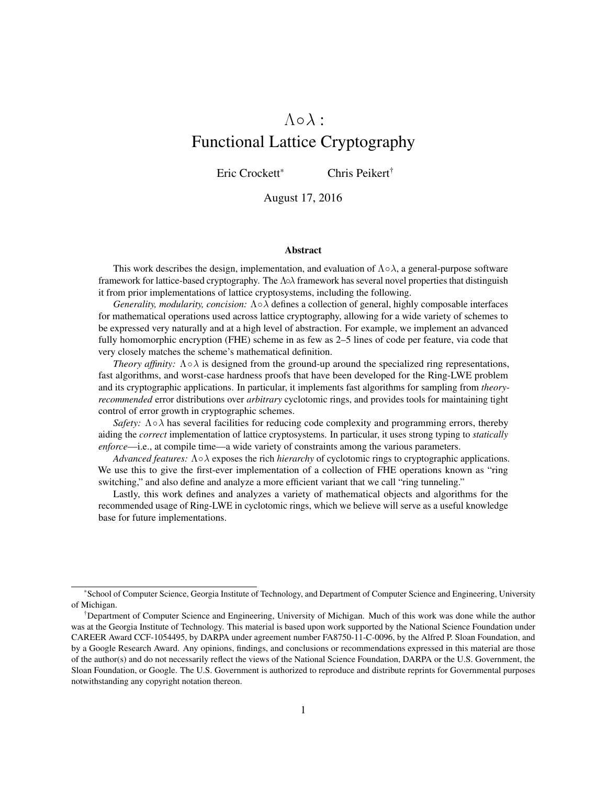# $\Lambda \circ \lambda$ :

# Functional Lattice Cryptography

Eric Crockett<sup>\*</sup> Chris Peikert<sup>†</sup>

August 17, 2016

#### Abstract

This work describes the design, implementation, and evaluation of  $\Lambda \circ \lambda$ , a general-purpose software framework for lattice-based cryptography. The Λ◦λ framework has several novel properties that distinguish it from prior implementations of lattice cryptosystems, including the following.

*Generality, modularity, concision:* Λ◦λ defines a collection of general, highly composable interfaces for mathematical operations used across lattice cryptography, allowing for a wide variety of schemes to be expressed very naturally and at a high level of abstraction. For example, we implement an advanced fully homomorphic encryption (FHE) scheme in as few as 2–5 lines of code per feature, via code that very closely matches the scheme's mathematical definition.

*Theory affinity:*  $\Lambda \circ \lambda$  is designed from the ground-up around the specialized ring representations, fast algorithms, and worst-case hardness proofs that have been developed for the Ring-LWE problem and its cryptographic applications. In particular, it implements fast algorithms for sampling from *theoryrecommended* error distributions over *arbitrary* cyclotomic rings, and provides tools for maintaining tight control of error growth in cryptographic schemes.

*Safety:*  $\Lambda \circ \lambda$  has several facilities for reducing code complexity and programming errors, thereby aiding the *correct* implementation of lattice cryptosystems. In particular, it uses strong typing to *statically enforce*—i.e., at compile time—a wide variety of constraints among the various parameters.

*Advanced features:* Λ◦λ exposes the rich *hierarchy* of cyclotomic rings to cryptographic applications. We use this to give the first-ever implementation of a collection of FHE operations known as "ring" switching," and also define and analyze a more efficient variant that we call "ring tunneling."

Lastly, this work defines and analyzes a variety of mathematical objects and algorithms for the recommended usage of Ring-LWE in cyclotomic rings, which we believe will serve as a useful knowledge base for future implementations.

<sup>\*</sup>School of Computer Science, Georgia Institute of Technology, and Department of Computer Science and Engineering, University of Michigan.

<sup>&</sup>lt;sup>†</sup>Department of Computer Science and Engineering, University of Michigan. Much of this work was done while the author was at the Georgia Institute of Technology. This material is based upon work supported by the National Science Foundation under CAREER Award CCF-1054495, by DARPA under agreement number FA8750-11-C-0096, by the Alfred P. Sloan Foundation, and by a Google Research Award. Any opinions, findings, and conclusions or recommendations expressed in this material are those of the author(s) and do not necessarily reflect the views of the National Science Foundation, DARPA or the U.S. Government, the Sloan Foundation, or Google. The U.S. Government is authorized to reproduce and distribute reprints for Governmental purposes notwithstanding any copyright notation thereon.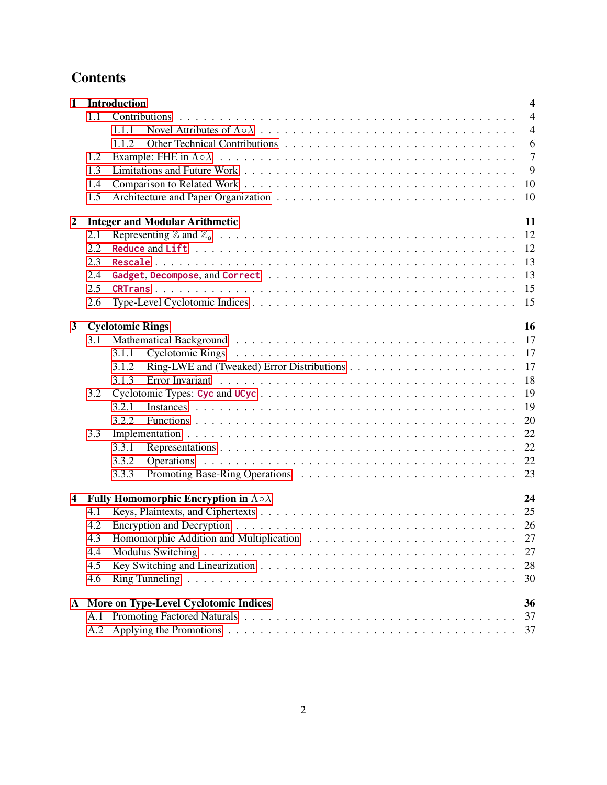# **Contents**

| $\mathbf{1}$            |     | Introduction<br>$\overline{\mathbf{4}}$                                                                                                 |
|-------------------------|-----|-----------------------------------------------------------------------------------------------------------------------------------------|
|                         | 1.1 | $\overline{4}$                                                                                                                          |
|                         |     | $\overline{4}$<br>1.1.1                                                                                                                 |
|                         |     | 1.1.2<br>6                                                                                                                              |
|                         | 1.2 | $\overline{7}$                                                                                                                          |
|                         | 1.3 | 9                                                                                                                                       |
|                         | 1.4 | -10                                                                                                                                     |
|                         | 1.5 |                                                                                                                                         |
| $\overline{2}$          |     | 11<br><b>Integer and Modular Arithmetic</b>                                                                                             |
|                         | 2.1 |                                                                                                                                         |
|                         | 2.2 |                                                                                                                                         |
|                         | 2.3 |                                                                                                                                         |
|                         | 2.4 | 13                                                                                                                                      |
|                         | 2.5 | 15                                                                                                                                      |
|                         | 2.6 |                                                                                                                                         |
|                         |     |                                                                                                                                         |
| $\mathbf{3}$            |     | 16<br><b>Cyclotomic Rings</b>                                                                                                           |
|                         | 3.1 |                                                                                                                                         |
|                         |     | Cyclotomic Rings (a) and a series and a series and a series and a series are series and series are series and $\frac{17}{100}$<br>3.1.1 |
|                         |     | 17<br>3.1.2                                                                                                                             |
|                         |     | 18<br>3.1.3                                                                                                                             |
|                         | 3.2 | 19                                                                                                                                      |
|                         |     | 19<br>3.2.1                                                                                                                             |
|                         |     | 20<br>3.2.2                                                                                                                             |
|                         | 3.3 | 22                                                                                                                                      |
|                         |     | 22<br>3.3.1                                                                                                                             |
|                         |     | 3.3.2                                                                                                                                   |
|                         |     | 3.3.3                                                                                                                                   |
| $\overline{\mathbf{4}}$ |     | Fully Homomorphic Encryption in $\Lambda \circ \lambda$<br>24                                                                           |
|                         | 4.1 |                                                                                                                                         |
|                         | 4.2 |                                                                                                                                         |
|                         | 4.3 |                                                                                                                                         |
|                         | 4.4 | 27                                                                                                                                      |
|                         | 4.5 | 28                                                                                                                                      |
|                         | 4.6 | 30                                                                                                                                      |
|                         |     |                                                                                                                                         |
|                         |     | A More on Type-Level Cyclotomic Indices<br>36                                                                                           |
|                         | A.1 | 37                                                                                                                                      |
|                         | A.2 | 37                                                                                                                                      |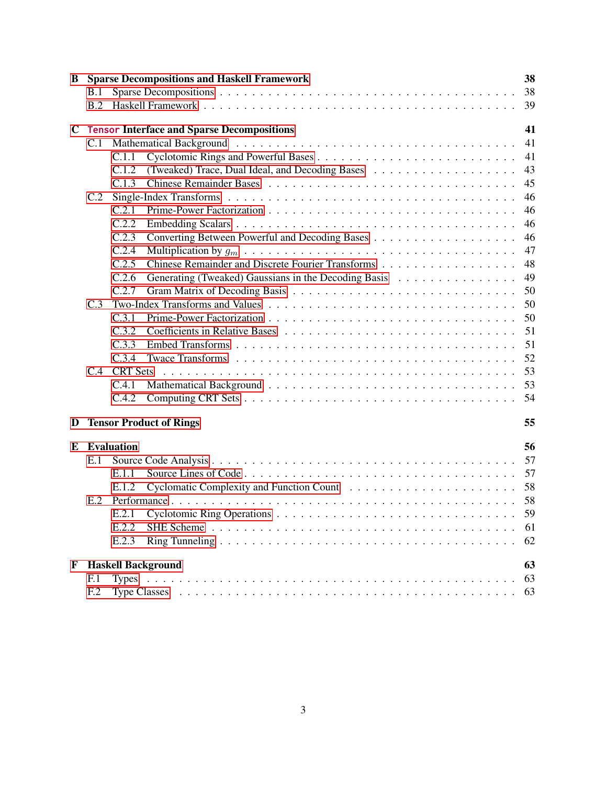| B.1<br>B.2<br>$\mathbf C$<br><b>Tensor Interface and Sparse Decompositions</b><br>C.1<br>C.1.1<br>C.1.2<br>C.1.3<br>C.2<br>C.2.1<br>C.2.2<br>C.2.3<br>C.2.4<br>C.2.5<br>C.2.6<br>C.2.7<br>C.3<br>C.3.1<br>C.3.2<br>C.3.3<br>C.3.4<br>C.4<br><b>CRT</b> Sets<br>C.4.1<br>C.4.2<br><b>Tensor Product of Rings</b><br>D<br><b>Evaluation</b><br>E<br>E.1<br>E.1.1<br>E.1.2<br>E.2<br>E.2.1<br>E.2.2<br>E.2.3<br>F<br><b>Haskell Background</b><br>F <sub>1</sub> | B |                 |    | <b>Sparse Decompositions and Haskell Framework</b> |  |  |  |    |  | 38 |  |  |  |  |
|---------------------------------------------------------------------------------------------------------------------------------------------------------------------------------------------------------------------------------------------------------------------------------------------------------------------------------------------------------------------------------------------------------------------------------------------------------------|---|-----------------|----|----------------------------------------------------|--|--|--|----|--|----|--|--|--|--|
|                                                                                                                                                                                                                                                                                                                                                                                                                                                               |   |                 |    |                                                    |  |  |  |    |  |    |  |  |  |  |
|                                                                                                                                                                                                                                                                                                                                                                                                                                                               |   |                 |    |                                                    |  |  |  |    |  | 39 |  |  |  |  |
|                                                                                                                                                                                                                                                                                                                                                                                                                                                               |   |                 |    |                                                    |  |  |  |    |  | 41 |  |  |  |  |
|                                                                                                                                                                                                                                                                                                                                                                                                                                                               |   |                 |    |                                                    |  |  |  | 41 |  |    |  |  |  |  |
|                                                                                                                                                                                                                                                                                                                                                                                                                                                               |   |                 |    |                                                    |  |  |  |    |  | 41 |  |  |  |  |
|                                                                                                                                                                                                                                                                                                                                                                                                                                                               |   |                 |    |                                                    |  |  |  |    |  | 43 |  |  |  |  |
|                                                                                                                                                                                                                                                                                                                                                                                                                                                               |   |                 |    |                                                    |  |  |  |    |  | 45 |  |  |  |  |
|                                                                                                                                                                                                                                                                                                                                                                                                                                                               |   |                 |    |                                                    |  |  |  |    |  | 46 |  |  |  |  |
|                                                                                                                                                                                                                                                                                                                                                                                                                                                               |   |                 |    |                                                    |  |  |  |    |  | 46 |  |  |  |  |
|                                                                                                                                                                                                                                                                                                                                                                                                                                                               |   |                 |    |                                                    |  |  |  |    |  | 46 |  |  |  |  |
|                                                                                                                                                                                                                                                                                                                                                                                                                                                               |   |                 |    |                                                    |  |  |  |    |  | 46 |  |  |  |  |
|                                                                                                                                                                                                                                                                                                                                                                                                                                                               |   |                 |    |                                                    |  |  |  |    |  | 47 |  |  |  |  |
|                                                                                                                                                                                                                                                                                                                                                                                                                                                               |   |                 |    |                                                    |  |  |  |    |  | 48 |  |  |  |  |
|                                                                                                                                                                                                                                                                                                                                                                                                                                                               |   |                 |    |                                                    |  |  |  |    |  | 49 |  |  |  |  |
|                                                                                                                                                                                                                                                                                                                                                                                                                                                               |   |                 |    |                                                    |  |  |  |    |  | 50 |  |  |  |  |
|                                                                                                                                                                                                                                                                                                                                                                                                                                                               |   |                 |    |                                                    |  |  |  |    |  | 50 |  |  |  |  |
|                                                                                                                                                                                                                                                                                                                                                                                                                                                               |   |                 |    |                                                    |  |  |  |    |  | 50 |  |  |  |  |
|                                                                                                                                                                                                                                                                                                                                                                                                                                                               |   |                 |    |                                                    |  |  |  |    |  | 51 |  |  |  |  |
|                                                                                                                                                                                                                                                                                                                                                                                                                                                               |   |                 |    |                                                    |  |  |  |    |  | 51 |  |  |  |  |
|                                                                                                                                                                                                                                                                                                                                                                                                                                                               |   |                 |    |                                                    |  |  |  |    |  | 52 |  |  |  |  |
|                                                                                                                                                                                                                                                                                                                                                                                                                                                               |   |                 |    |                                                    |  |  |  |    |  | 53 |  |  |  |  |
|                                                                                                                                                                                                                                                                                                                                                                                                                                                               |   |                 |    |                                                    |  |  |  |    |  |    |  |  |  |  |
|                                                                                                                                                                                                                                                                                                                                                                                                                                                               |   |                 |    |                                                    |  |  |  |    |  | 54 |  |  |  |  |
|                                                                                                                                                                                                                                                                                                                                                                                                                                                               |   |                 |    |                                                    |  |  |  |    |  | 55 |  |  |  |  |
|                                                                                                                                                                                                                                                                                                                                                                                                                                                               |   |                 |    |                                                    |  |  |  |    |  | 56 |  |  |  |  |
|                                                                                                                                                                                                                                                                                                                                                                                                                                                               |   |                 |    |                                                    |  |  |  |    |  | 57 |  |  |  |  |
|                                                                                                                                                                                                                                                                                                                                                                                                                                                               |   |                 |    |                                                    |  |  |  |    |  |    |  |  |  |  |
|                                                                                                                                                                                                                                                                                                                                                                                                                                                               |   |                 |    |                                                    |  |  |  |    |  |    |  |  |  |  |
|                                                                                                                                                                                                                                                                                                                                                                                                                                                               |   |                 |    |                                                    |  |  |  |    |  |    |  |  |  |  |
|                                                                                                                                                                                                                                                                                                                                                                                                                                                               |   |                 |    |                                                    |  |  |  |    |  |    |  |  |  |  |
|                                                                                                                                                                                                                                                                                                                                                                                                                                                               |   |                 |    |                                                    |  |  |  |    |  | 61 |  |  |  |  |
|                                                                                                                                                                                                                                                                                                                                                                                                                                                               |   |                 |    |                                                    |  |  |  |    |  | 62 |  |  |  |  |
|                                                                                                                                                                                                                                                                                                                                                                                                                                                               |   |                 |    |                                                    |  |  |  |    |  | 63 |  |  |  |  |
|                                                                                                                                                                                                                                                                                                                                                                                                                                                               |   |                 | 63 |                                                    |  |  |  |    |  |    |  |  |  |  |
|                                                                                                                                                                                                                                                                                                                                                                                                                                                               |   | F <sub>12</sub> |    |                                                    |  |  |  |    |  | 63 |  |  |  |  |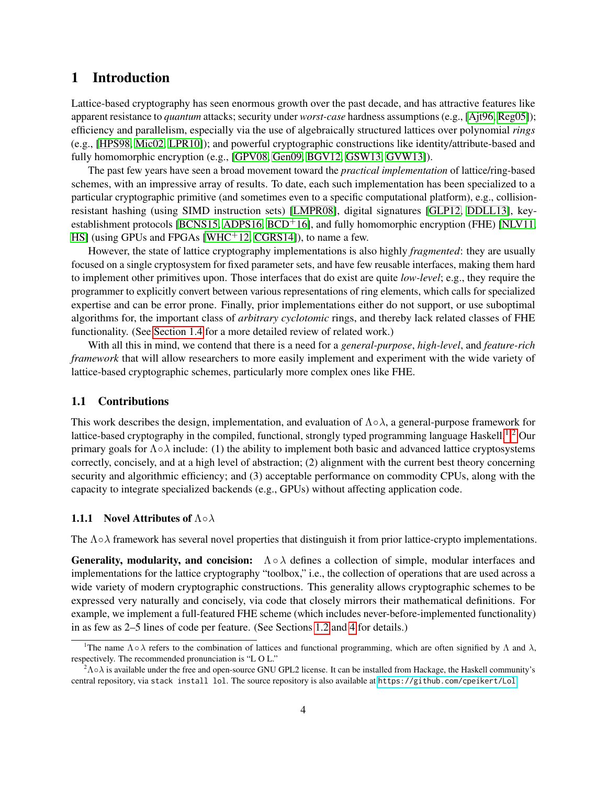# <span id="page-3-0"></span>1 Introduction

Lattice-based cryptography has seen enormous growth over the past decade, and has attractive features like apparent resistance to *quantum* attacks; security under *worst-case* hardness assumptions (e.g., [\[Ajt96,](#page-32-0) [Reg05\]](#page-35-1)); efficiency and parallelism, especially via the use of algebraically structured lattices over polynomial *rings* (e.g., [\[HPS98,](#page-34-0) [Mic02,](#page-35-2) [LPR10\]](#page-34-1)); and powerful cryptographic constructions like identity/attribute-based and fully homomorphic encryption (e.g., [\[GPV08,](#page-34-2) [Gen09,](#page-33-0) [BGV12,](#page-32-1) [GSW13,](#page-34-3) [GVW13\]](#page-34-4)).

The past few years have seen a broad movement toward the *practical implementation* of lattice/ring-based schemes, with an impressive array of results. To date, each such implementation has been specialized to a particular cryptographic primitive (and sometimes even to a specific computational platform), e.g., collisionresistant hashing (using SIMD instruction sets) [\[LMPR08\]](#page-34-5), digital signatures [\[GLP12,](#page-34-6) [DDLL13\]](#page-33-1), key-establishment protocols [\[BCNS15,](#page-32-2) [ADPS16,](#page-32-3) [BCD](#page-32-4)<sup>+</sup>16], and fully homomorphic encryption (FHE) [\[NLV11,](#page-35-3) [HS\]](#page-34-7) (using GPUs and FPGAs [\[WHC](#page-35-4)<sup>+</sup>12, [CGRS14\]](#page-33-2)), to name a few.

However, the state of lattice cryptography implementations is also highly *fragmented*: they are usually focused on a single cryptosystem for fixed parameter sets, and have few reusable interfaces, making them hard to implement other primitives upon. Those interfaces that do exist are quite *low-level*; e.g., they require the programmer to explicitly convert between various representations of ring elements, which calls for specialized expertise and can be error prone. Finally, prior implementations either do not support, or use suboptimal algorithms for, the important class of *arbitrary cyclotomic* rings, and thereby lack related classes of FHE functionality. (See [Section 1.4](#page-9-0) for a more detailed review of related work.)

With all this in mind, we contend that there is a need for a *general-purpose*, *high-level*, and *feature-rich framework* that will allow researchers to more easily implement and experiment with the wide variety of lattice-based cryptographic schemes, particularly more complex ones like FHE.

# <span id="page-3-1"></span>1.1 Contributions

This work describes the design, implementation, and evaluation of  $\Lambda \circ \lambda$ , a general-purpose framework for lattice-based cryptography in the compiled, functional, strongly typed programming language Haskell.<sup>[1,](#page-3-3)[2](#page-3-4)</sup> Our primary goals for  $\Lambda \circ \lambda$  include: (1) the ability to implement both basic and advanced lattice cryptosystems correctly, concisely, and at a high level of abstraction; (2) alignment with the current best theory concerning security and algorithmic efficiency; and (3) acceptable performance on commodity CPUs, along with the capacity to integrate specialized backends (e.g., GPUs) without affecting application code.

### <span id="page-3-2"></span>1.1.1 Novel Attributes of  $\Lambda \circ \lambda$

The  $\Lambda \circ \lambda$  framework has several novel properties that distinguish it from prior lattice-crypto implementations.

**Generality, modularity, and concision:**  $\Lambda \circ \lambda$  defines a collection of simple, modular interfaces and implementations for the lattice cryptography "toolbox," i.e., the collection of operations that are used across a wide variety of modern cryptographic constructions. This generality allows cryptographic schemes to be expressed very naturally and concisely, via code that closely mirrors their mathematical definitions. For example, we implement a full-featured FHE scheme (which includes never-before-implemented functionality) in as few as 2–5 lines of code per feature. (See Sections [1.2](#page-6-0) and [4](#page-23-0) for details.)

<span id="page-3-3"></span><sup>&</sup>lt;sup>1</sup>The name  $\Lambda \circ \lambda$  refers to the combination of lattices and functional programming, which are often signified by  $\Lambda$  and  $\lambda$ , respectively. The recommended pronunciation is "L O L."

<span id="page-3-4"></span> ${}^{2}$ Λολ is available under the free and open-source GNU GPL2 license. It can be installed from Hackage, the Haskell community's central repository, via stack install lol. The source repository is also available at <https://github.com/cpeikert/Lol>.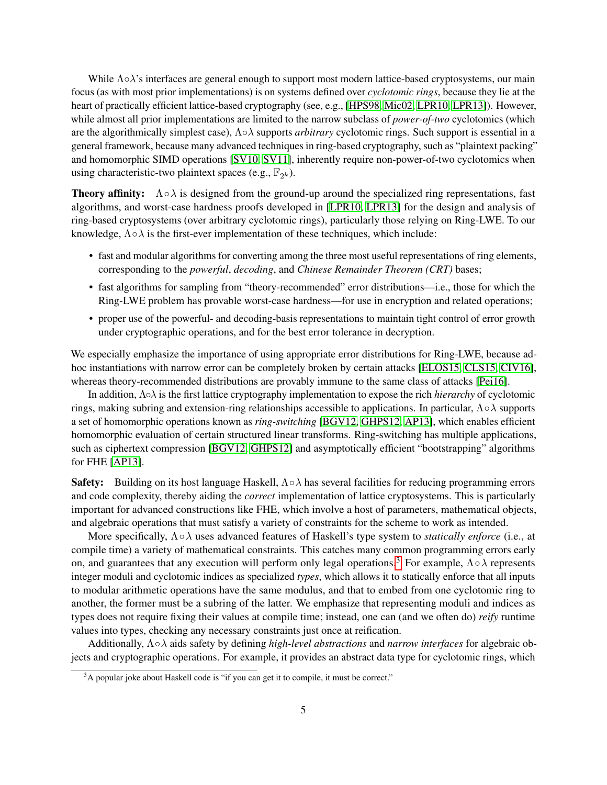While  $\Lambda \circ \lambda$ 's interfaces are general enough to support most modern lattice-based cryptosystems, our main focus (as with most prior implementations) is on systems defined over *cyclotomic rings*, because they lie at the heart of practically efficient lattice-based cryptography (see, e.g., [\[HPS98,](#page-34-0) [Mic02,](#page-35-2) [LPR10,](#page-34-1) [LPR13\]](#page-34-8)). However, while almost all prior implementations are limited to the narrow subclass of *power-of-two* cyclotomics (which are the algorithmically simplest case), Λ◦λ supports *arbitrary* cyclotomic rings. Such support is essential in a general framework, because many advanced techniques in ring-based cryptography, such as "plaintext packing" and homomorphic SIMD operations [\[SV10,](#page-35-5) [SV11\]](#page-35-6), inherently require non-power-of-two cyclotomics when using characteristic-two plaintext spaces (e.g.,  $\mathbb{F}_{2^k}$ ).

**Theory affinity:**  $\Lambda \circ \lambda$  is designed from the ground-up around the specialized ring representations, fast algorithms, and worst-case hardness proofs developed in [\[LPR10,](#page-34-1) [LPR13\]](#page-34-8) for the design and analysis of ring-based cryptosystems (over arbitrary cyclotomic rings), particularly those relying on Ring-LWE. To our knowledge,  $\Lambda \circ \lambda$  is the first-ever implementation of these techniques, which include:

- fast and modular algorithms for converting among the three most useful representations of ring elements, corresponding to the *powerful*, *decoding*, and *Chinese Remainder Theorem (CRT)* bases;
- fast algorithms for sampling from "theory-recommended" error distributions—i.e., those for which the Ring-LWE problem has provable worst-case hardness—for use in encryption and related operations;
- proper use of the powerful- and decoding-basis representations to maintain tight control of error growth under cryptographic operations, and for the best error tolerance in decryption.

We especially emphasize the importance of using appropriate error distributions for Ring-LWE, because adhoc instantiations with narrow error can be completely broken by certain attacks [\[ELOS15,](#page-33-3) [CLS15,](#page-33-4) [CIV16\]](#page-33-5), whereas theory-recommended distributions are provably immune to the same class of attacks [\[Pei16\]](#page-35-7).

In addition, Λ◦λ is the first lattice cryptography implementation to expose the rich *hierarchy* of cyclotomic rings, making subring and extension-ring relationships accessible to applications. In particular,  $\Lambda \circ \lambda$  supports a set of homomorphic operations known as *ring-switching* [\[BGV12,](#page-32-1) [GHPS12,](#page-34-9) [AP13\]](#page-32-5), which enables efficient homomorphic evaluation of certain structured linear transforms. Ring-switching has multiple applications, such as ciphertext compression [\[BGV12,](#page-32-1) [GHPS12\]](#page-34-9) and asymptotically efficient "bootstrapping" algorithms for FHE [\[AP13\]](#page-32-5).

**Safety:** Building on its host language Haskell,  $\Lambda \circ \lambda$  has several facilities for reducing programming errors and code complexity, thereby aiding the *correct* implementation of lattice cryptosystems. This is particularly important for advanced constructions like FHE, which involve a host of parameters, mathematical objects, and algebraic operations that must satisfy a variety of constraints for the scheme to work as intended.

More specifically, Λ◦λ uses advanced features of Haskell's type system to *statically enforce* (i.e., at compile time) a variety of mathematical constraints. This catches many common programming errors early on, and guarantees that any execution will perform only legal operations.<sup>[3](#page-4-0)</sup> For example,  $\Lambda \circ \lambda$  represents integer moduli and cyclotomic indices as specialized *types*, which allows it to statically enforce that all inputs to modular arithmetic operations have the same modulus, and that to embed from one cyclotomic ring to another, the former must be a subring of the latter. We emphasize that representing moduli and indices as types does not require fixing their values at compile time; instead, one can (and we often do) *reify* runtime values into types, checking any necessary constraints just once at reification.

Additionally, Λ◦λ aids safety by defining *high-level abstractions* and *narrow interfaces* for algebraic objects and cryptographic operations. For example, it provides an abstract data type for cyclotomic rings, which

<span id="page-4-0"></span><sup>&</sup>lt;sup>3</sup>A popular joke about Haskell code is "if you can get it to compile, it must be correct."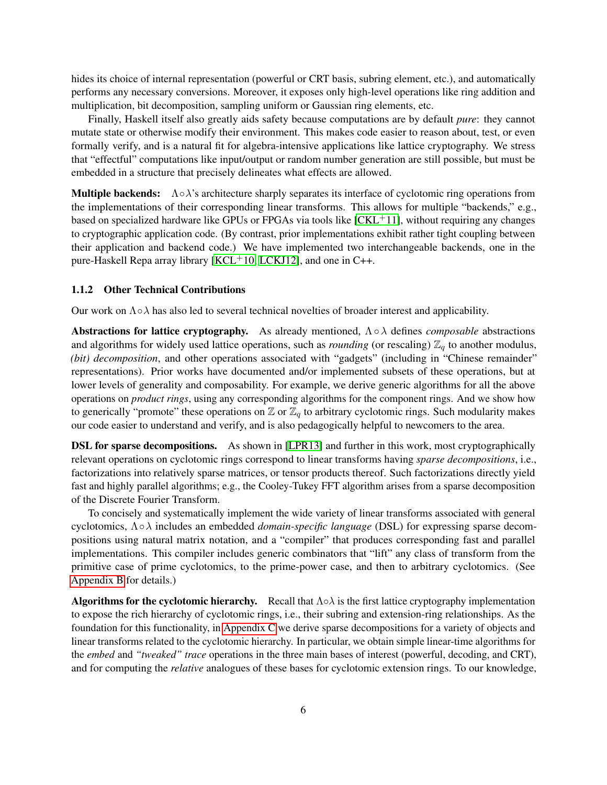hides its choice of internal representation (powerful or CRT basis, subring element, etc.), and automatically performs any necessary conversions. Moreover, it exposes only high-level operations like ring addition and multiplication, bit decomposition, sampling uniform or Gaussian ring elements, etc.

Finally, Haskell itself also greatly aids safety because computations are by default *pure*: they cannot mutate state or otherwise modify their environment. This makes code easier to reason about, test, or even formally verify, and is a natural fit for algebra-intensive applications like lattice cryptography. We stress that "effectful" computations like input/output or random number generation are still possible, but must be embedded in a structure that precisely delineates what effects are allowed.

**Multiple backends:**  $\Lambda \circ \lambda$ 's architecture sharply separates its interface of cyclotomic ring operations from the implementations of their corresponding linear transforms. This allows for multiple "backends," e.g., based on specialized hardware like GPUs or FPGAs via tools like  $[CKL+11]$  $[CKL+11]$ , without requiring any changes to cryptographic application code. (By contrast, prior implementations exhibit rather tight coupling between their application and backend code.) We have implemented two interchangeable backends, one in the pure-Haskell Repa array library  $[KCL<sup>+</sup>10, LCKJ12]$  $[KCL<sup>+</sup>10, LCKJ12]$  $[KCL<sup>+</sup>10, LCKJ12]$ , and one in C++.

### <span id="page-5-0"></span>1.1.2 Other Technical Contributions

Our work on  $\Lambda \circ \lambda$  has also led to several technical novelties of broader interest and applicability.

Abstractions for lattice cryptography. As already mentioned, Λ◦λ defines *composable* abstractions and algorithms for widely used lattice operations, such as *rounding* (or rescaling)  $\mathbb{Z}_q$  to another modulus, (bit) decomposition, and other operations associated with "gadgets" (including in "Chinese remainder" representations). Prior works have documented and/or implemented subsets of these operations, but at lower levels of generality and composability. For example, we derive generic algorithms for all the above operations on *product rings*, using any corresponding algorithms for the component rings. And we show how to generically "promote" these operations on  $\mathbb Z$  or  $\mathbb Z_q$  to arbitrary cyclotomic rings. Such modularity makes our code easier to understand and verify, and is also pedagogically helpful to newcomers to the area.

**DSL for sparse decompositions.** As shown in [\[LPR13\]](#page-34-8) and further in this work, most cryptographically relevant operations on cyclotomic rings correspond to linear transforms having *sparse decompositions*, i.e., factorizations into relatively sparse matrices, or tensor products thereof. Such factorizations directly yield fast and highly parallel algorithms; e.g., the Cooley-Tukey FFT algorithm arises from a sparse decomposition of the Discrete Fourier Transform.

To concisely and systematically implement the wide variety of linear transforms associated with general cyclotomics, Λ◦λ includes an embedded *domain-specific language* (DSL) for expressing sparse decompositions using natural matrix notation, and a "compiler" that produces corresponding fast and parallel implementations. This compiler includes generic combinators that "lift" any class of transform from the primitive case of prime cyclotomics, to the prime-power case, and then to arbitrary cyclotomics. (See [Appendix B](#page-37-0) for details.)

**Algorithms for the cyclotomic hierarchy.** Recall that  $\Lambda \circ \lambda$  is the first lattice cryptography implementation to expose the rich hierarchy of cyclotomic rings, i.e., their subring and extension-ring relationships. As the foundation for this functionality, in [Appendix C](#page-40-0) we derive sparse decompositions for a variety of objects and linear transforms related to the cyclotomic hierarchy. In particular, we obtain simple linear-time algorithms for the *embed* and *"tweaked" trace* operations in the three main bases of interest (powerful, decoding, and CRT), and for computing the *relative* analogues of these bases for cyclotomic extension rings. To our knowledge,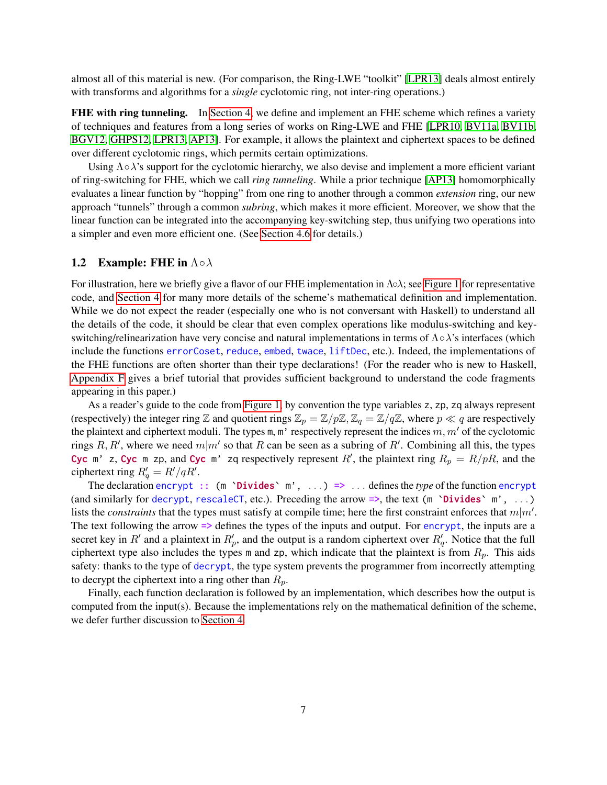almost all of this material is new. (For comparison, the Ring-LWE "toolkit" [\[LPR13\]](#page-34-8) deals almost entirely with transforms and algorithms for a *single* cyclotomic ring, not inter-ring operations.)

FHE with ring tunneling. In [Section 4,](#page-23-0) we define and implement an FHE scheme which refines a variety of techniques and features from a long series of works on Ring-LWE and FHE [\[LPR10,](#page-34-1) [BV11a,](#page-33-7) [BV11b,](#page-33-8) [BGV12,](#page-32-1) [GHPS12,](#page-34-9) [LPR13,](#page-34-8) [AP13\]](#page-32-5). For example, it allows the plaintext and ciphertext spaces to be defined over different cyclotomic rings, which permits certain optimizations.

Using  $\Lambda \circ \lambda$ 's support for the cyclotomic hierarchy, we also devise and implement a more efficient variant of ring-switching for FHE, which we call *ring tunneling*. While a prior technique [\[AP13\]](#page-32-5) homomorphically evaluates a linear function by "hopping" from one ring to another through a common *extension* ring, our new approach "tunnels" through a common *subring*, which makes it more efficient. Moreover, we show that the linear function can be integrated into the accompanying key-switching step, thus unifying two operations into a simpler and even more efficient one. (See [Section 4.6](#page-29-0) for details.)

# <span id="page-6-0"></span>1.2 Example: FHE in  $\Lambda \circ \lambda$

For illustration, here we briefly give a flavor of our FHE implementation in Λολ; see [Figure 1](#page-7-0) for representative code, and [Section 4](#page-23-0) for many more details of the scheme's mathematical definition and implementation. While we do not expect the reader (especially one who is not conversant with Haskell) to understand all the details of the code, it should be clear that even complex operations like modulus-switching and keyswitching/relinearization have very concise and natural implementations in terms of  $\Lambda \circ \lambda$ 's interfaces (which include the functions errorCoset, reduce, embed, twace, liftDec, etc.). Indeed, the implementations of the FHE functions are often shorter than their type declarations! (For the reader who is new to Haskell, [Appendix F](#page-62-0) gives a brief tutorial that provides sufficient background to understand the code fragments appearing in this paper.)

As a reader's guide to the code from [Figure 1,](#page-7-0) by convention the type variables z, zp, zq always represent (respectively) the integer ring Z and quotient rings  $\mathbb{Z}_p = \mathbb{Z}/p\mathbb{Z}, \mathbb{Z}_q = \mathbb{Z}/q\mathbb{Z}$ , where  $p \ll q$  are respectively the plaintext and ciphertext moduli. The types m, m' respectively represent the indices  $m, m'$  of the cyclotomic rings R, R', where we need  $m|m'$  so that R can be seen as a subring of R'. Combining all this, the types Cyc m' z, Cyc m zp, and Cyc m' zq respectively represent R', the plaintext ring  $R_p = R/pR$ , and the ciphertext ring  $R'_q = R'/qR'.$ 

The declaration encrypt :: (m 'Divides' m', ...) => ... defines the *type* of the function encrypt (and similarly for decrypt, rescaleCT, etc.). Preceding the arrow  $\Rightarrow$ , the text (m `Divides` m', ...) lists the *constraints* that the types must satisfy at compile time; here the first constraint enforces that  $m|m'$ . The text following the arrow => defines the types of the inputs and output. For encrypt, the inputs are a secret key in  $R'$  and a plaintext in  $R'_p$ , and the output is a random ciphertext over  $R'_q$ . Notice that the full ciphertext type also includes the types m and zp, which indicate that the plaintext is from  $R_p$ . This aids safety: thanks to the type of decrypt, the type system prevents the programmer from incorrectly attempting to decrypt the ciphertext into a ring other than  $R_p$ .

Finally, each function declaration is followed by an implementation, which describes how the output is computed from the input(s). Because the implementations rely on the mathematical definition of the scheme, we defer further discussion to [Section 4.](#page-23-0)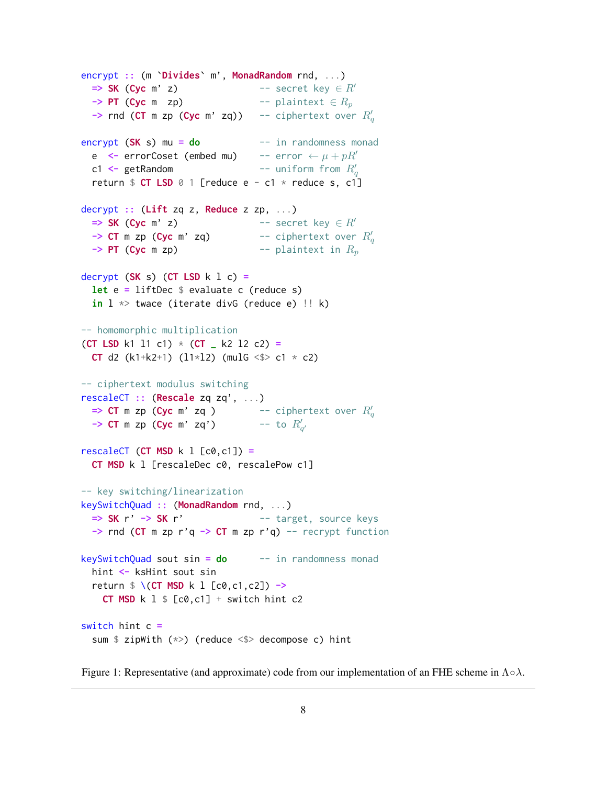```
encrypt :: (m `Divides` m', MonadRandom rnd, ...)
  \Rightarrow SK (Cyc m' z) -- secret key \in R'
  \rightarrow PT (Cyc m zp) -- plaintext \in R_p-> rnd (CT m zp (Cyc m' zq)) -- ciphertext over R_q'encrypt (SK s) mu = do - in randomness monad
  e <- errorCoset (embed mu) -- error \leftarrow \mu + pR'c1 <- getRandom
                                 -- uniform from R_{q}^{\prime}return $ CT LSD @ 1 [reduce e - c1 * reduce s, c1]decrypt :: (Lift zq z, Reduce z zp, \dots)
  \Rightarrow SK (Cyc m' z) -- secret key \in R'
  -> CT m zp (Cyc m' zq) - -- ciphertext over R'_q\rightarrow PT (Cyc m zp) -- plaintext in R_pdecrypt (SK s) (CT LSD k l c) =let e = liftDec \frac{1}{2} evaluate c (reduce s)
  in l \gg twace (iterate divG (reduce e) \text{!} \, \,k)
-- homomorphic multiplication
(CT LSD k1 l1 c1) * (CT \_ k2 l2 c2) =
  CT d2 (k1+k2+1) (11*12) (mulG <$> c1 * c2)
-- ciphertext modulus switching
rescaleCT :: (Rescale zq zq', ...)
  => CT m zp (Cyc m' zq ) -- ciphertext over R'_q<br>-> CT m zp (Cyc m' zq') -- to R'_{q'}rescaleCT (CT MSD k l [c0, c1]) =
  CT MSD k l [rescaleDec c0, rescalePow c1]
-- key switching/linearization
keySwitchQuad :: (MonadRandom rnd, ...)
  \Rightarrow SK r' \rightarrow SK r' \qquad -- target, source keys
  \rightarrow rnd (CT m zp r'q \rightarrow CT m zp r'q) -- recrypt function
keySwitchQuad sout sin = do -- in randomness monad
  hint <- ksHint sout sin
  return $ \ (CT MSD k 1 [c0, c1, c2]) \rightarrowCT MSD k l \frac{1}{2} [c0,c1] + switch hint c2
switch hint c =sum $ zipWith (*>) (reduce <$> decompose c) hint
```
Figure 1: Representative (and approximate) code from our implementation of an FHE scheme in  $\Lambda \circ \lambda$ .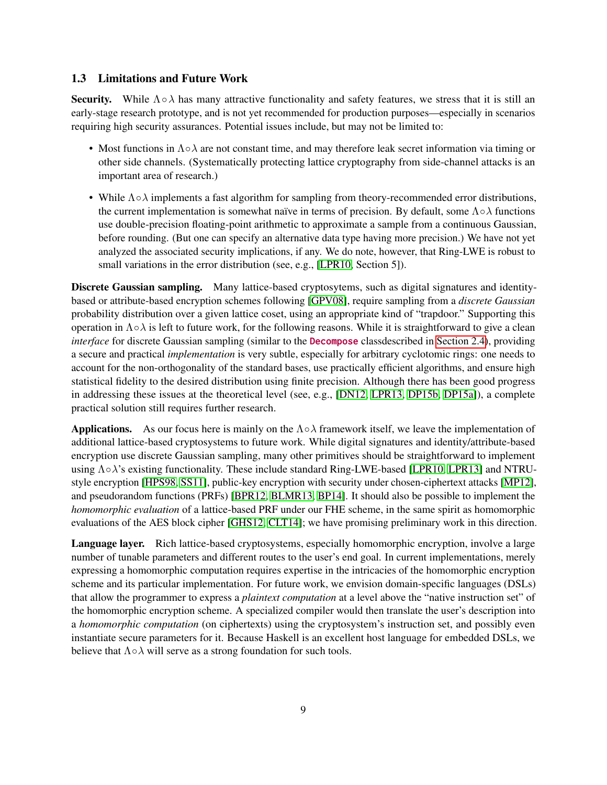# <span id="page-8-0"></span>1.3 Limitations and Future Work

Security. While  $\Lambda \circ \lambda$  has many attractive functionality and safety features, we stress that it is still an early-stage research prototype, and is not yet recommended for production purposes—especially in scenarios requiring high security assurances. Potential issues include, but may not be limited to:

- Most functions in  $\Lambda \circ \lambda$  are not constant time, and may therefore leak secret information via timing or other side channels. (Systematically protecting lattice cryptography from side-channel attacks is an important area of research.)
- While  $\Lambda \circ \lambda$  implements a fast algorithm for sampling from theory-recommended error distributions, the current implementation is somewhat naïve in terms of precision. By default, some  $\Lambda \circ \lambda$  functions use double-precision floating-point arithmetic to approximate a sample from a continuous Gaussian, before rounding. (But one can specify an alternative data type having more precision.) We have not yet analyzed the associated security implications, if any. We do note, however, that Ring-LWE is robust to small variations in the error distribution (see, e.g., [\[LPR10,](#page-34-1) Section 5]).

Discrete Gaussian sampling. Many lattice-based cryptosytems, such as digital signatures and identitybased or attribute-based encryption schemes following [\[GPV08\]](#page-34-2), require sampling from a *discrete Gaussian* probability distribution over a given lattice coset, using an appropriate kind of "trapdoor." Supporting this operation in  $\Lambda \circ \lambda$  is left to future work, for the following reasons. While it is straightforward to give a clean *interface* for discrete Gaussian sampling (similar to the **Decompose** classdescribed in [Section 2.4\)](#page-12-1), providing a secure and practical *implementation* is very subtle, especially for arbitrary cyclotomic rings: one needs to account for the non-orthogonality of the standard bases, use practically efficient algorithms, and ensure high statistical fidelity to the desired distribution using finite precision. Although there has been good progress in addressing these issues at the theoretical level (see, e.g., [\[DN12,](#page-33-9) [LPR13,](#page-34-8) [DP15b,](#page-33-10) [DP15a\]](#page-33-11)), a complete practical solution still requires further research.

**Applications.** As our focus here is mainly on the  $\Lambda \circ \lambda$  framework itself, we leave the implementation of additional lattice-based cryptosystems to future work. While digital signatures and identity/attribute-based encryption use discrete Gaussian sampling, many other primitives should be straightforward to implement using Λ∘λ's existing functionality. These include standard Ring-LWE-based [\[LPR10,](#page-34-1) [LPR13\]](#page-34-8) and NTRUstyle encryption [\[HPS98,](#page-34-0) [SS11\]](#page-35-8), public-key encryption with security under chosen-ciphertext attacks [\[MP12\]](#page-35-9), and pseudorandom functions (PRFs) [\[BPR12,](#page-33-12) [BLMR13,](#page-32-6) [BP14\]](#page-32-7). It should also be possible to implement the *homomorphic evaluation* of a lattice-based PRF under our FHE scheme, in the same spirit as homomorphic evaluations of the AES block cipher [\[GHS12,](#page-34-12) [CLT14\]](#page-33-13); we have promising preliminary work in this direction.

Language layer. Rich lattice-based cryptosystems, especially homomorphic encryption, involve a large number of tunable parameters and different routes to the user's end goal. In current implementations, merely expressing a homomorphic computation requires expertise in the intricacies of the homomorphic encryption scheme and its particular implementation. For future work, we envision domain-specific languages (DSLs) that allow the programmer to express a *plaintext computation* at a level above the "native instruction set" of the homomorphic encryption scheme. A specialized compiler would then translate the user's description into a *homomorphic computation* (on ciphertexts) using the cryptosystem's instruction set, and possibly even instantiate secure parameters for it. Because Haskell is an excellent host language for embedded DSLs, we believe that  $\Lambda \circ \lambda$  will serve as a strong foundation for such tools.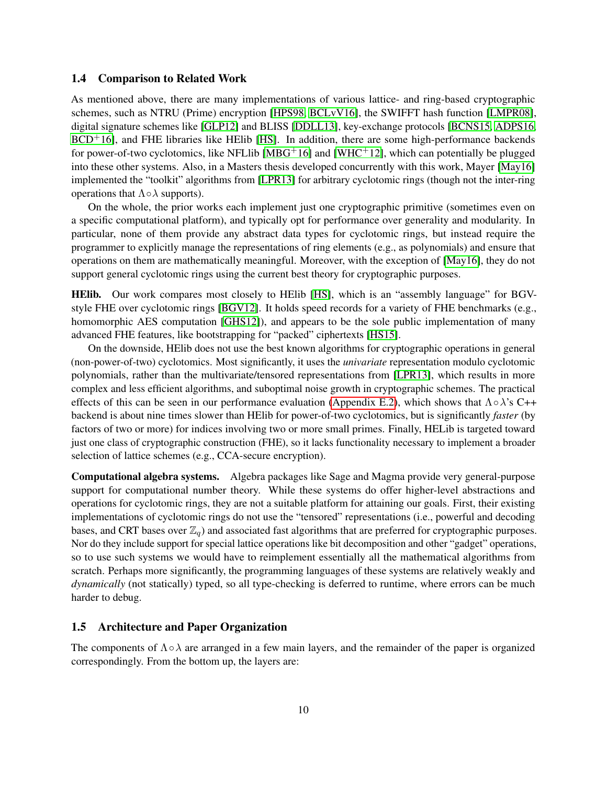# <span id="page-9-0"></span>1.4 Comparison to Related Work

As mentioned above, there are many implementations of various lattice- and ring-based cryptographic schemes, such as NTRU (Prime) encryption [\[HPS98,](#page-34-0) [BCLvV16\]](#page-32-8), the SWIFFT hash function [\[LMPR08\]](#page-34-5), digital signature schemes like [\[GLP12\]](#page-34-6) and BLISS [\[DDLL13\]](#page-33-1), key-exchange protocols [\[BCNS15,](#page-32-2) [ADPS16,](#page-32-3)  $BCD<sup>+</sup>16$  $BCD<sup>+</sup>16$ ], and FHE libraries like HElib [\[HS\]](#page-34-7). In addition, there are some high-performance backends for power-of-two cyclotomics, like NFLIib [\[MBG](#page-35-10)<sup>+</sup>16] and [\[WHC](#page-35-4)<sup>+</sup>12], which can potentially be plugged into these other systems. Also, in a Masters thesis developed concurrently with this work, Mayer [\[May16\]](#page-34-13) implemented the "toolkit" algorithms from [\[LPR13\]](#page-34-8) for arbitrary cyclotomic rings (though not the inter-ring operations that  $\Lambda \circ \lambda$  supports).

On the whole, the prior works each implement just one cryptographic primitive (sometimes even on a specific computational platform), and typically opt for performance over generality and modularity. In particular, none of them provide any abstract data types for cyclotomic rings, but instead require the programmer to explicitly manage the representations of ring elements (e.g., as polynomials) and ensure that operations on them are mathematically meaningful. Moreover, with the exception of [\[May16\]](#page-34-13), they do not support general cyclotomic rings using the current best theory for cryptographic purposes.

HElib. Our work compares most closely to HElib [\[HS\]](#page-34-7), which is an "assembly language" for BGVstyle FHE over cyclotomic rings [\[BGV12\]](#page-32-1). It holds speed records for a variety of FHE benchmarks (e.g., homomorphic AES computation [\[GHS12\]](#page-34-12)), and appears to be the sole public implementation of many advanced FHE features, like bootstrapping for "packed" ciphertexts [\[HS15\]](#page-34-14).

On the downside, HElib does not use the best known algorithms for cryptographic operations in general (non-power-of-two) cyclotomics. Most significantly, it uses the *univariate* representation modulo cyclotomic polynomials, rather than the multivariate/tensored representations from [\[LPR13\]](#page-34-8), which results in more complex and less efficient algorithms, and suboptimal noise growth in cryptographic schemes. The practical effects of this can be seen in our performance evaluation [\(Appendix E.2\)](#page-57-1), which shows that  $\Lambda \circ \lambda$ 's C++ backend is about nine times slower than HElib for power-of-two cyclotomics, but is significantly *faster* (by factors of two or more) for indices involving two or more small primes. Finally, HELib is targeted toward just one class of cryptographic construction (FHE), so it lacks functionality necessary to implement a broader selection of lattice schemes (e.g., CCA-secure encryption).

Computational algebra systems. Algebra packages like Sage and Magma provide very general-purpose support for computational number theory. While these systems do offer higher-level abstractions and operations for cyclotomic rings, they are not a suitable platform for attaining our goals. First, their existing implementations of cyclotomic rings do not use the "tensored" representations (i.e., powerful and decoding bases, and CRT bases over  $\mathbb{Z}_q$ ) and associated fast algorithms that are preferred for cryptographic purposes. Nor do they include support for special lattice operations like bit decomposition and other "gadget" operations, so to use such systems we would have to reimplement essentially all the mathematical algorithms from scratch. Perhaps more significantly, the programming languages of these systems are relatively weakly and *dynamically* (not statically) typed, so all type-checking is deferred to runtime, where errors can be much harder to debug.

# <span id="page-9-1"></span>1.5 Architecture and Paper Organization

The components of  $\Lambda \circ \lambda$  are arranged in a few main layers, and the remainder of the paper is organized correspondingly. From the bottom up, the layers are: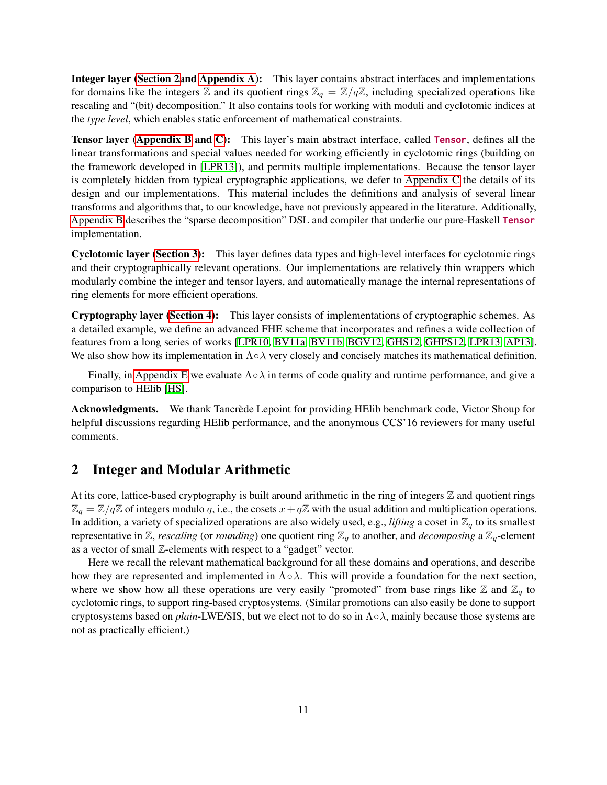Integer layer [\(Section 2a](#page-10-0)nd [Appendix A\)](#page-35-0): This layer contains abstract interfaces and implementations for domains like the integers Z and its quotient rings  $\mathbb{Z}_q = \mathbb{Z}/q\mathbb{Z}$ , including specialized operations like rescaling and "(bit) decomposition." It also contains tools for working with moduli and cyclotomic indices at the *type level*, which enables static enforcement of mathematical constraints.

Tensor layer [\(Appendix B](#page-37-0) and [C\)](#page-40-0): This layer's main abstract interface, called Tensor, defines all the linear transformations and special values needed for working efficiently in cyclotomic rings (building on the framework developed in [\[LPR13\]](#page-34-8)), and permits multiple implementations. Because the tensor layer is completely hidden from typical cryptographic applications, we defer to [Appendix C](#page-40-0) the details of its design and our implementations. This material includes the definitions and analysis of several linear transforms and algorithms that, to our knowledge, have not previously appeared in the literature. Additionally, [Appendix B](#page-37-0) describes the "sparse decomposition" DSL and compiler that underlie our pure-Haskell Tensor implementation.

Cyclotomic layer [\(Section 3\)](#page-15-0): This layer defines data types and high-level interfaces for cyclotomic rings and their cryptographically relevant operations. Our implementations are relatively thin wrappers which modularly combine the integer and tensor layers, and automatically manage the internal representations of ring elements for more efficient operations.

Cryptography layer [\(Section 4\)](#page-23-0): This layer consists of implementations of cryptographic schemes. As a detailed example, we define an advanced FHE scheme that incorporates and refines a wide collection of features from a long series of works [\[LPR10,](#page-34-1) [BV11a,](#page-33-7) [BV11b,](#page-33-8) [BGV12,](#page-32-1) [GHS12,](#page-34-12) [GHPS12,](#page-34-9) [LPR13,](#page-34-8) [AP13\]](#page-32-5). We also show how its implementation in  $\Lambda \circ \lambda$  very closely and concisely matches its mathematical definition.

Finally, in [Appendix E](#page-55-0) we evaluate  $\Lambda \circ \lambda$  in terms of code quality and runtime performance, and give a comparison to HElib [\[HS\]](#page-34-7).

Acknowledgments. We thank Tancrède Lepoint for providing HElib benchmark code, Victor Shoup for helpful discussions regarding HElib performance, and the anonymous CCS'16 reviewers for many useful comments.

# <span id="page-10-0"></span>2 Integer and Modular Arithmetic

At its core, lattice-based cryptography is built around arithmetic in the ring of integers  $Z$  and quotient rings  $\mathbb{Z}_q = \mathbb{Z}/q\mathbb{Z}$  of integers modulo q, i.e., the cosets  $x+q\mathbb{Z}$  with the usual addition and multiplication operations. In addition, a variety of specialized operations are also widely used, e.g., *lifting* a coset in  $\mathbb{Z}_q$  to its smallest representative in  $\mathbb{Z}$ , *rescaling* (or *rounding*) one quotient ring  $\mathbb{Z}_q$  to another, and *decomposing* a  $\mathbb{Z}_q$ -element as a vector of small Z-elements with respect to a "gadget" vector.

Here we recall the relevant mathematical background for all these domains and operations, and describe how they are represented and implemented in  $\Lambda \circ \lambda$ . This will provide a foundation for the next section, where we show how all these operations are very easily "promoted" from base rings like  $\mathbb Z$  and  $\mathbb Z_q$  to cyclotomic rings, to support ring-based cryptosystems. (Similar promotions can also easily be done to support cryptosystems based on *plain*-LWE/SIS, but we elect not to do so in  $\Lambda \circ \lambda$ , mainly because those systems are not as practically efficient.)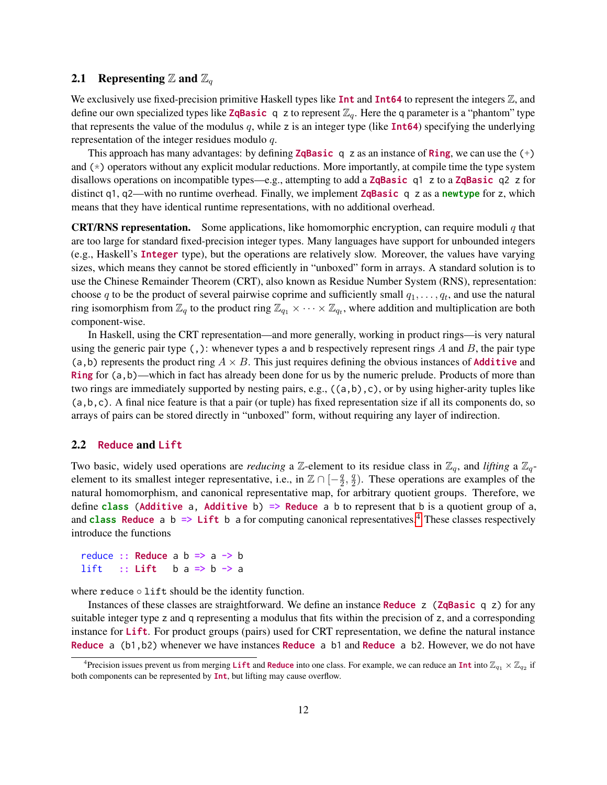# <span id="page-11-0"></span>2.1 Representing Z and  $\mathbb{Z}_q$

We exclusively use fixed-precision primitive Haskell types like  $\text{Int}$  and  $\text{Int}64$  to represent the integers  $\mathbb{Z}$ , and define our own specialized types like **ZqBasic** q z to represent  $\mathbb{Z}_q$ . Here the q parameter is a "phantom" type that represents the value of the modulus q, while z is an integer type (like  $Int64$ ) specifying the underlying representation of the integer residues modulo q.

This approach has many advantages: by defining **ZqBasic** q z as an instance of **Ring**, we can use the  $(+)$ and (\*) operators without any explicit modular reductions. More importantly, at compile time the type system disallows operations on incompatible types—e.g., attempting to add a **ZqBasic** q1 z to a **ZqBasic** q2 z for distinct q1, q2—with no runtime overhead. Finally, we implement **ZqBasic** q z as a newtype for z, which means that they have identical runtime representations, with no additional overhead.

**CRT/RNS representation.** Some applications, like homomorphic encryption, can require moduli  $q$  that are too large for standard fixed-precision integer types. Many languages have support for unbounded integers (e.g., Haskell's Integer type), but the operations are relatively slow. Moreover, the values have varying sizes, which means they cannot be stored efficiently in "unboxed" form in arrays. A standard solution is to use the Chinese Remainder Theorem (CRT), also known as Residue Number System (RNS), representation: choose q to be the product of several pairwise coprime and sufficiently small  $q_1, \ldots, q_t$ , and use the natural ring isomorphism from  $\mathbb{Z}_q$  to the product ring  $\mathbb{Z}_{q_1}\times\cdots\times\mathbb{Z}_{q_t}$ , where addition and multiplication are both component-wise.

In Haskell, using the CRT representation—and more generally, working in product rings—is very natural using the generic pair type  $($ ,  $)$ : whenever types a and b respectively represent rings A and B, the pair type (a,b) represents the product ring  $A \times B$ . This just requires defining the obvious instances of **Additive** and Ring for (a,b)—which in fact has already been done for us by the numeric prelude. Products of more than two rings are immediately supported by nesting pairs, e.g.,  $((a,b),c)$ , or by using higher-arity tuples like  $(a, b, c)$ . A final nice feature is that a pair (or tuple) has fixed representation size if all its components do, so arrays of pairs can be stored directly in "unboxed" form, without requiring any layer of indirection.

### <span id="page-11-1"></span>2.2 Reduce and Lift

Two basic, widely used operations are *reducing* a Z-element to its residue class in  $\mathbb{Z}_q$ , and *lifting* a  $\mathbb{Z}_q$ element to its smallest integer representative, i.e., in  $\mathbb{Z} \cap [-\frac{q}{2}]$  $\frac{q}{2}, \frac{q}{2}$  $\frac{q}{2}$ ). These operations are examples of the natural homomorphism, and canonical representative map, for arbitrary quotient groups. Therefore, we define class (Additive a, Additive b)  $\Rightarrow$  Reduce a b to represent that b is a quotient group of a, and class Reduce a b  $\Rightarrow$  Lift b a for computing canonical representatives.<sup>[4](#page-11-2)</sup> These classes respectively introduce the functions

reduce :: Reduce a  $b \Rightarrow a \Rightarrow b$ lift :: Lift  $b a \Rightarrow b \Rightarrow a$ 

where reduce  $\circ$  lift should be the identity function.

Instances of these classes are straightforward. We define an instance **Reduce z** (**ZqBasic** q z) for any suitable integer type z and q representing a modulus that fits within the precision of z, and a corresponding instance for Lift. For product groups (pairs) used for CRT representation, we define the natural instance Reduce a (b1,b2) whenever we have instances Reduce a b1 and Reduce a b2. However, we do not have

<span id="page-11-2"></span><sup>&</sup>lt;sup>4</sup>Precision issues prevent us from merging Lift and Reduce into one class. For example, we can reduce an Int into  $\mathbb{Z}_{q_1}\times\mathbb{Z}_{q_2}$  if both components can be represented by Int, but lifting may cause overflow.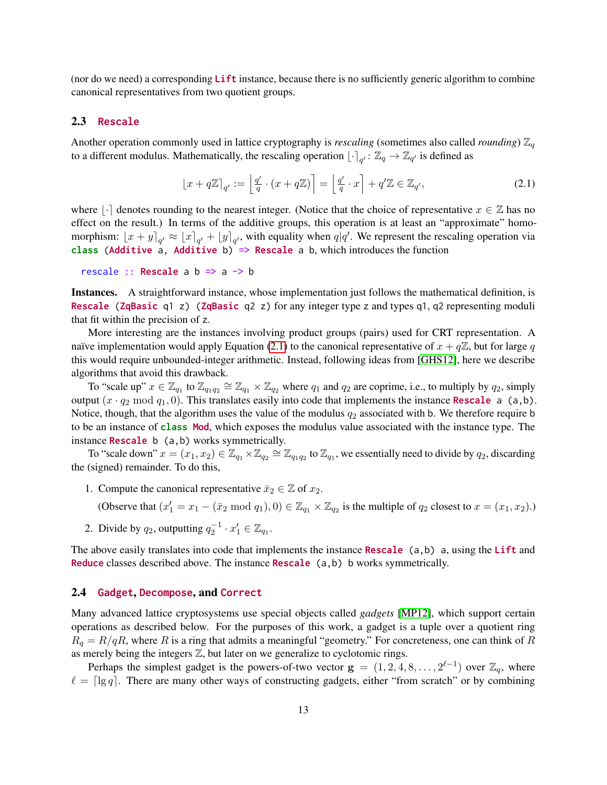(nor do we need) a corresponding Lift instance, because there is no sufficiently generic algorithm to combine canonical representatives from two quotient groups.

# <span id="page-12-0"></span>2.3 Rescale

Another operation commonly used in lattice cryptography is *rescaling* (sometimes also called *rounding*)  $\mathbb{Z}_q$ to a different modulus. Mathematically, the rescaling operation  $\lfloor \cdot \rceil_{q'} : \mathbb{Z}_q \to \mathbb{Z}_{q'}$  is defined as

<span id="page-12-2"></span>
$$
\left\lfloor x + q\mathbb{Z} \right\rfloor_{q'} := \left\lfloor \frac{q'}{q} \cdot (x + q\mathbb{Z}) \right\rfloor = \left\lfloor \frac{q'}{q} \cdot x \right\rfloor + q'\mathbb{Z} \in \mathbb{Z}_{q'},\tag{2.1}
$$

where  $\lvert \cdot \rvert$  denotes rounding to the nearest integer. (Notice that the choice of representative  $x \in \mathbb{Z}$  has no effect on the result.) In terms of the additive groups, this operation is at least an "approximate" homomorphism:  $[x + y]_{q'} \approx [x]_{q'} + [y]_{q'}$ , with equality when  $q|q'$ . We represent the rescaling operation via class (Additive a, Additive b) => Rescale a b, which introduces the function

```
rescale :: Rescale a b => a -> b
```
Instances. A straightforward instance, whose implementation just follows the mathematical definition, is **Rescale (ZqBasic q1 z)** (ZqBasic q2 z) for any integer type z and types q1, q2 representing moduli that fit within the precision of z.

More interesting are the instances involving product groups (pairs) used for CRT representation. A naïve implementation would apply Equation [\(2.1\)](#page-12-2) to the canonical representative of  $x + q\mathbb{Z}$ , but for large q this would require unbounded-integer arithmetic. Instead, following ideas from [\[GHS12\]](#page-34-12), here we describe algorithms that avoid this drawback.

To "scale up"  $x \in \mathbb{Z}_{q_1}$  to  $\mathbb{Z}_{q_1 q_2} \cong \mathbb{Z}_{q_1} \times \mathbb{Z}_{q_2}$  where  $q_1$  and  $q_2$  are coprime, i.e., to multiply by  $q_2$ , simply output  $(x \cdot q_2 \mod q_1, 0)$ . This translates easily into code that implements the instance **Rescale** a (a,b). Notice, though, that the algorithm uses the value of the modulus  $q_2$  associated with b. We therefore require b to be an instance of class Mod, which exposes the modulus value associated with the instance type. The instance **Rescale** b (a, b) works symmetrically.

To "scale down"  $x = (x_1, x_2) \in \mathbb{Z}_{q_1} \times \mathbb{Z}_{q_2} \cong \mathbb{Z}_{q_1q_2}$  to  $\mathbb{Z}_{q_1}$ , we essentially need to divide by  $q_2$ , discarding the (signed) remainder. To do this,

1. Compute the canonical representative  $\bar{x}_2 \in \mathbb{Z}$  of  $x_2$ .

(Observe that  $(x'_1 = x_1 - (\bar{x}_2 \mod q_1), 0) \in \mathbb{Z}_{q_1} \times \mathbb{Z}_{q_2}$  is the multiple of  $q_2$  closest to  $x = (x_1, x_2)$ .)

2. Divide by  $q_2$ , outputting  $q_2^{-1} \cdot x_1' \in \mathbb{Z}_{q_1}$ .

The above easily translates into code that implements the instance Rescale  $(a,b)$  a, using the Lift and Reduce classes described above. The instance Rescale (a,b) b works symmetrically.

### <span id="page-12-1"></span>2.4 Gadget, Decompose, and Correct

Many advanced lattice cryptosystems use special objects called *gadgets* [\[MP12\]](#page-35-9), which support certain operations as described below. For the purposes of this work, a gadget is a tuple over a quotient ring  $R_q = R/qR$ , where R is a ring that admits a meaningful "geometry." For concreteness, one can think of R as merely being the integers  $Z$ , but later on we generalize to cyclotomic rings.

Perhaps the simplest gadget is the powers-of-two vector  $g = (1, 2, 4, 8, \ldots, 2^{\ell-1})$  over  $\mathbb{Z}_q$ , where  $\ell = \lceil \lg q \rceil$ . There are many other ways of constructing gadgets, either "from scratch" or by combining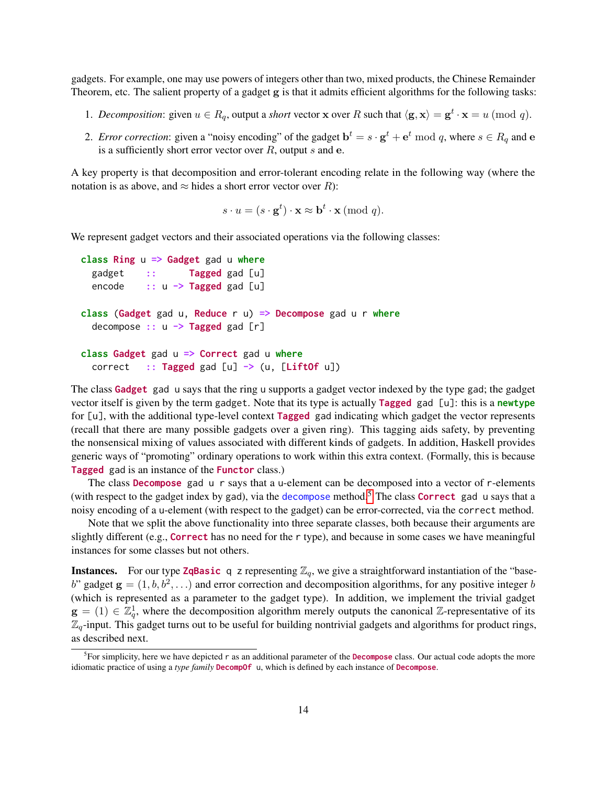gadgets. For example, one may use powers of integers other than two, mixed products, the Chinese Remainder Theorem, etc. The salient property of a gadget g is that it admits efficient algorithms for the following tasks:

- 1. *Decomposition*: given  $u \in R_q$ , output a *short* vector **x** over R such that  $\langle \mathbf{g}, \mathbf{x} \rangle = \mathbf{g}^t \cdot \mathbf{x} = u \pmod{q}$ .
- 2. *Error correction*: given a "noisy encoding" of the gadget  $\mathbf{b}^t = s \cdot \mathbf{g}^t + \mathbf{e}^t \bmod q$ , where  $s \in R_q$  and e is a sufficiently short error vector over  $R$ , output  $s$  and  $e$ .

A key property is that decomposition and error-tolerant encoding relate in the following way (where the notation is as above, and  $\approx$  hides a short error vector over R):

$$
s \cdot u = (s \cdot \mathbf{g}^t) \cdot \mathbf{x} \approx \mathbf{b}^t \cdot \mathbf{x} \ (\text{mod } q).
$$

We represent gadget vectors and their associated operations via the following classes:

```
class Ring u \Rightarrow Gadget gad u where
  gadget :: Tagged gad [u]
  encode :: u \rightarrow Tagged gad [u]
class (Gadget gad u, Reduce r u) => Decompose gad u r where
  decompose :: u \rightarrow Tagged gad [r]class Gadget gad u \Rightarrow Correct gad u where
  correct :: Tagged gad [u] \rightarrow (u, [Lift0f u])
```
The class Gadget gad u says that the ring u supports a gadget vector indexed by the type gad; the gadget vector itself is given by the term gadget. Note that its type is actually **Tagged** gad  $[u]$ : this is a newtype for [u], with the additional type-level context Tagged gad indicating which gadget the vector represents (recall that there are many possible gadgets over a given ring). This tagging aids safety, by preventing the nonsensical mixing of values associated with different kinds of gadgets. In addition, Haskell provides generic ways of "promoting" ordinary operations to work within this extra context. (Formally, this is because Tagged gad is an instance of the Functor class.)

The class Decompose gad u r says that a u-element can be decomposed into a vector of r-elements (with respect to the gadget index by gad), via the decompose method.<sup>[5](#page-13-0)</sup> The class **Correct** gad u says that a noisy encoding of a u-element (with respect to the gadget) can be error-corrected, via the correct method.

Note that we split the above functionality into three separate classes, both because their arguments are slightly different (e.g., Correct has no need for the r type), and because in some cases we have meaningful instances for some classes but not others.

**Instances.** For our type **ZqBasic** q z representing  $\mathbb{Z}_q$ , we give a straightforward instantiation of the "baseb" gadget  $\mathbf{g} = (1, b, b^2, \ldots)$  and error correction and decomposition algorithms, for any positive integer b (which is represented as a parameter to the gadget type). In addition, we implement the trivial gadget  $g = (1) \in \mathbb{Z}_q^1$ , where the decomposition algorithm merely outputs the canonical  $\mathbb{Z}$ -representative of its  $\mathbb{Z}_q$ -input. This gadget turns out to be useful for building nontrivial gadgets and algorithms for product rings, as described next.

<span id="page-13-0"></span> ${}^{5}$ For simplicity, here we have depicted r as an additional parameter of the **Decompose** class. Our actual code adopts the more idiomatic practice of using a *type family* DecompOf u, which is defined by each instance of Decompose.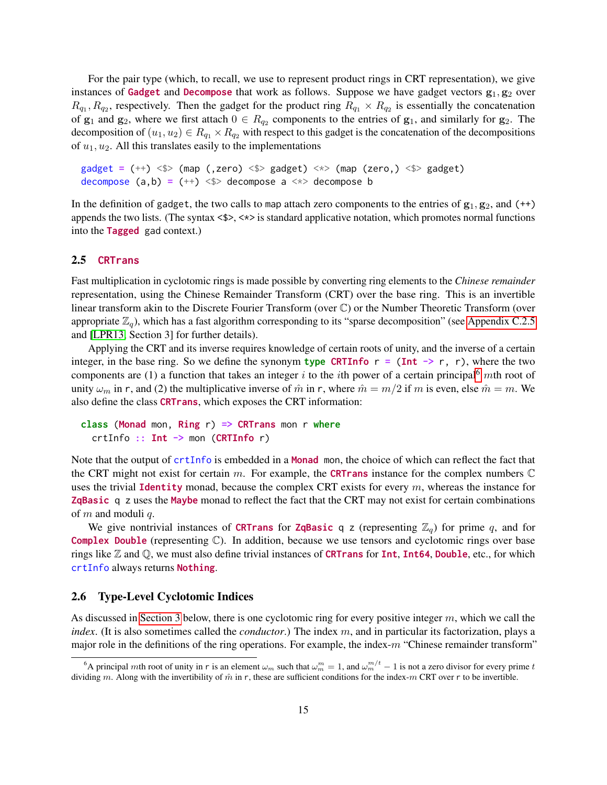For the pair type (which, to recall, we use to represent product rings in CRT representation), we give instances of Gadget and Decompose that work as follows. Suppose we have gadget vectors  $g_1, g_2$  over  $R_{q_1}, R_{q_2}$ , respectively. Then the gadget for the product ring  $R_{q_1} \times R_{q_2}$  is essentially the concatenation of  $g_1$  and  $g_2$ , where we first attach  $0 \in R_{q_2}$  components to the entries of  $g_1$ , and similarly for  $g_2$ . The decomposition of  $(u_1, u_2) \in R_{q_1} \times R_{q_2}$  with respect to this gadget is the concatenation of the decompositions of  $u_1, u_2$ . All this translates easily to the implementations

gadget =  $(++)$  <\$> (map (,zero) <\$> gadget) <\*> (map (zero,) <\$> gadget) decompose  $(a,b) = (++) \leq 0$  decompose a  $\leq 0$  decompose b

In the definition of gadget, the two calls to map attach zero components to the entries of  $g_1, g_2$ , and (++) appends the two lists. (The syntax  $\langle \frac{1}{2} \rangle$ ,  $\langle \frac{1}{2} \rangle$  is standard applicative notation, which promotes normal functions into the Tagged gad context.)

## <span id="page-14-0"></span>2.5 CRTrans

Fast multiplication in cyclotomic rings is made possible by converting ring elements to the *Chinese remainder* representation, using the Chinese Remainder Transform (CRT) over the base ring. This is an invertible linear transform akin to the Discrete Fourier Transform (over C) or the Number Theoretic Transform (over appropriate  $\mathbb{Z}_q$ ), which has a fast algorithm corresponding to its "sparse decomposition" (see [Appendix C.2.5](#page-47-0) and [\[LPR13,](#page-34-8) Section 3] for further details).

Applying the CRT and its inverse requires knowledge of certain roots of unity, and the inverse of a certain integer, in the base ring. So we define the synonym type CRTInfo  $r = (Int \rightarrow r, r)$ , where the two components are (1) a function that takes an integer i to the ith power of a certain principal<sup>[6](#page-14-2)</sup> mth root of unity  $\omega_m$  in r, and (2) the multiplicative inverse of  $\hat{m}$  in r, where  $\hat{m} = m/2$  if m is even, else  $\hat{m} = m$ . We also define the class CRTrans, which exposes the CRT information:

```
class (Monad mon, Ring r) => CRTrans mon r where
 crtInfo :: Int -> mon (CRTInfo r)
```
Note that the output of crtInfo is embedded in a Monad mon, the choice of which can reflect the fact that the CRT might not exist for certain m. For example, the **CRTrans** instance for the complex numbers  $\mathbb{C}$ uses the trivial **Identity** monad, because the complex CRT exists for every  $m$ , whereas the instance for ZqBasic q z uses the Maybe monad to reflect the fact that the CRT may not exist for certain combinations of  $m$  and moduli  $q$ .

We give nontrivial instances of CRTrans for ZqBasic q z (representing  $\mathbb{Z}_q$ ) for prime q, and for **Complex Double** (representing  $\mathbb{C}$ ). In addition, because we use tensors and cyclotomic rings over base rings like  $\mathbb Z$  and  $\mathbb Q$ , we must also define trivial instances of **CRTrans** for **Int**, **Int64**, **Double**, etc., for which crtInfo always returns Nothing.

# <span id="page-14-1"></span>2.6 Type-Level Cyclotomic Indices

As discussed in [Section 3](#page-15-0) below, there is one cyclotomic ring for every positive integer  $m$ , which we call the *index*. (It is also sometimes called the *conductor*.) The index m, and in particular its factorization, plays a major role in the definitions of the ring operations. For example, the index- $m$  "Chinese remainder transform"

<span id="page-14-2"></span><sup>&</sup>lt;sup>6</sup>A principal mth root of unity in r is an element  $\omega_m$  such that  $\omega_m^m = 1$ , and  $\omega_m^{m/t} - 1$  is not a zero divisor for every prime t dividing m. Along with the invertibility of  $\hat{m}$  in r, these are sufficient conditions for the index-m CRT over r to be invertible.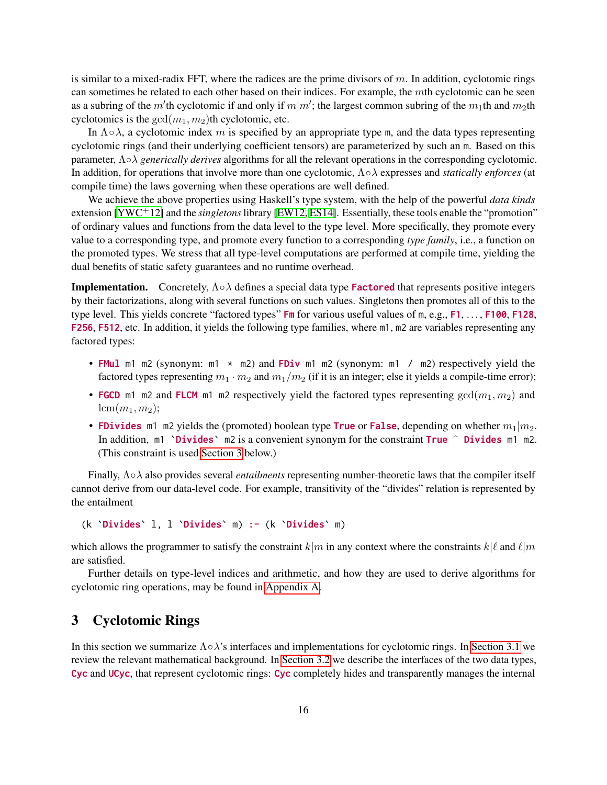is similar to a mixed-radix FFT, where the radices are the prime divisors of  $m$ . In addition, cyclotomic rings can sometimes be related to each other based on their indices. For example, the mth cyclotomic can be seen as a subring of the m'th cyclotomic if and only if  $m|m'$ ; the largest common subring of the  $m_1$ th and  $m_2$ th cyclotomics is the  $gcd(m_1, m_2)$ th cyclotomic, etc.

In  $\Lambda \circ \lambda$ , a cyclotomic index m is specified by an appropriate type m, and the data types representing cyclotomic rings (and their underlying coefficient tensors) are parameterized by such an m. Based on this parameter, Λ◦λ *generically derives* algorithms for all the relevant operations in the corresponding cyclotomic. In addition, for operations that involve more than one cyclotomic, Λ◦λ expresses and *statically enforces* (at compile time) the laws governing when these operations are well defined.

We achieve the above properties using Haskell's type system, with the help of the powerful *data kinds* extension [\[YWC](#page-35-11)+12] and the *singletons*library [\[EW12,](#page-33-14) [ES14\]](#page-33-15). Essentially, these tools enable the "promotion" of ordinary values and functions from the data level to the type level. More specifically, they promote every value to a corresponding type, and promote every function to a corresponding *type family*, i.e., a function on the promoted types. We stress that all type-level computations are performed at compile time, yielding the dual benefits of static safety guarantees and no runtime overhead.

**Implementation.** Concretely,  $\Lambda \circ \lambda$  defines a special data type **Factored** that represents positive integers by their factorizations, along with several functions on such values. Singletons then promotes all of this to the type level. This yields concrete "factored types" Fm for various useful values of m, e.g., F1, ..., F100, F128, F256, F512, etc. In addition, it yields the following type families, where m1, m2 are variables representing any factored types:

- FMul m1 m2 (synonym: m1  $\star$  m2) and FDiv m1 m2 (synonym: m1 / m2) respectively yield the factored types representing  $m_1 \cdot m_2$  and  $m_1/m_2$  (if it is an integer; else it yields a compile-time error);
- FGCD m1 m2 and FLCM m1 m2 respectively yield the factored types representing  $gcd(m_1, m_2)$  and  $lcm(m_1, m_2);$
- FDivides m1 m2 yields the (promoted) boolean type True or False, depending on whether  $m_1|m_2$ . In addition, m1 'Divides' m2 is a convenient synonym for the constraint True ~ Divides m1 m2. (This constraint is used [Section 3](#page-15-0) below.)

Finally, Λ◦λ also provides several *entailments* representing number-theoretic laws that the compiler itself cannot derive from our data-level code. For example, transitivity of the "divides" relation is represented by the entailment

(k `Divides` l, l `Divides` m) :- (k `Divides` m)

which allows the programmer to satisfy the constraint  $k|m$  in any context where the constraints  $k|\ell$  and  $\ell|m$ are satisfied.

Further details on type-level indices and arithmetic, and how they are used to derive algorithms for cyclotomic ring operations, may be found in [Appendix A.](#page-35-0)

# <span id="page-15-0"></span>3 Cyclotomic Rings

In this section we summarize  $\Lambda \circ \lambda$ 's interfaces and implementations for cyclotomic rings. In [Section 3.1](#page-16-0) we review the relevant mathematical background. In [Section 3.2](#page-18-0) we describe the interfaces of the two data types, Cyc and UCyc, that represent cyclotomic rings: Cyc completely hides and transparently manages the internal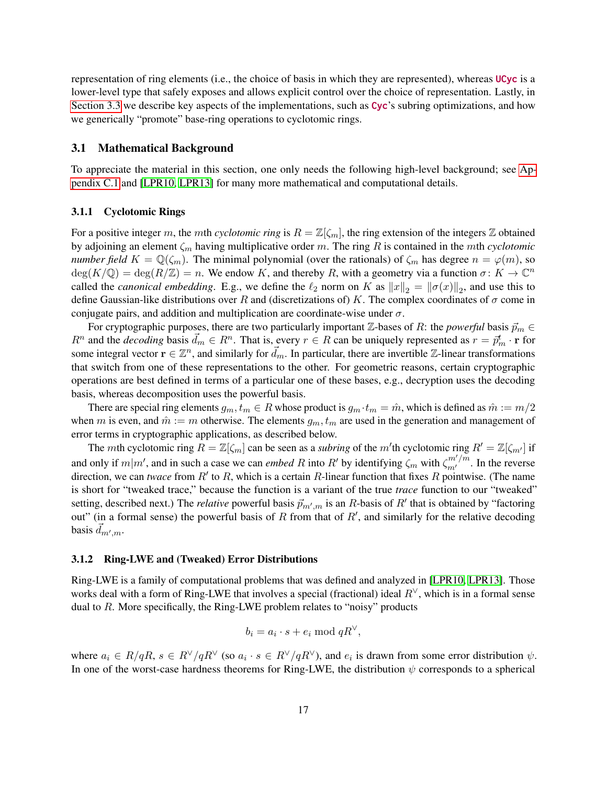representation of ring elements (i.e., the choice of basis in which they are represented), whereas UCyc is a lower-level type that safely exposes and allows explicit control over the choice of representation. Lastly, in [Section 3.3](#page-21-0) we describe key aspects of the implementations, such as Cyc's subring optimizations, and how we generically "promote" base-ring operations to cyclotomic rings.

### <span id="page-16-0"></span>3.1 Mathematical Background

To appreciate the material in this section, one only needs the following high-level background; see [Ap](#page-40-1)[pendix C.1](#page-40-1) and [\[LPR10,](#page-34-1) [LPR13\]](#page-34-8) for many more mathematical and computational details.

### <span id="page-16-1"></span>3.1.1 Cyclotomic Rings

For a positive integer m, the mth *cyclotomic ring* is  $R = \mathbb{Z}[\zeta_m]$ , the ring extension of the integers  $\mathbb Z$  obtained by adjoining an element  $\zeta_m$  having multiplicative order m. The ring R is contained in the mth *cyclotomic number field*  $K = \mathbb{Q}(\zeta_m)$ . The minimal polynomial (over the rationals) of  $\zeta_m$  has degree  $n = \varphi(m)$ , so  $deg(K/\mathbb{Q}) = deg(R/\mathbb{Z}) = n$ . We endow K, and thereby R, with a geometry via a function  $\sigma: K \to \mathbb{C}^n$ called the *canonical embedding*. E.g., we define the  $\ell_2$  norm on K as  $||x||_2 = ||\sigma(x)||_2$ , and use this to define Gaussian-like distributions over R and (discretizations of) K. The complex coordinates of  $\sigma$  come in conjugate pairs, and addition and multiplication are coordinate-wise under  $\sigma$ .

For cryptographic purposes, there are two particularly important  $\mathbb{Z}$ -bases of R: the *powerful* basis  $\vec{p}_m \in$  $R^n$  and the *decoding* basis  $\vec{d}_m \in R^n$ . That is, every  $r \in R$  can be uniquely represented as  $r = \vec{p}_m^t \cdot \mathbf{r}$  for some integral vector  $\mathbf{r} \in \mathbb{Z}^n$ , and similarly for  $\vec{d}_m$ . In particular, there are invertible Z-linear transformations that switch from one of these representations to the other. For geometric reasons, certain cryptographic operations are best defined in terms of a particular one of these bases, e.g., decryption uses the decoding basis, whereas decomposition uses the powerful basis.

There are special ring elements  $g_m, t_m \in R$  whose product is  $g_m \cdot t_m = \hat{m}$ , which is defined as  $\hat{m} := m/2$ when m is even, and  $\hat{m} := m$  otherwise. The elements  $g_m, t_m$  are used in the generation and management of error terms in cryptographic applications, as described below.

The mth cyclotomic ring  $R = \mathbb{Z}[\zeta_m]$  can be seen as a *subring* of the m'th cyclotomic ring  $R' = \mathbb{Z}[\zeta_{m'}]$  if and only if  $m|m'$ , and in such a case we can *embed* R into R' by identifying  $\zeta_m$  with  $\zeta_{m'}^{m'/m}$ . In the reverse direction, we can *twace* from  $R'$  to  $R$ , which is a certain  $R$ -linear function that fixes  $R$  pointwise. (The name is short for "tweaked trace," because the function is a variant of the true *trace* function to our "tweaked" setting, described next.) The *relative* powerful basis  $\vec{p}_{m',m}$  is an R-basis of  $R'$  that is obtained by "factoring out" (in a formal sense) the powerful basis of R from that of  $R'$ , and similarly for the relative decoding basis  $\vec{d}_{m',m}$ .

#### <span id="page-16-2"></span>3.1.2 Ring-LWE and (Tweaked) Error Distributions

Ring-LWE is a family of computational problems that was defined and analyzed in [\[LPR10,](#page-34-1) [LPR13\]](#page-34-8). Those works deal with a form of Ring-LWE that involves a special (fractional) ideal  $R<sup>∨</sup>$ , which is in a formal sense dual to R. More specifically, the Ring-LWE problem relates to "noisy" products

$$
b_i = a_i \cdot s + e_i \bmod qR^{\vee},
$$

where  $a_i \in R/qR$ ,  $s \in R^{\vee}/qR^{\vee}$  (so  $a_i \cdot s \in R^{\vee}/qR^{\vee}$ ), and  $e_i$  is drawn from some error distribution  $\psi$ . In one of the worst-case hardness theorems for Ring-LWE, the distribution  $\psi$  corresponds to a spherical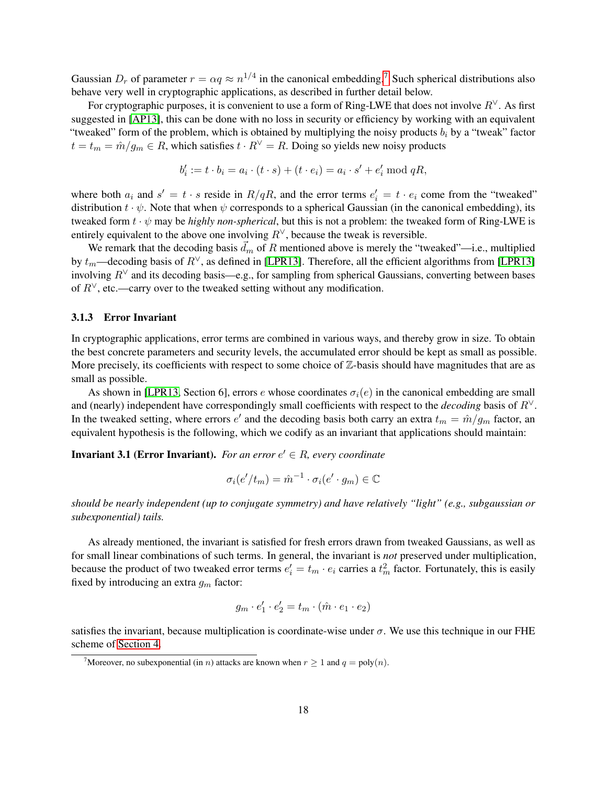Gaussian  $D_r$  of parameter  $r = \alpha q \approx n^{1/4}$  in the canonical embedding.<sup>[7](#page-17-1)</sup> Such spherical distributions also behave very well in cryptographic applications, as described in further detail below.

For cryptographic purposes, it is convenient to use a form of Ring-LWE that does not involve  $R<sup>V</sup>$ . As first suggested in [\[AP13\]](#page-32-5), this can be done with no loss in security or efficiency by working with an equivalent "tweaked" form of the problem, which is obtained by multiplying the noisy products  $b_i$  by a "tweak" factor  $t = t_m = \hat{m}/g_m \in R$ , which satisfies  $t \cdot R^{\vee} = R$ . Doing so yields new noisy products

$$
b'_{i} := t \cdot b_{i} = a_{i} \cdot (t \cdot s) + (t \cdot e_{i}) = a_{i} \cdot s' + e'_{i} \mod qR,
$$

where both  $a_i$  and  $s' = t \cdot s$  reside in  $R/qR$ , and the error terms  $e'_i = t \cdot e_i$  come from the "tweaked" distribution  $t \cdot \psi$ . Note that when  $\psi$  corresponds to a spherical Gaussian (in the canonical embedding), its tweaked form  $t \cdot \psi$  may be *highly non-spherical*, but this is not a problem: the tweaked form of Ring-LWE is entirely equivalent to the above one involving  $R^{\vee}$ , because the tweak is reversible.

We remark that the decoding basis  $\vec{d}_m$  of R mentioned above is merely the "tweaked"—i.e., multiplied by  $t_m$ —decoding basis of  $R^\vee$ , as defined in [\[LPR13\]](#page-34-8). Therefore, all the efficient algorithms from [LPR13] involving  $R^{\vee}$  and its decoding basis—e.g., for sampling from spherical Gaussians, converting between bases of  $R^{\vee}$ , etc.—carry over to the tweaked setting without any modification.

# <span id="page-17-0"></span>3.1.3 Error Invariant

In cryptographic applications, error terms are combined in various ways, and thereby grow in size. To obtain the best concrete parameters and security levels, the accumulated error should be kept as small as possible. More precisely, its coefficients with respect to some choice of  $\mathbb{Z}$ -basis should have magnitudes that are as small as possible.

As shown in [\[LPR13,](#page-34-8) Section 6], errors e whose coordinates  $\sigma_i(e)$  in the canonical embedding are small and (nearly) independent have correspondingly small coefficients with respect to the *decoding* basis of R∨. In the tweaked setting, where errors  $e'$  and the decoding basis both carry an extra  $t_m = \hat{m}/g_m$  factor, an equivalent hypothesis is the following, which we codify as an invariant that applications should maintain:

<span id="page-17-2"></span>**Invariant 3.1 (Error Invariant).** For an error  $e' \in R$ , every coordinate

$$
\sigma_i(e'/t_m) = \hat{m}^{-1} \cdot \sigma_i(e' \cdot g_m) \in \mathbb{C}
$$

*should be nearly independent (up to conjugate symmetry) and have relatively "light" (e.g., subgaussian or subexponential) tails.*

As already mentioned, the invariant is satisfied for fresh errors drawn from tweaked Gaussians, as well as for small linear combinations of such terms. In general, the invariant is *not* preserved under multiplication, because the product of two tweaked error terms  $e'_i = t_m \cdot e_i$  carries a  $t_m^2$  factor. Fortunately, this is easily fixed by introducing an extra  $g_m$  factor:

$$
g_m \cdot e_1' \cdot e_2' = t_m \cdot (\hat{m} \cdot e_1 \cdot e_2)
$$

satisfies the invariant, because multiplication is coordinate-wise under  $\sigma$ . We use this technique in our FHE scheme of [Section 4.](#page-23-0)

<span id="page-17-1"></span><sup>&</sup>lt;sup>7</sup>Moreover, no subexponential (in *n*) attacks are known when  $r \ge 1$  and  $q = \text{poly}(n)$ .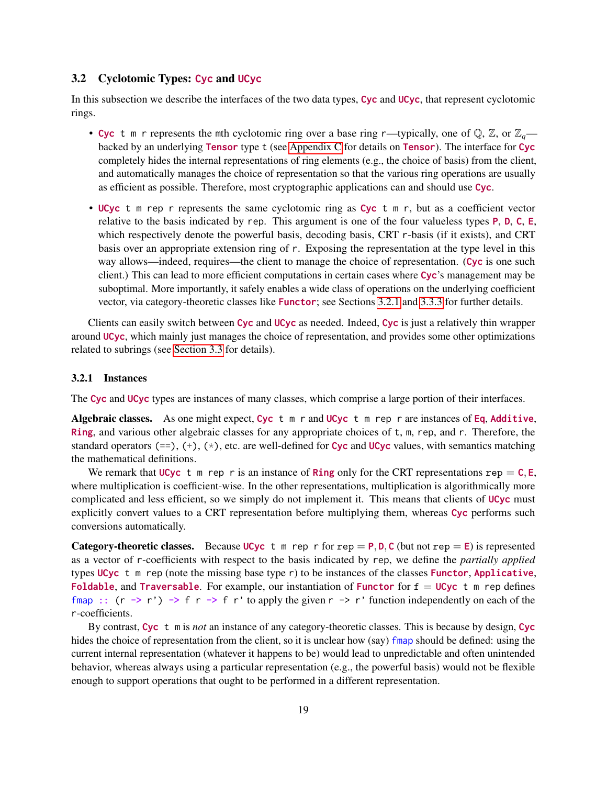# <span id="page-18-0"></span>3.2 Cyclotomic Types: Cyc and UCyc

In this subsection we describe the interfaces of the two data types, Cyc and UCyc, that represent cyclotomic rings.

- Cyc t m r represents the mth cyclotomic ring over a base ring r—typically, one of  $\mathbb{Q}, \mathbb{Z}$ , or  $\mathbb{Z}_q$  backed by an underlying **Tensor** type t (see [Appendix C](#page-40-0) for details on **Tensor**). The interface for Cyc completely hides the internal representations of ring elements (e.g., the choice of basis) from the client, and automatically manages the choice of representation so that the various ring operations are usually as efficient as possible. Therefore, most cryptographic applications can and should use Cyc.
- UCyc t m rep r represents the same cyclotomic ring as Cyc t m r, but as a coefficient vector relative to the basis indicated by rep. This argument is one of the four valueless types P, D, C, E, which respectively denote the powerful basis, decoding basis, CRT r-basis (if it exists), and CRT basis over an appropriate extension ring of r. Exposing the representation at the type level in this way allows—indeed, requires—the client to manage the choice of representation. (Cyc is one such client.) This can lead to more efficient computations in certain cases where Cyc's management may be suboptimal. More importantly, it safely enables a wide class of operations on the underlying coefficient vector, via category-theoretic classes like Functor; see Sections [3.2.1](#page-18-1) and [3.3.3](#page-22-0) for further details.

Clients can easily switch between Cyc and UCyc as needed. Indeed, Cyc is just a relatively thin wrapper around UCyc, which mainly just manages the choice of representation, and provides some other optimizations related to subrings (see [Section 3.3](#page-21-0) for details).

### <span id="page-18-1"></span>3.2.1 Instances

The Cyc and UCyc types are instances of many classes, which comprise a large portion of their interfaces.

Algebraic classes. As one might expect, Cyc  $t \in \mathbb{R}$  r and UCyc  $t \in \mathbb{R}$  rep r are instances of Eq, Additive, Ring, and various other algebraic classes for any appropriate choices of t, m, rep, and r. Therefore, the standard operators (==), (+), ( $\star$ ), etc. are well-defined for Cyc and UCyc values, with semantics matching the mathematical definitions.

We remark that UCyc t m rep r is an instance of Ring only for the CRT representations rep =  $C$ , E, where multiplication is coefficient-wise. In the other representations, multiplication is algorithmically more complicated and less efficient, so we simply do not implement it. This means that clients of UCyc must explicitly convert values to a CRT representation before multiplying them, whereas Cyc performs such conversions automatically.

Category-theoretic classes. Because UCyc t m rep r for rep = P, D, C (but not rep = E) is represented as a vector of r-coefficients with respect to the basis indicated by rep, we define the *partially applied* types  $UCyc$  t m rep (note the missing base type r) to be instances of the classes **Functor**, Applicative, Foldable, and Traversable. For example, our instantiation of Functor for  $f = UCyc$  t m rep defines fmap ::  $(r \rightarrow r') \rightarrow f r \rightarrow f r'$  to apply the given  $r \rightarrow r'$  function independently on each of the r-coefficients.

By contrast, Cyc t m is *not* an instance of any category-theoretic classes. This is because by design, Cyc hides the choice of representation from the client, so it is unclear how (say) fmap should be defined: using the current internal representation (whatever it happens to be) would lead to unpredictable and often unintended behavior, whereas always using a particular representation (e.g., the powerful basis) would not be flexible enough to support operations that ought to be performed in a different representation.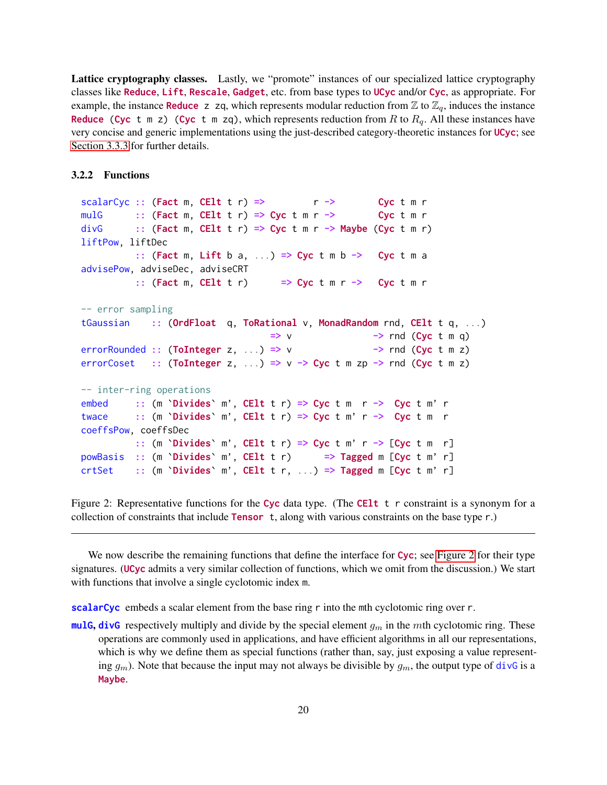Lattice cryptography classes. Lastly, we "promote" instances of our specialized lattice cryptography classes like Reduce, Lift, Rescale, Gadget, etc. from base types to UCyc and/or Cyc, as appropriate. For example, the instance **Reduce** z zq, which represents modular reduction from  $\mathbb{Z}$  to  $\mathbb{Z}_q$ , induces the instance **Reduce (Cyc** t m z) (Cyc t m zq), which represents reduction from R to  $R_q$ . All these instances have very concise and generic implementations using the just-described category-theoretic instances for UCyc; see [Section 3.3.3](#page-22-0) for further details.

## <span id="page-19-0"></span>3.2.2 Functions

```
scalarCyc :: (Fact m, CElt t r) => r \rightarrow Cyc t m r
mulG :: (Fact m, CElt t r) => Cyc t m r -> Cyc t m r
divG :: (Fact m, CElt t r) => Cyc t m r -> Maybe (Cyc t m r)
liftPow, liftDec
           :: (Fact m, Lift b a, ...) \Rightarrow Cyc t m b \rightarrow Cyc t m a
advisePow, adviseDec, adviseCRT
          :: (Fact m, CElt t r) \Rightarrow Cyc t m r -> Cyc t m r
-- error sampling
tGaussian :: (OrdFloat q, ToRational v, MonadRandom rnd, CElt t q, ...)
                                      \Rightarrow v \Rightarrow rnd (Cyc t m q)
errorRounded :: (ToInteger z, ...) => v -> rnd (Cyc t m z)
errorCoset :: (ToInteger z, ...) => v \rightarrow Cyc t m zp -> rnd (Cyc t m z)
-- inter-ring operations
embed :: (m \in \text{Divides} \in m', \text{ Cell } t \in \text{row}) \implies \text{Cyc } t \in \text{row} \in \text{row} \in \text{row}twace :: (m `Divides` m', CElt t r) => Cyc t m' r -> Cyc t m r
coeffsPow, coeffsDec
          :: (m \infty) m', CElt t r => Cyc t m' r -> [Cyc t m r]
powBasis :: (m `Divides` m', CElt t r) => Tagged m [Cyc t m' r]
crtSet :: (m \in \text{Divides} \in m', \text{ Cell t } r, ...) \Rightarrow \text{Tagged } m \text{ [Cyc } t m' r]
```
Figure 2: Representative functions for the Cyc data type. (The CEIt  $t \tau$  constraint is a synonym for a collection of constraints that include Tensor t, along with various constraints on the base type r.)

We now describe the remaining functions that define the interface for Cyc; see [Figure 2](#page-19-1) for their type signatures. (UCyc admits a very similar collection of functions, which we omit from the discussion.) We start with functions that involve a single cyclotomic index m.

scalarCyc embeds a scalar element from the base ring r into the mth cyclotomic ring over r.

mulG, divG respectively multiply and divide by the special element  $g_m$  in the mth cyclotomic ring. These operations are commonly used in applications, and have efficient algorithms in all our representations, which is why we define them as special functions (rather than, say, just exposing a value representing  $g_m$ ). Note that because the input may not always be divisible by  $g_m$ , the output type of divG is a Maybe.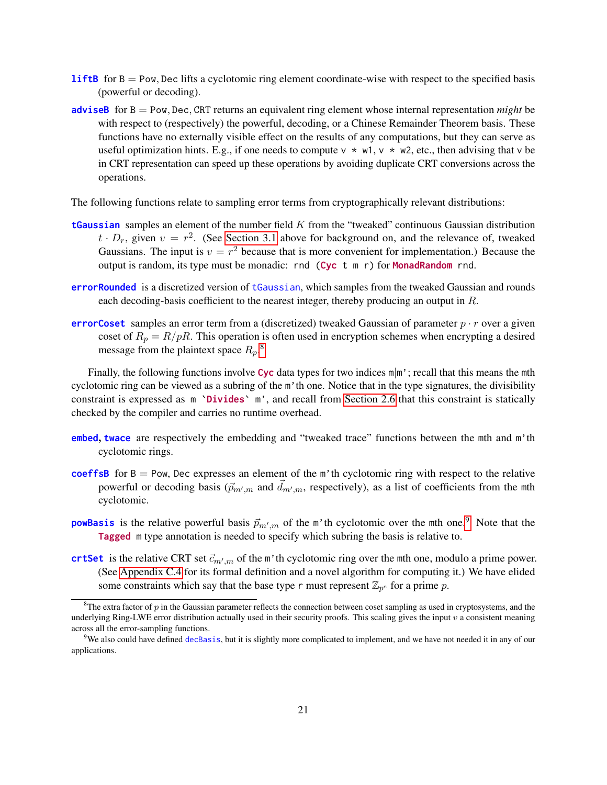- **liftB** for  $B = Pow$ , Dec lifts a cyclotomic ring element coordinate-wise with respect to the specified basis (powerful or decoding).
- adviseB for B = Pow, Dec, CRT returns an equivalent ring element whose internal representation *might* be with respect to (respectively) the powerful, decoding, or a Chinese Remainder Theorem basis. These functions have no externally visible effect on the results of any computations, but they can serve as useful optimization hints. E.g., if one needs to compute  $v * w1$ ,  $v * w2$ , etc., then advising that v be in CRT representation can speed up these operations by avoiding duplicate CRT conversions across the operations.

The following functions relate to sampling error terms from cryptographically relevant distributions:

- **tGaussian** samples an element of the number field  $K$  from the "tweaked" continuous Gaussian distribution  $t \cdot D_r$ , given  $v = r^2$ . (See [Section 3.1](#page-16-0) above for background on, and the relevance of, tweaked Gaussians. The input is  $v = r^2$  because that is more convenient for implementation.) Because the output is random, its type must be monadic: rnd  $(Cyc$  t m r) for **MonadRandom** rnd.
- errorRounded is a discretized version of tGaussian, which samples from the tweaked Gaussian and rounds each decoding-basis coefficient to the nearest integer, thereby producing an output in  $R$ .
- errorCoset samples an error term from a (discretized) tweaked Gaussian of parameter  $p \cdot r$  over a given coset of  $R_p = R/pR$ . This operation is often used in encryption schemes when encrypting a desired message from the plaintext space  $R_p$ .<sup>[8](#page-20-0)</sup>

Finally, the following functions involve Cyc data types for two indices  $m/m'$ ; recall that this means the mth cyclotomic ring can be viewed as a subring of the m'th one. Notice that in the type signatures, the divisibility constraint is expressed as m `Divides` m', and recall from [Section 2.6](#page-14-1) that this constraint is statically checked by the compiler and carries no runtime overhead.

- embed, twace are respectively the embedding and "tweaked trace" functions between the mth and m'th cyclotomic rings.
- coeffsB for  $B = Pow$ , Dec expresses an element of the m'th cyclotomic ring with respect to the relative powerful or decoding basis  $(\vec{p}_{m',m}$  and  $\vec{d}_{m',m}$ , respectively), as a list of coefficients from the mth cyclotomic.
- **powBasis** is the relative powerful basis  $\vec{p}_{m',m}$  of the m'th cyclotomic over the mth one.<sup>[9](#page-20-1)</sup> Note that the Tagged m type annotation is needed to specify which subring the basis is relative to.
- crtSet is the relative CRT set  $\vec{c}_{m',m}$  of the m'th cyclotomic ring over the mth one, modulo a prime power. (See [Appendix C.4](#page-52-0) for its formal definition and a novel algorithm for computing it.) We have elided some constraints which say that the base type r must represent  $\mathbb{Z}_{p^e}$  for a prime p.

<span id="page-20-0"></span><sup>&</sup>lt;sup>8</sup>The extra factor of p in the Gaussian parameter reflects the connection between coset sampling as used in cryptosystems, and the underlying Ring-LWE error distribution actually used in their security proofs. This scaling gives the input  $v$  a consistent meaning across all the error-sampling functions.

<span id="page-20-1"></span><sup>&</sup>lt;sup>9</sup>We also could have defined decBasis, but it is slightly more complicated to implement, and we have not needed it in any of our applications.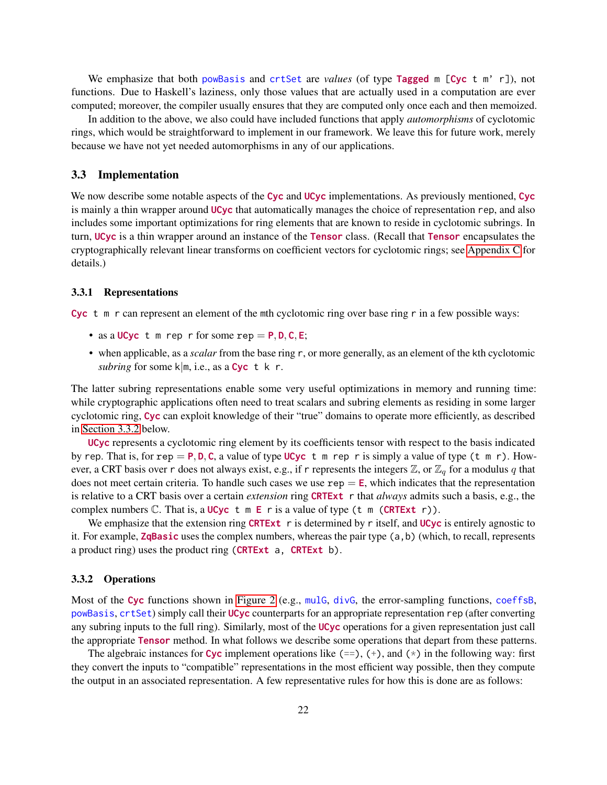We emphasize that both powBasis and crtSet are *values* (of type **Tagged** m [Cyc t m' r]), not functions. Due to Haskell's laziness, only those values that are actually used in a computation are ever computed; moreover, the compiler usually ensures that they are computed only once each and then memoized.

In addition to the above, we also could have included functions that apply *automorphisms* of cyclotomic rings, which would be straightforward to implement in our framework. We leave this for future work, merely because we have not yet needed automorphisms in any of our applications.

### <span id="page-21-0"></span>3.3 Implementation

We now describe some notable aspects of the Cyc and UCyc implementations. As previously mentioned, Cyc is mainly a thin wrapper around UCyc that automatically manages the choice of representation rep, and also includes some important optimizations for ring elements that are known to reside in cyclotomic subrings. In turn, UCyc is a thin wrapper around an instance of the Tensor class. (Recall that Tensor encapsulates the cryptographically relevant linear transforms on coefficient vectors for cyclotomic rings; see [Appendix C](#page-40-0) for details.)

#### <span id="page-21-1"></span>3.3.1 Representations

Cyc t m r can represent an element of the mth cyclotomic ring over base ring r in a few possible ways:

- as a UCyc t m rep r for some rep =  $P, D, C, E$ ;
- when applicable, as a *scalar* from the base ring r, or more generally, as an element of the kth cyclotomic *subring* for some k|m, i.e., as a Cyc t k r.

The latter subring representations enable some very useful optimizations in memory and running time: while cryptographic applications often need to treat scalars and subring elements as residing in some larger cyclotomic ring, Cyc can exploit knowledge of their "true" domains to operate more efficiently, as described in [Section 3.3.2](#page-21-2) below.

UCyc represents a cyclotomic ring element by its coefficients tensor with respect to the basis indicated by rep. That is, for rep = P, D, C, a value of type UCyc t m rep r is simply a value of type (t m r). However, a CRT basis over r does not always exist, e.g., if r represents the integers  $\mathbb{Z}$ , or  $\mathbb{Z}_q$  for a modulus q that does not meet certain criteria. To handle such cases we use  $rep = E$ , which indicates that the representation is relative to a CRT basis over a certain *extension* ring CRTExt r that *always* admits such a basis, e.g., the complex numbers  $\mathbb C$ . That is, a UCyc t m E r is a value of type (t m (CRTExt r)).

We emphasize that the extension ring CRTExt  $r$  is determined by r itself, and UCyc is entirely agnostic to it. For example, **ZqBasic** uses the complex numbers, whereas the pair type  $(a, b)$  (which, to recall, represents a product ring) uses the product ring (CRTExt a, CRTExt b).

## <span id="page-21-2"></span>3.3.2 Operations

Most of the Cyc functions shown in [Figure 2](#page-19-1) (e.g., mulG, divG, the error-sampling functions, coeffsB, powBasis, crtSet) simply call their UCyc counterparts for an appropriate representation rep (after converting any subring inputs to the full ring). Similarly, most of the UCyc operations for a given representation just call the appropriate Tensor method. In what follows we describe some operations that depart from these patterns.

The algebraic instances for Cyc implement operations like  $(==)$ ,  $(+)$ , and  $(*)$  in the following way: first they convert the inputs to "compatible" representations in the most efficient way possible, then they compute the output in an associated representation. A few representative rules for how this is done are as follows: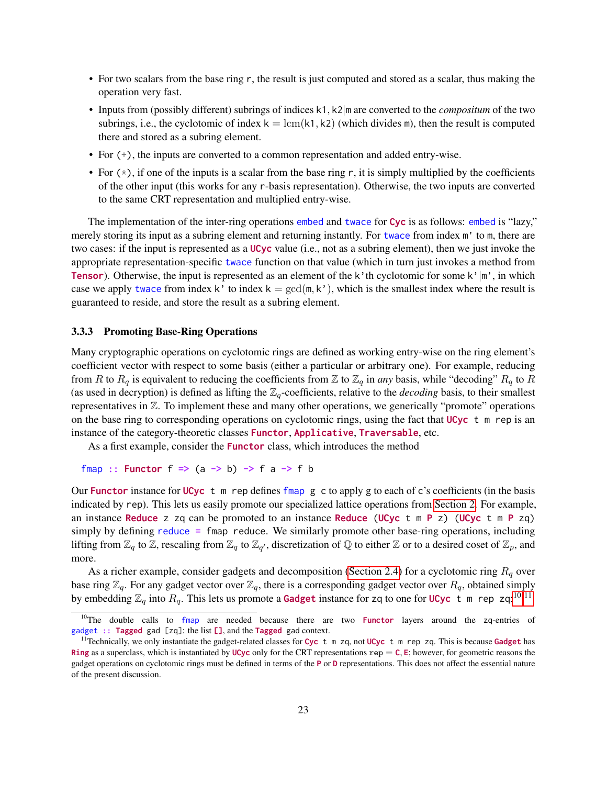- For two scalars from the base ring r, the result is just computed and stored as a scalar, thus making the operation very fast.
- Inputs from (possibly different) subrings of indices k1, k2|m are converted to the *compositum* of the two subrings, i.e., the cyclotomic of index  $k = \text{lcm}(k1, k2)$  (which divides m), then the result is computed there and stored as a subring element.
- For (+), the inputs are converted to a common representation and added entry-wise.
- For  $(*)$ , if one of the inputs is a scalar from the base ring r, it is simply multiplied by the coefficients of the other input (this works for any r-basis representation). Otherwise, the two inputs are converted to the same CRT representation and multiplied entry-wise.

The implementation of the inter-ring operations embed and twace for Cyc is as follows: embed is "lazy," merely storing its input as a subring element and returning instantly. For twace from index m' to m, there are two cases: if the input is represented as a UCyc value (i.e., not as a subring element), then we just invoke the appropriate representation-specific twace function on that value (which in turn just invokes a method from **Tensor**). Otherwise, the input is represented as an element of the k'th cyclotomic for some k'|m', in which case we apply twace from index k' to index  $k = \gcd(m, k')$ , which is the smallest index where the result is guaranteed to reside, and store the result as a subring element.

# <span id="page-22-0"></span>3.3.3 Promoting Base-Ring Operations

Many cryptographic operations on cyclotomic rings are defined as working entry-wise on the ring element's coefficient vector with respect to some basis (either a particular or arbitrary one). For example, reducing from R to  $R_q$  is equivalent to reducing the coefficients from Z to  $\mathbb{Z}_q$  in *any* basis, while "decoding"  $R_q$  to R (as used in decryption) is defined as lifting the  $\mathbb{Z}_q$ -coefficients, relative to the *decoding* basis, to their smallest representatives in Z. To implement these and many other operations, we generically "promote" operations on the base ring to corresponding operations on cyclotomic rings, using the fact that  $UCyc$  t m rep is an instance of the category-theoretic classes Functor, Applicative, Traversable, etc.

As a first example, consider the **Functor** class, which introduces the method

```
fmap :: Functor f \Rightarrow (a \rightarrow b) \Rightarrow f a \Rightarrow f b
```
Our Functor instance for UCyc t m rep defines fmap  $g$  c to apply  $g$  to each of c's coefficients (in the basis indicated by rep). This lets us easily promote our specialized lattice operations from [Section 2.](#page-10-0) For example, an instance Reduce z zq can be promoted to an instance Reduce (UCyc t m P z) (UCyc t m P zq) simply by defining reduce = fmap reduce. We similarly promote other base-ring operations, including lifting from  $\mathbb{Z}_q$  to  $\mathbb{Z}_r$ , rescaling from  $\mathbb{Z}_q$  to  $\mathbb{Z}_{q'}$ , discretization of  $\mathbb{Q}$  to either  $\mathbb{Z}$  or to a desired coset of  $\mathbb{Z}_p$ , and more.

As a richer example, consider gadgets and decomposition [\(Section 2.4\)](#page-12-1) for a cyclotomic ring  $R_q$  over base ring  $\mathbb{Z}_q$ . For any gadget vector over  $\mathbb{Z}_q$ , there is a corresponding gadget vector over  $R_q$ , obtained simply by embedding  $\mathbb{Z}_q$  into  $R_q$ . This lets us promote a **Gadget** instance for zq to one for **UCyc** t m rep zq:<sup>[10,](#page-22-1)[11](#page-22-2)</sup>

<span id="page-22-1"></span><sup>&</sup>lt;sup>10</sup>The double calls to fmap are needed because there are two **Functor** layers around the zq-entries of gadget :: Tagged gad [zq]: the list [], and the Tagged gad context.

<span id="page-22-2"></span><sup>&</sup>lt;sup>11</sup>Technically, we only instantiate the gadget-related classes for Cyc t m zq, not UCyc t m rep zq. This is because Gadget has Ring as a superclass, which is instantiated by UCyc only for the CRT representations  $\text{rep} = C$ , E; however, for geometric reasons the gadget operations on cyclotomic rings must be defined in terms of the P or D representations. This does not affect the essential nature of the present discussion.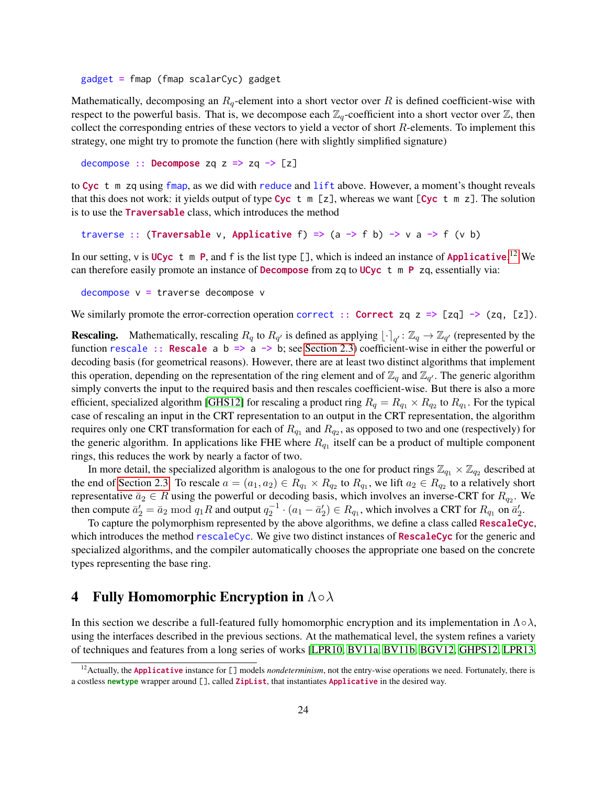gadget = fmap (fmap scalarCyc) gadget

Mathematically, decomposing an  $R_q$ -element into a short vector over R is defined coefficient-wise with respect to the powerful basis. That is, we decompose each  $\mathbb{Z}_q$ -coefficient into a short vector over  $\mathbb{Z}$ , then collect the corresponding entries of these vectors to yield a vector of short  $R$ -elements. To implement this strategy, one might try to promote the function (here with slightly simplified signature)

decompose :: Decompose zq  $z \Rightarrow zq \rightarrow [z]$ 

to Cyc t m zq using fmap, as we did with reduce and lift above. However, a moment's thought reveals that this does not work: it yields output of type Cyc t  $m \lceil z \rceil$ , whereas we want  $\lceil Cyc \rceil$  m z $\lceil$ . The solution is to use the Traversable class, which introduces the method

```
traverse :: (Traversable v, Applicative f) => (a -> f b) -> v a -> f (v b)
```
In our setting,  $v$  is UCyc t m P, and f is the list type [], which is indeed an instance of Applicative.<sup>[12](#page-23-1)</sup> We can therefore easily promote an instance of **Decompose** from  $zq$  to UCyc t m P  $zq$ , essentially via:

```
decompose v = traverse decompose v
```
We similarly promote the error-correction operation correct :: Correct zq z => [zq] -> (zq, [z]).

**Rescaling.** Mathematically, rescaling  $R_q$  to  $R_{q'}$  is defined as applying  $\lfloor \cdot \rceil_{q'} : \mathbb{Z}_q \to \mathbb{Z}_{q'}$  (represented by the function rescale :: Rescale a b => a -> b; see [Section 2.3\)](#page-12-0) coefficient-wise in either the powerful or decoding basis (for geometrical reasons). However, there are at least two distinct algorithms that implement this operation, depending on the representation of the ring element and of  $\mathbb{Z}_q$  and  $\mathbb{Z}_{q'}$ . The generic algorithm simply converts the input to the required basis and then rescales coefficient-wise. But there is also a more efficient, specialized algorithm [\[GHS12\]](#page-34-12) for rescaling a product ring  $R_q = R_{q_1} \times R_{q_2}$  to  $R_{q_1}$ . For the typical case of rescaling an input in the CRT representation to an output in the CRT representation, the algorithm requires only one CRT transformation for each of  $R_{q_1}$  and  $R_{q_2}$ , as opposed to two and one (respectively) for the generic algorithm. In applications like FHE where  $R_{q_1}$  itself can be a product of multiple component rings, this reduces the work by nearly a factor of two.

In more detail, the specialized algorithm is analogous to the one for product rings  $\mathbb{Z}_{q_1} \times \mathbb{Z}_{q_2}$  described at the end of [Section 2.3.](#page-12-0) To rescale  $a = (a_1, a_2) \in R_{q_1} \times R_{q_2}$  to  $R_{q_1}$ , we lift  $a_2 \in R_{q_2}$  to a relatively short representative  $\bar{a}_2 \in R$  using the powerful or decoding basis, which involves an inverse-CRT for  $R_{q_2}$ . We then compute  $\bar{a}_2' = \bar{a}_2 \mod q_1 R$  and output  $q_2^{-1} \cdot (a_1 - \bar{a}_2') \in R_{q_1}$ , which involves a CRT for  $R_{q_1}$  on  $\bar{a}_2'$ .

To capture the polymorphism represented by the above algorithms, we define a class called RescaleCyc, which introduces the method rescaleCyc. We give two distinct instances of  $\text{RescaleCyc}$  for the generic and specialized algorithms, and the compiler automatically chooses the appropriate one based on the concrete types representing the base ring.

# <span id="page-23-0"></span>4 Fully Homomorphic Encryption in  $\Lambda \circ \lambda$

In this section we describe a full-featured fully homomorphic encryption and its implementation in  $\Lambda \circ \lambda$ , using the interfaces described in the previous sections. At the mathematical level, the system refines a variety of techniques and features from a long series of works [\[LPR10,](#page-34-1) [BV11a,](#page-33-7) [BV11b,](#page-33-8) [BGV12,](#page-32-1) [GHPS12,](#page-34-9) [LPR13,](#page-34-8)

<span id="page-23-1"></span><sup>&</sup>lt;sup>12</sup> Actually, the Applicative instance for [] models *nondeterminism*, not the entry-wise operations we need. Fortunately, there is a costless newtype wrapper around [], called ZipList, that instantiates Applicative in the desired way.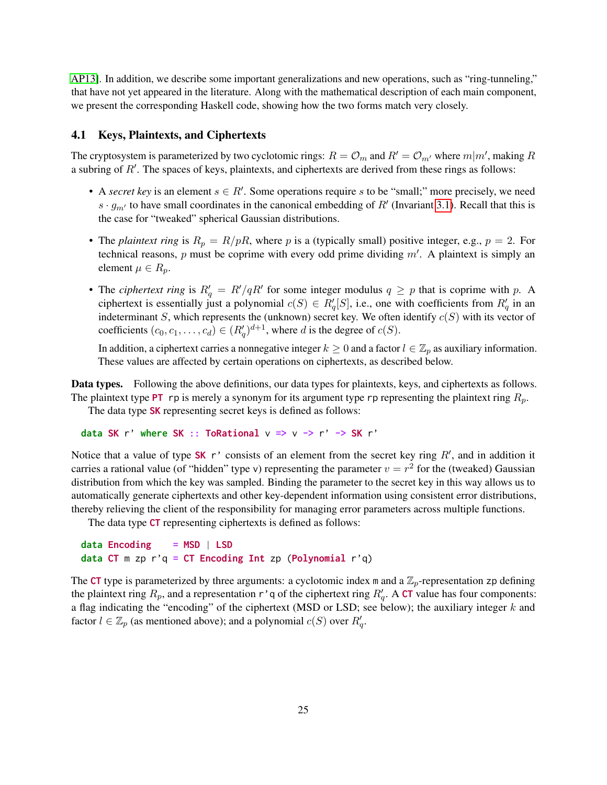[AP13\]](#page-32-5). In addition, we describe some important generalizations and new operations, such as "ring-tunneling," that have not yet appeared in the literature. Along with the mathematical description of each main component, we present the corresponding Haskell code, showing how the two forms match very closely.

# <span id="page-24-0"></span>4.1 Keys, Plaintexts, and Ciphertexts

The cryptosystem is parameterized by two cyclotomic rings:  $R = \mathcal{O}_m$  and  $R' = \mathcal{O}_{m'}$  where  $m|m'$ , making  $R$ a subring of  $R'$ . The spaces of keys, plaintexts, and ciphertexts are derived from these rings as follows:

- A *secret key* is an element  $s \in R'$ . Some operations require s to be "small;" more precisely, we need  $s \cdot g_{m'}$  to have small coordinates in the canonical embedding of R' (Invariant [3.1\)](#page-17-2). Recall that this is the case for "tweaked" spherical Gaussian distributions.
- The *plaintext ring* is  $R_p = R/pR$ , where p is a (typically small) positive integer, e.g.,  $p = 2$ . For technical reasons, p must be coprime with every odd prime dividing  $m'$ . A plaintext is simply an element  $\mu \in R_p$ .
- The *ciphertext ring* is  $R'_q = R'/qR'$  for some integer modulus  $q \geq p$  that is coprime with p. A ciphertext is essentially just a polynomial  $c(S) \in R'_q[S]$ , i.e., one with coefficients from  $R'_q$  in an indeterminant S, which represents the (unknown) secret key. We often identify  $c(S)$  with its vector of coefficients  $(c_0, c_1, \ldots, c_d) \in (R'_q)^{d+1}$ , where d is the degree of  $c(S)$ .

In addition, a ciphertext carries a nonnegative integer  $k \geq 0$  and a factor  $l \in \mathbb{Z}_p$  as auxiliary information. These values are affected by certain operations on ciphertexts, as described below.

Data types. Following the above definitions, our data types for plaintexts, keys, and ciphertexts as follows. The plaintext type PT rp is merely a synonym for its argument type rp representing the plaintext ring  $R_p$ .

The data type **SK** representing secret keys is defined as follows:

```
data SK r' where SK :: ToRational v \Rightarrow v \Rightarrow r' \Rightarrow SK r'
```
Notice that a value of type SK r' consists of an element from the secret key ring  $R'$ , and in addition it carries a rational value (of "hidden" type v) representing the parameter  $v = r^2$  for the (tweaked) Gaussian distribution from which the key was sampled. Binding the parameter to the secret key in this way allows us to automatically generate ciphertexts and other key-dependent information using consistent error distributions, thereby relieving the client of the responsibility for managing error parameters across multiple functions.

The data type CT representing ciphertexts is defined as follows:

```
data Encoding = MSD | LSD
data CT m zp r'q = CT Encoding Int zp (Polynomial r'q)
```
The CT type is parameterized by three arguments: a cyclotomic index m and a  $\mathbb{Z}_p$ -representation zp defining the plaintext ring  $R_p$ , and a representation r'q of the ciphertext ring  $R_q'$ . A CT value has four components: a flag indicating the "encoding" of the ciphertext (MSD or LSD; see below); the auxiliary integer  $k$  and factor  $l \in \mathbb{Z}_p$  (as mentioned above); and a polynomial  $c(S)$  over  $R'_q$ .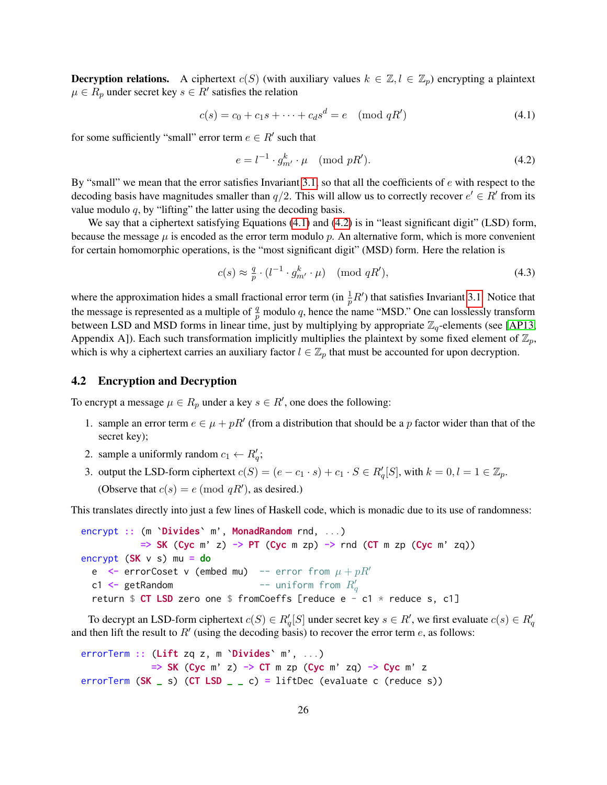**Decryption relations.** A ciphertext  $c(S)$  (with auxiliary values  $k \in \mathbb{Z}, l \in \mathbb{Z}_p$ ) encrypting a plaintext  $\mu \in R_p$  under secret key  $s \in R'$  satisfies the relation

$$
c(s) = c_0 + c_1 s + \dots + c_d s^d = e \pmod{qR'}
$$
\n(4.1)

for some sufficiently "small" error term  $e \in R'$  such that

<span id="page-25-2"></span><span id="page-25-1"></span>
$$
e = l^{-1} \cdot g_{m'}^k \cdot \mu \pmod{pR'}.
$$
\n
$$
(4.2)
$$

By "small" we mean that the error satisfies Invariant [3.1,](#page-17-2) so that all the coefficients of  $e$  with respect to the decoding basis have magnitudes smaller than  $q/2$ . This will allow us to correctly recover  $e' \in R'$  from its value modulo  $q$ , by "lifting" the latter using the decoding basis.

We say that a ciphertext satisfying Equations [\(4.1\)](#page-25-1) and [\(4.2\)](#page-25-2) is in "least significant digit" (LSD) form, because the message  $\mu$  is encoded as the error term modulo  $p$ . An alternative form, which is more convenient for certain homomorphic operations, is the "most significant digit" (MSD) form. Here the relation is

<span id="page-25-3"></span>
$$
c(s) \approx \frac{q}{p} \cdot (l^{-1} \cdot g_{m'}^k \cdot \mu) \pmod{qR'},\tag{4.3}
$$

where the approximation hides a small fractional error term (in  $\frac{1}{p}R'$ ) that satisfies Invariant [3.1.](#page-17-2) Notice that the message is represented as a multiple of  $\frac{q}{p}$  modulo q, hence the name "MSD." One can losslessly transform between LSD and MSD forms in linear time, just by multiplying by appropriate  $\mathbb{Z}_q$ -elements (see [\[AP13,](#page-32-5) Appendix A]). Each such transformation implicitly multiplies the plaintext by some fixed element of  $\mathbb{Z}_p$ , which is why a ciphertext carries an auxiliary factor  $l \in \mathbb{Z}_p$  that must be accounted for upon decryption.

# <span id="page-25-0"></span>4.2 Encryption and Decryption

To encrypt a message  $\mu \in R_p$  under a key  $s \in R'$ , one does the following:

- 1. sample an error term  $e \in \mu + pR'$  (from a distribution that should be a p factor wider than that of the secret key);
- 2. sample a uniformly random  $c_1 \leftarrow R'_q$ ;
- 3. output the LSD-form ciphertext  $c(S) = (e c_1 \cdot s) + c_1 \cdot S \in R'_q[S]$ , with  $k = 0, l = 1 \in \mathbb{Z}_p$ . (Observe that  $c(s) = e \pmod{qR'}$ , as desired.)

This translates directly into just a few lines of Haskell code, which is monadic due to its use of randomness:

encrypt :: (m `Divides` m', MonadRandom rnd, ...)  $\Rightarrow$  SK (Cyc m' z)  $\rightarrow$  PT (Cyc m zp)  $\rightarrow$  rnd (CT m zp (Cyc m' zq)) encrypt  $(SK \vee s)$  mu = do e  $\leftarrow$  errorCoset v (embed mu) -- error from  $\mu + pR'$ c1 <-  $get$ Random  $e^{i}$   $e^{i}$   $e^{i}$   $f^{i}$   $f^{j}$   $f^{j}$   $f^{j}$ return  $$ CT$  LSD zero one  $$$  fromCoeffs [reduce e - c1  $*$  reduce s, c1]

To decrypt an LSD-form ciphertext  $c(S) \in R'_q[S]$  under secret key  $s \in R'$ , we first evaluate  $c(s) \in R'_q$ and then lift the result to  $R'$  (using the decoding basis) to recover the error term e, as follows:

errorTerm :: (Lift zq z, m 'Divides' m', ...)  $\Rightarrow$  SK (Cyc m' z)  $\rightarrow$  CT m zp (Cyc m' zq)  $\rightarrow$  Cyc m' z errorTerm  $(SK_s s)$   $(CT LSD_s s) = 1$ iftDec (evaluate c (reduce s))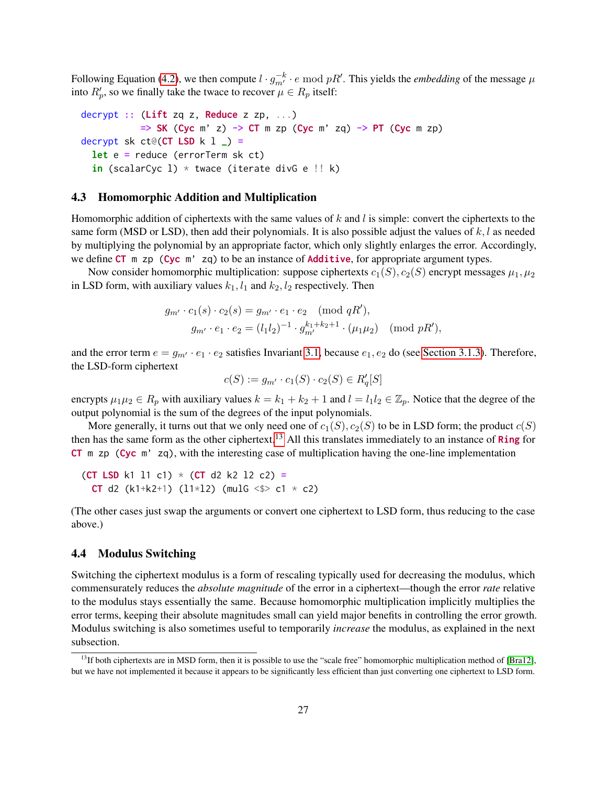Following Equation [\(4.2\)](#page-25-2), we then compute  $l \cdot g_{m'}^{-k} \cdot e \mod pR'$ . This yields the *embedding* of the message  $\mu$ into  $R_p'$ , so we finally take the twace to recover  $\mu \in R_p$  itself:

decrypt :: (Lift zq z, Reduce z zp, ...)  $\Rightarrow$  SK (Cyc m' z)  $\rightarrow$  CT m zp (Cyc m' zq)  $\rightarrow$  PT (Cyc m zp) decrypt sk ct@( $CT$  LSD k  $1$   $)$  = let e = reduce (errorTerm sk ct) in (scalarCyc 1)  $*$  twace (iterate divG e !! k)

# <span id="page-26-0"></span>4.3 Homomorphic Addition and Multiplication

Homomorphic addition of ciphertexts with the same values of  $k$  and  $l$  is simple: convert the ciphertexts to the same form (MSD or LSD), then add their polynomials. It is also possible adjust the values of  $k, l$  as needed by multiplying the polynomial by an appropriate factor, which only slightly enlarges the error. Accordingly, we define CT m zp (Cyc m' zq) to be an instance of Additive, for appropriate argument types.

Now consider homomorphic multiplication: suppose ciphertexts  $c_1(S)$ ,  $c_2(S)$  encrypt messages  $\mu_1, \mu_2$ in LSD form, with auxiliary values  $k_1$ ,  $l_1$  and  $k_2$ ,  $l_2$  respectively. Then

$$
g_{m'} \cdot c_1(s) \cdot c_2(s) = g_{m'} \cdot e_1 \cdot e_2 \pmod{qR'},
$$
  

$$
g_{m'} \cdot e_1 \cdot e_2 = (l_1 l_2)^{-1} \cdot g_{m'}^{k_1 + k_2 + 1} \cdot (\mu_1 \mu_2) \pmod{pR'},
$$

and the error term  $e = g_{m'} \cdot e_1 \cdot e_2$  satisfies Invariant [3.1,](#page-17-2) because  $e_1, e_2$  do (see [Section 3.1.3\)](#page-17-0). Therefore, the LSD-form ciphertext

$$
c(S) := g_{m'} \cdot c_1(S) \cdot c_2(S) \in R'_q[S]
$$

encrypts  $\mu_1\mu_2 \in R_p$  with auxiliary values  $k = k_1 + k_2 + 1$  and  $l = l_1l_2 \in \mathbb{Z}_p$ . Notice that the degree of the output polynomial is the sum of the degrees of the input polynomials.

More generally, it turns out that we only need one of  $c_1(S)$ ,  $c_2(S)$  to be in LSD form; the product  $c(S)$ then has the same form as the other ciphertext.<sup>[13](#page-26-2)</sup> All this translates immediately to an instance of **Ring** for CT m zp (Cyc m' zq), with the interesting case of multiplication having the one-line implementation

(CT LSD k1 l1 c1)  $*$  (CT d2 k2 l2 c2) = **CT** d2 (k1+k2+1) (11\*12) (mulG <\$> c1 \* c2)

(The other cases just swap the arguments or convert one ciphertext to LSD form, thus reducing to the case above.)

# <span id="page-26-1"></span>4.4 Modulus Switching

Switching the ciphertext modulus is a form of rescaling typically used for decreasing the modulus, which commensurately reduces the *absolute magnitude* of the error in a ciphertext—though the error *rate* relative to the modulus stays essentially the same. Because homomorphic multiplication implicitly multiplies the error terms, keeping their absolute magnitudes small can yield major benefits in controlling the error growth. Modulus switching is also sometimes useful to temporarily *increase* the modulus, as explained in the next subsection.

<span id="page-26-2"></span><sup>&</sup>lt;sup>13</sup>If both ciphertexts are in MSD form, then it is possible to use the "scale free" homomorphic multiplication method of [\[Bra12\]](#page-33-16), but we have not implemented it because it appears to be significantly less efficient than just converting one ciphertext to LSD form.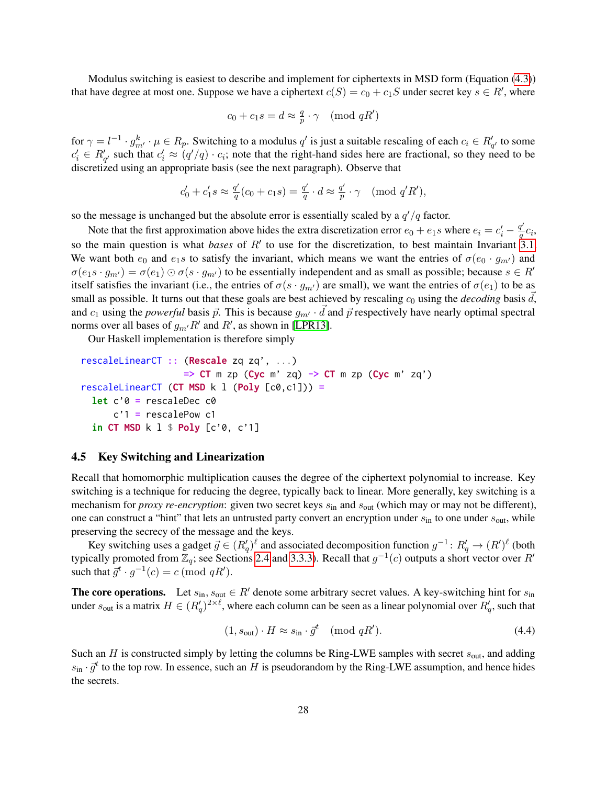Modulus switching is easiest to describe and implement for ciphertexts in MSD form (Equation [\(4.3\)](#page-25-3)) that have degree at most one. Suppose we have a ciphertext  $c(S) = c_0 + c_1S$  under secret key  $s \in R'$ , where

$$
c_0 + c_1 s = d \approx \frac{q}{p} \cdot \gamma \pmod{qR'}
$$

for  $\gamma = l^{-1} \cdot g_{m'}^k \cdot \mu \in R_p$ . Switching to a modulus  $q'$  is just a suitable rescaling of each  $c_i \in R_{q'}'$  to some  $c'_i \in R'_{q'}$  such that  $c'_i \approx (q'/q) \cdot c_i$ ; note that the right-hand sides here are fractional, so they need to be discretized using an appropriate basis (see the next paragraph). Observe that

$$
c'_0 + c'_1 s \approx \frac{q'}{q}(c_0 + c_1 s) = \frac{q'}{q} \cdot d \approx \frac{q'}{p} \cdot \gamma \pmod{q'R'},
$$

so the message is unchanged but the absolute error is essentially scaled by a  $q'/q$  factor.

Note that the first approximation above hides the extra discretization error  $e_0 + e_1 s$  where  $e_i = c_i' - \frac{q'}{q}$  $\frac{T}{q}c_i,$ so the main question is what *bases* of  $R'$  to use for the discretization, to best maintain Invariant  $3.1$ . We want both  $e_0$  and  $e_1s$  to satisfy the invariant, which means we want the entries of  $\sigma(e_0 \cdot q_{m'})$  and  $\sigma(e_1s \cdot g_{m'}) = \sigma(e_1) \odot \sigma(s \cdot g_{m'})$  to be essentially independent and as small as possible; because  $s \in R'$ itself satisfies the invariant (i.e., the entries of  $\sigma(s \cdot g_{m})$  are small), we want the entries of  $\sigma(e_1)$  to be as small as possible. It turns out that these goals are best achieved by rescaling  $c_0$  using the *decoding* basis  $d$ , and  $c_1$  using the *powerful* basis  $\vec{p}$ . This is because  $g_{m'} \cdot \vec{d}$  and  $\vec{p}$  respectively have nearly optimal spectral norms over all bases of  $g_{m}$ ,  $R'$  and  $R'$ , as shown in [\[LPR13\]](#page-34-8).

Our Haskell implementation is therefore simply

```
rescaleLinearCT :: (Rescale zq zq', ...)
                     \Rightarrow CT m zp (Cyc m' zq) \rightarrow CT m zp (Cyc m' zq')
rescaleLinearCT (CT MSD k l (Poly [c0, c1])) =
  let c'0 = rescaleDec c0
      c'1 = rescalePow c1
  in CT MSD k \, 1 \, $ Poly [c'0, c'1]
```
# <span id="page-27-0"></span>4.5 Key Switching and Linearization

Recall that homomorphic multiplication causes the degree of the ciphertext polynomial to increase. Key switching is a technique for reducing the degree, typically back to linear. More generally, key switching is a mechanism for *proxy re-encryption*: given two secret keys  $s_{in}$  and  $s_{out}$  (which may or may not be different), one can construct a "hint" that lets an untrusted party convert an encryption under  $s_{\text{in}}$  to one under  $s_{\text{out}}$ , while preserving the secrecy of the message and the keys.

Key switching uses a gadget  $\vec{g} \in (R'_q)^{\ell}$  and associated decomposition function  $g^{-1} \colon R'_q \to (R')^{\ell}$  (both typically promoted from  $\mathbb{Z}_q$ ; see Sections [2.4](#page-12-1) and [3.3.3\)](#page-22-0). Recall that  $g^{-1}(c)$  outputs a short vector over  $R'$ such that  $\vec{g}^t \cdot g^{-1}(c) = c \pmod{qR'}$ .

**The core operations.** Let  $s_{\text{in}}$ ,  $s_{\text{out}} \in R'$  denote some arbitrary secret values. A key-switching hint for  $s_{\text{in}}$ under  $s_{\text{out}}$  is a matrix  $H \in (R'_q)^{2\times \ell}$ , where each column can be seen as a linear polynomial over  $R'_q$ , such that

<span id="page-27-1"></span>
$$
(1, sout) \cdot H \approx sin \cdot \vec{g}^t \pmod{qR'}.
$$

Such an  $H$  is constructed simply by letting the columns be Ring-LWE samples with secret  $s_{\text{out}}$ , and adding  $s_{\text{in}} \cdot \vec{g}^t$  to the top row. In essence, such an H is pseudorandom by the Ring-LWE assumption, and hence hides the secrets.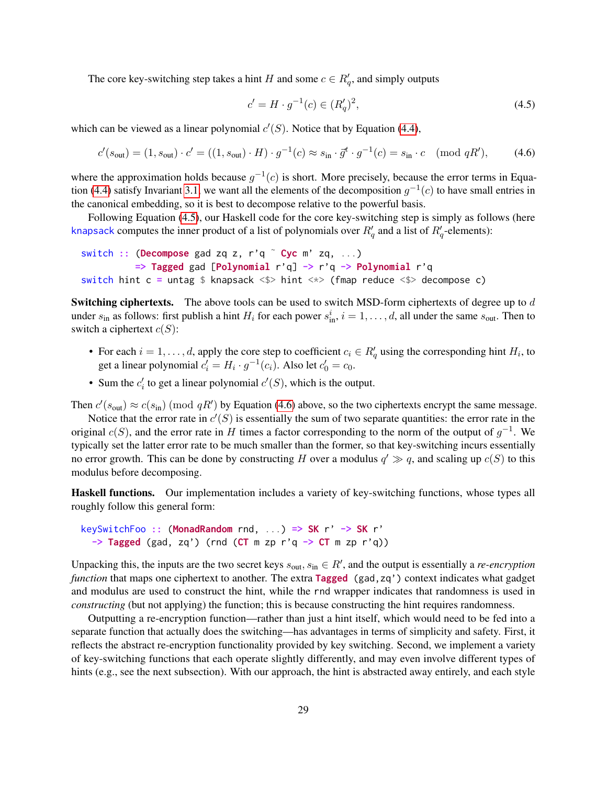The core key-switching step takes a hint H and some  $c \in R'_q$ , and simply outputs

<span id="page-28-1"></span><span id="page-28-0"></span>
$$
c' = H \cdot g^{-1}(c) \in (R'_q)^2,\tag{4.5}
$$

which can be viewed as a linear polynomial  $c'(S)$ . Notice that by Equation [\(4.4\)](#page-27-1),

$$
c'(s_{\text{out}}) = (1, s_{\text{out}}) \cdot c' = ((1, s_{\text{out}}) \cdot H) \cdot g^{-1}(c) \approx s_{\text{in}} \cdot \vec{g}^t \cdot g^{-1}(c) = s_{\text{in}} \cdot c \pmod{qR'},\tag{4.6}
$$

where the approximation holds because  $g^{-1}(c)$  is short. More precisely, because the error terms in Equa-tion [\(4.4\)](#page-27-1) satisfy Invariant [3.1,](#page-17-2) we want all the elements of the decomposition  $g^{-1}(c)$  to have small entries in the canonical embedding, so it is best to decompose relative to the powerful basis.

Following Equation [\(4.5\)](#page-28-0), our Haskell code for the core key-switching step is simply as follows (here knapsack computes the inner product of a list of polynomials over  $R'_{q}$  and a list of  $R'_{q}$ -elements):

```
switch :: (Decompose gad zq z, r'q \degree Cyc m' zq, ...)
           \Rightarrow Tagged gad [Polynomial r'q] \rightarrow r'q \rightarrow Polynomial r'q
switch hint c = untag $ knapsack <$> hint <*> (fmap reduce <$> decompose c)
```
**Switching ciphertexts.** The above tools can be used to switch MSD-form ciphertexts of degree up to d under  $s_{\text{in}}$  as follows: first publish a hint  $H_i$  for each power  $s_{\text{in}}^i$ ,  $i = 1, \dots, d$ , all under the same  $s_{\text{out}}$ . Then to switch a ciphertext  $c(S)$ :

- For each  $i = 1, \ldots, d$ , apply the core step to coefficient  $c_i \in R'_q$  using the corresponding hint  $H_i$ , to get a linear polynomial  $c_i' = H_i \cdot g^{-1}(c_i)$ . Also let  $c_0' = c_0$ .
- Sum the  $c_i'$  to get a linear polynomial  $c'(S)$ , which is the output.

Then  $c'(s_{\text{out}}) \approx c(s_{\text{in}})$  (mod  $qR'$ ) by Equation [\(4.6\)](#page-28-1) above, so the two ciphertexts encrypt the same message.

Notice that the error rate in  $c'(S)$  is essentially the sum of two separate quantities: the error rate in the original  $c(S)$ , and the error rate in H times a factor corresponding to the norm of the output of  $g^{-1}$ . We typically set the latter error rate to be much smaller than the former, so that key-switching incurs essentially no error growth. This can be done by constructing H over a modulus  $q' \gg q$ , and scaling up  $c(S)$  to this modulus before decomposing.

Haskell functions. Our implementation includes a variety of key-switching functions, whose types all roughly follow this general form:

keySwitchFoo :: (MonadRandom rnd, ...) => SK r' -> SK r'  $\Rightarrow$  Tagged (gad, zq') (rnd (CT m zp r'q  $\Rightarrow$  CT m zp r'q))

Unpacking this, the inputs are the two secret keys  $s_{\text{out}}$ ,  $s_{\text{in}} \in R'$ , and the output is essentially a *re-encryption function* that maps one ciphertext to another. The extra Tagged (gad,zq') context indicates what gadget and modulus are used to construct the hint, while the rnd wrapper indicates that randomness is used in *constructing* (but not applying) the function; this is because constructing the hint requires randomness.

Outputting a re-encryption function—rather than just a hint itself, which would need to be fed into a separate function that actually does the switching—has advantages in terms of simplicity and safety. First, it reflects the abstract re-encryption functionality provided by key switching. Second, we implement a variety of key-switching functions that each operate slightly differently, and may even involve different types of hints (e.g., see the next subsection). With our approach, the hint is abstracted away entirely, and each style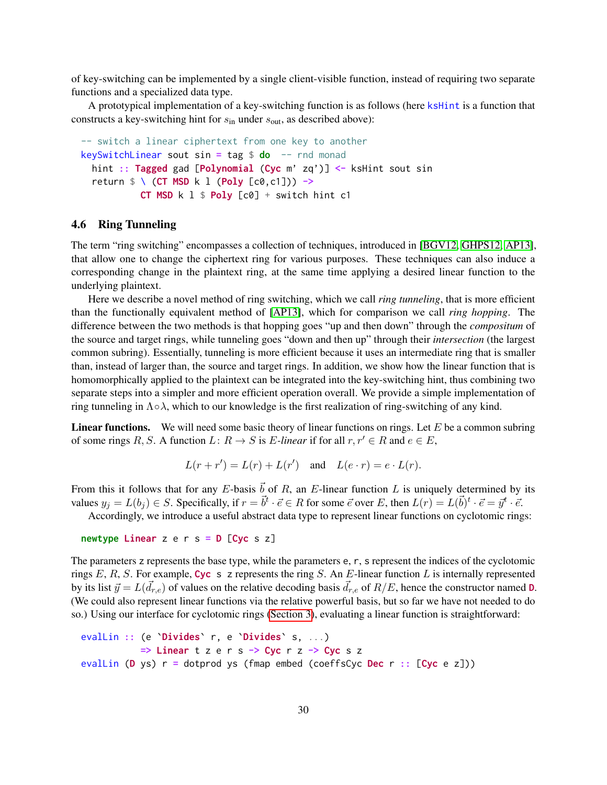of key-switching can be implemented by a single client-visible function, instead of requiring two separate functions and a specialized data type.

A prototypical implementation of a key-switching function is as follows (here ksHint is a function that constructs a key-switching hint for  $s_{\text{in}}$  under  $s_{\text{out}}$ , as described above):

```
-- switch a linear ciphertext from one key to another
keySwitchLinear sout sin = tag $ do -- rnd monad
  hint :: Tagged gad [Polynomial (Cyc m' zq')] <- ksHint sout sin
  return \frac{1}{2} \left( CT \text{ MSD } k \text{ 1 (Poly } [c0, c1]) \right) ->
            CT MSD k l $ Poly [c0] + switch hint c1
```
# <span id="page-29-0"></span>4.6 Ring Tunneling

The term "ring switching" encompasses a collection of techniques, introduced in [\[BGV12,](#page-32-1) [GHPS12,](#page-34-9) [AP13\]](#page-32-5), that allow one to change the ciphertext ring for various purposes. These techniques can also induce a corresponding change in the plaintext ring, at the same time applying a desired linear function to the underlying plaintext.

Here we describe a novel method of ring switching, which we call *ring tunneling*, that is more efficient than the functionally equivalent method of [\[AP13\]](#page-32-5), which for comparison we call *ring hopping*. The difference between the two methods is that hopping goes "up and then down" through the *compositum* of the source and target rings, while tunneling goes "down and then up" through their *intersection* (the largest common subring). Essentially, tunneling is more efficient because it uses an intermediate ring that is smaller than, instead of larger than, the source and target rings. In addition, we show how the linear function that is homomorphically applied to the plaintext can be integrated into the key-switching hint, thus combining two separate steps into a simpler and more efficient operation overall. We provide a simple implementation of ring tunneling in  $\Lambda \circ \lambda$ , which to our knowledge is the first realization of ring-switching of any kind.

**Linear functions.** We will need some basic theory of linear functions on rings. Let  $E$  be a common subring of some rings R, S. A function  $L: R \to S$  is E-linear if for all  $r, r' \in R$  and  $e \in E$ ,

$$
L(r + r') = L(r) + L(r') \quad \text{and} \quad L(e \cdot r) = e \cdot L(r).
$$

From this it follows that for any E-basis  $\vec{b}$  of R, an E-linear function L is uniquely determined by its values  $y_j = L(b_j) \in S$ . Specifically, if  $r = \vec{b}^t \cdot \vec{e} \in R$  for some  $\vec{e}$  over E, then  $L(r) = L(\vec{b})^t \cdot \vec{e} = \vec{y}^t \cdot \vec{e}$ .

Accordingly, we introduce a useful abstract data type to represent linear functions on cyclotomic rings:

```
newtype Linear z \in r s = D [Cyc s z]
```
The parameters z represents the base type, while the parameters e, r, s represent the indices of the cyclotomic rings  $E, R, S$ . For example, Cyc s z represents the ring  $S$ . An  $E$ -linear function  $L$  is internally represented by its list  $\vec{y} = L(\vec{d}_{r,e})$  of values on the relative decoding basis  $\vec{d}_{r,e}$  of  $R/E$ , hence the constructor named **D**. (We could also represent linear functions via the relative powerful basis, but so far we have not needed to do so.) Using our interface for cyclotomic rings [\(Section 3\)](#page-15-0), evaluating a linear function is straightforward:

```
evalLin :: (e 'Divides' r, e 'Divides' s, ...)
            \Rightarrow Linear t z e r s \rightarrow Cyc r z \rightarrow Cyc s z
evalLin (D ys) r = dotprod ys (fmap embed (coeffsCyc Dec r : [Cyc e z]))
```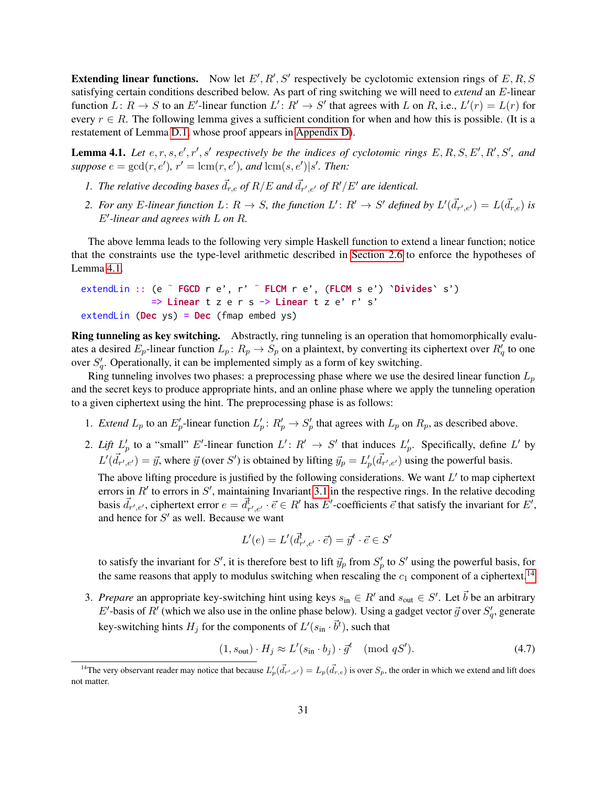**Extending linear functions.** Now let  $E', R', S'$  respectively be cyclotomic extension rings of  $E, R, S$ satisfying certain conditions described below. As part of ring switching we will need to *extend* an E-linear function  $L: R \to S$  to an E'-linear function  $L': R' \to S'$  that agrees with L on R, i.e.,  $L'(r) = L(r)$  for every  $r \in R$ . The following lemma gives a sufficient condition for when and how this is possible. (It is a restatement of Lemma [D.1,](#page-55-1) whose proof appears in [Appendix D\)](#page-54-0).

<span id="page-30-0"></span>**Lemma 4.1.** Let  $e, r, s, e', r', s'$  respectively be the indices of cyclotomic rings  $E, R, S, E', R', S', and$  $suppose e = gcd(r, e'), r' = lcm(r, e'), and lcm(s, e')|s'. Then:$ 

- *1. The relative decoding bases*  $\vec{d}_{r,e}$  of  $R/E$  *and*  $\vec{d}_{r',e'}$  of  $R'/E'$  are identical.
- 2. For any E-linear function  $L: R \to S$ , the function  $L': R' \to S'$  defined by  $L'(\vec{d}_{r',e'}) = L(\vec{d}_{r,e})$  is  $E'$ -linear and agrees with  $L$  on  $R$ .

The above lemma leads to the following very simple Haskell function to extend a linear function; notice that the constraints use the type-level arithmetic described in [Section 2.6](#page-14-1) to enforce the hypotheses of Lemma [4.1.](#page-30-0)

```
extendLin :: (e \tilde{ } FGCD r e', r' \tilde{ } FLCM r e', (FLCM s e') `Divides` s')
               \Rightarrow Linear t z e r s \rightarrow Linear t z e' r' s'
extendLin (Dec ys) = Dec (fmap embed ys)
```
Ring tunneling as key switching. Abstractly, ring tunneling is an operation that homomorphically evaluates a desired  $E_p$ -linear function  $L_p: R_p \to S_p$  on a plaintext, by converting its ciphertext over  $R'_q$  to one over  $S'_q$ . Operationally, it can be implemented simply as a form of key switching.

Ring tunneling involves two phases: a preprocessing phase where we use the desired linear function  $L_p$ and the secret keys to produce appropriate hints, and an online phase where we apply the tunneling operation to a given ciphertext using the hint. The preprocessing phase is as follows:

- 1. *Extend*  $L_p$  to an  $E'_p$ -linear function  $L'_p: R'_p \to S'_p$  that agrees with  $L_p$  on  $R_p$ , as described above.
- 2. Lift  $L'_p$  to a "small" E'-linear function  $L': R' \to S'$  that induces  $L'_p$ . Specifically, define L' by  $L'(\vec{d}_{r',e'}) = \vec{y}$ , where  $\vec{y}$  (over S') is obtained by lifting  $\vec{y}_p = L'_p(\vec{d}_{r',e'})$  using the powerful basis.

The above lifting procedure is justified by the following considerations. We want  $L'$  to map ciphertext errors in  $R'$  to errors in  $S'$ , maintaining Invariant [3.1](#page-17-2) in the respective rings. In the relative decoding basis  $\vec{d}_{r',e'}$ , ciphertext error  $e = \vec{d}_{r',e'}^{\dagger} \cdot \vec{e} \in R'$  has  $E'$ -coefficients  $\vec{e}$  that satisfy the invariant for  $E'$ , and hence for  $S'$  as well. Because we want

<span id="page-30-2"></span>
$$
L'(e) = L'(d_{r',e'}^{\vec{t}} \cdot \vec{e}) = \vec{y}^t \cdot \vec{e} \in S'
$$

to satisfy the invariant for S', it is therefore best to lift  $\vec{y}_p$  from  $S'_p$  to S' using the powerful basis, for the same reasons that apply to modulus switching when rescaling the  $c_1$  component of a ciphertext.<sup>[14](#page-30-1)</sup>

3. *Prepare* an appropriate key-switching hint using keys  $s_{in} \in R'$  and  $s_{out} \in S'$ . Let  $\vec{b}$  be an arbitrary E'-basis of R' (which we also use in the online phase below). Using a gadget vector  $\vec{g}$  over  $S'_q$ , generate key-switching hints  $H_j$  for the components of  $L'(s_{\text{in}} \cdot \vec{b}^t)$ , such that

$$
(1, sout) \cdot H_j \approx L'(sin \cdot bj) \cdot \vec{g}^t \pmod{qS'}.
$$
 (4.7)

<span id="page-30-1"></span><sup>&</sup>lt;sup>14</sup>The very observant reader may notice that because  $L'_p(\vec{d}_{r',e'}) = L_p(\vec{d}_{r,e})$  is over  $S_p$ , the order in which we extend and lift does not matter.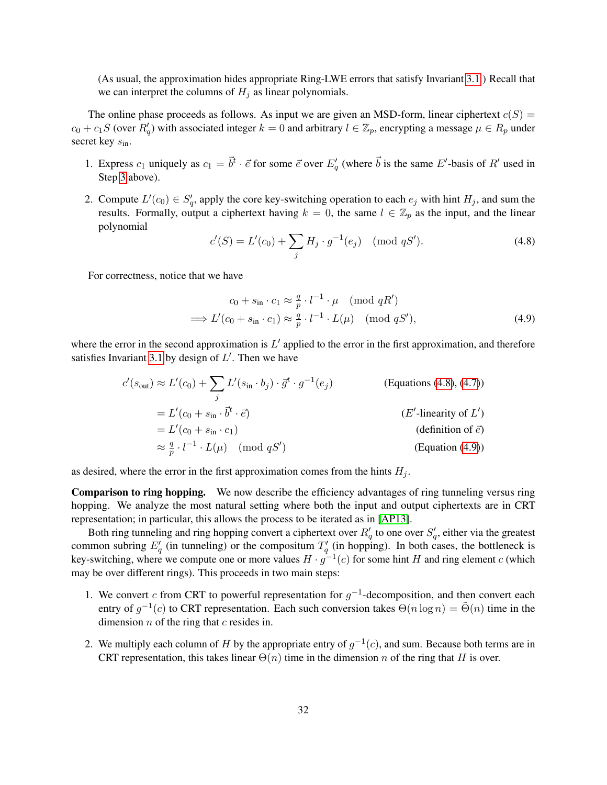(As usual, the approximation hides appropriate Ring-LWE errors that satisfy Invariant [3.1.](#page-17-2)) Recall that we can interpret the columns of  $H_i$  as linear polynomials.

The online phase proceeds as follows. As input we are given an MSD-form, linear ciphertext  $c(S)$  =  $c_0 + c_1S$  (over  $R'_q$ ) with associated integer  $k = 0$  and arbitrary  $l \in \mathbb{Z}_p$ , encrypting a message  $\mu \in R_p$  under secret key  $s_{\text{in}}$ .

- 1. Express  $c_1$  uniquely as  $c_1 = \vec{b}^t \cdot \vec{e}$  for some  $\vec{e}$  over  $E'_q$  (where  $\vec{b}$  is the same  $E'$ -basis of  $R'$  used in Step [3](#page-30-2) above).
- 2. Compute  $L'(c_0) \in S'_q$ , apply the core key-switching operation to each  $e_j$  with hint  $H_j$ , and sum the results. Formally, output a ciphertext having  $k = 0$ , the same  $l \in \mathbb{Z}_p$  as the input, and the linear polynomial

<span id="page-31-1"></span><span id="page-31-0"></span>
$$
c'(S) = L'(c_0) + \sum_{j} H_j \cdot g^{-1}(e_j) \pmod{qS'}.
$$
 (4.8)

For correctness, notice that we have

$$
c_0 + s_{\text{in}} \cdot c_1 \approx \frac{q}{p} \cdot l^{-1} \cdot \mu \pmod{qR'}
$$
  

$$
\implies L'(c_0 + s_{\text{in}} \cdot c_1) \approx \frac{q}{p} \cdot l^{-1} \cdot L(\mu) \pmod{qS'}, \tag{4.9}
$$

where the error in the second approximation is  $L'$  applied to the error in the first approximation, and therefore satisfies Invariant [3.1](#page-17-2) by design of  $L'$ . Then we have

$$
c'(s_{\text{out}}) \approx L'(c_0) + \sum_j L'(s_{\text{in}} \cdot b_j) \cdot \vec{g}^t \cdot g^{-1}(e_j)
$$
 (Equations (4.8), (4.7))  
\n
$$
= L'(c_0 + s_{\text{in}} \cdot \vec{b}^t \cdot \vec{e})
$$
 (E'-linearity of L')  
\n
$$
= L'(c_0 + s_{\text{in}} \cdot c_1)
$$
 (definition of  $\vec{e}$ )  
\n
$$
\approx \frac{q}{p} \cdot l^{-1} \cdot L(\mu)
$$
 (mod  $qS'$ ) (Equation (4.9))

as desired, where the error in the first approximation comes from the hints  $H_i$ .

Comparison to ring hopping. We now describe the efficiency advantages of ring tunneling versus ring hopping. We analyze the most natural setting where both the input and output ciphertexts are in CRT representation; in particular, this allows the process to be iterated as in [\[AP13\]](#page-32-5).

Both ring tunneling and ring hopping convert a ciphertext over  $R'_{q}$  to one over  $S'_{q}$ , either via the greatest common subring  $E_q'$  (in tunneling) or the compositum  $T_q'$  (in hopping). In both cases, the bottleneck is key-switching, where we compute one or more values  $H \cdot g^{-1}(c)$  for some hint H and ring element c (which may be over different rings). This proceeds in two main steps:

- <span id="page-31-3"></span>1. We convert c from CRT to powerful representation for  $g^{-1}$ -decomposition, and then convert each entry of  $g^{-1}(c)$  to CRT representation. Each such conversion takes  $\Theta(n \log n) = \tilde{\Theta}(n)$  time in the dimension  $n$  of the ring that  $c$  resides in.
- <span id="page-31-2"></span>2. We multiply each column of H by the appropriate entry of  $g^{-1}(c)$ , and sum. Because both terms are in CRT representation, this takes linear  $\Theta(n)$  time in the dimension n of the ring that H is over.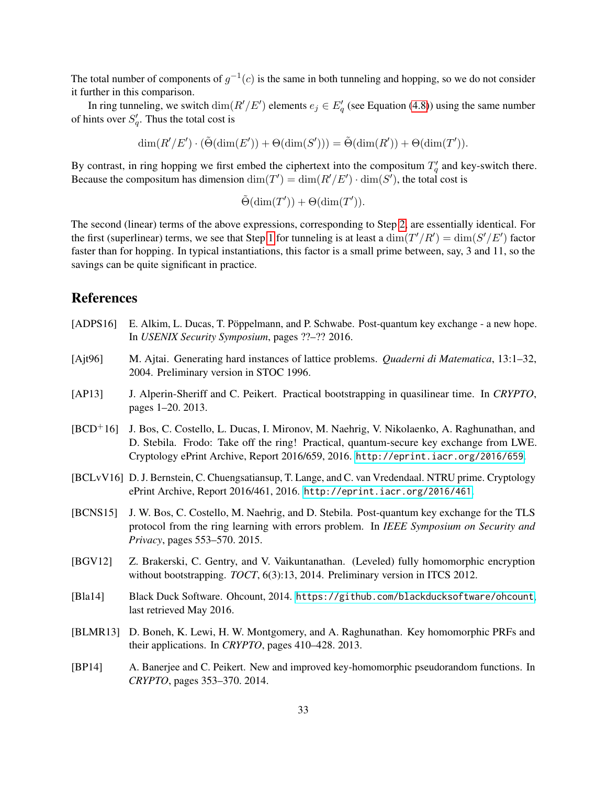The total number of components of  $g^{-1}(c)$  is the same in both tunneling and hopping, so we do not consider it further in this comparison.

In ring tunneling, we switch  $\dim(R'/E')$  elements  $e_j \in E'_q$  (see Equation [\(4.8\)](#page-31-0)) using the same number of hints over  $S'_q$ . Thus the total cost is

$$
\dim(R'/E')\cdot(\tilde{\Theta}(\dim(E'))+\Theta(\dim(S')))=\tilde{\Theta}(\dim(R'))+\Theta(\dim(T')).
$$

By contrast, in ring hopping we first embed the ciphertext into the compositum  $T'_q$  and key-switch there. Because the compositum has dimension  $\dim(T') = \dim(R'/E') \cdot \dim(S')$ , the total cost is

$$
\tilde{\Theta}(\dim(T')) + \Theta(\dim(T')).
$$

The second (linear) terms of the above expressions, corresponding to Step [2,](#page-31-2) are essentially identical. For the first (superlinear) terms, we see that Step [1](#page-31-3) for tunneling is at least a  $\dim(T'/R') = \dim(S'/E')$  factor faster than for hopping. In typical instantiations, this factor is a small prime between, say, 3 and 11, so the savings can be quite significant in practice.

# References

- <span id="page-32-3"></span>[ADPS16] E. Alkim, L. Ducas, T. Poppelmann, and P. Schwabe. Post-quantum key exchange - a new hope. In *USENIX Security Symposium*, pages ??–?? 2016.
- <span id="page-32-0"></span>[Ajt96] M. Ajtai. Generating hard instances of lattice problems. *Quaderni di Matematica*, 13:1–32, 2004. Preliminary version in STOC 1996.
- <span id="page-32-5"></span>[AP13] J. Alperin-Sheriff and C. Peikert. Practical bootstrapping in quasilinear time. In *CRYPTO*, pages 1–20. 2013.
- <span id="page-32-4"></span>[BCD+16] J. Bos, C. Costello, L. Ducas, I. Mironov, M. Naehrig, V. Nikolaenko, A. Raghunathan, and D. Stebila. Frodo: Take off the ring! Practical, quantum-secure key exchange from LWE. Cryptology ePrint Archive, Report 2016/659, 2016. <http://eprint.iacr.org/2016/659>.
- <span id="page-32-8"></span>[BCLvV16] D. J. Bernstein, C. Chuengsatiansup, T. Lange, and C. van Vredendaal. NTRU prime. Cryptology ePrint Archive, Report 2016/461, 2016. <http://eprint.iacr.org/2016/461>.
- <span id="page-32-2"></span>[BCNS15] J. W. Bos, C. Costello, M. Naehrig, and D. Stebila. Post-quantum key exchange for the TLS protocol from the ring learning with errors problem. In *IEEE Symposium on Security and Privacy*, pages 553–570. 2015.
- <span id="page-32-1"></span>[BGV12] Z. Brakerski, C. Gentry, and V. Vaikuntanathan. (Leveled) fully homomorphic encryption without bootstrapping. *TOCT*, 6(3):13, 2014. Preliminary version in ITCS 2012.
- <span id="page-32-9"></span>[Bla14] Black Duck Software. Ohcount, 2014. <https://github.com/blackducksoftware/ohcount>, last retrieved May 2016.
- <span id="page-32-6"></span>[BLMR13] D. Boneh, K. Lewi, H. W. Montgomery, and A. Raghunathan. Key homomorphic PRFs and their applications. In *CRYPTO*, pages 410–428. 2013.
- <span id="page-32-7"></span>[BP14] A. Banerjee and C. Peikert. New and improved key-homomorphic pseudorandom functions. In *CRYPTO*, pages 353–370. 2014.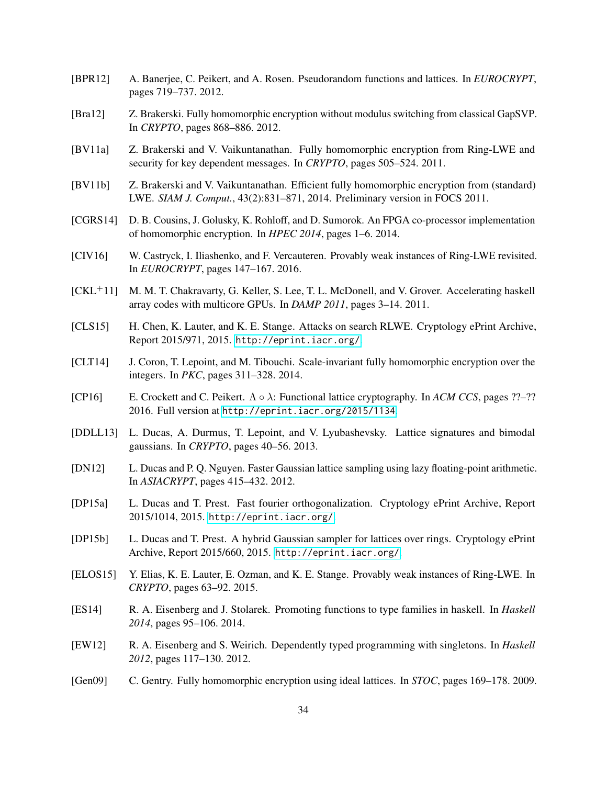- <span id="page-33-12"></span>[BPR12] A. Banerjee, C. Peikert, and A. Rosen. Pseudorandom functions and lattices. In *EUROCRYPT*, pages 719–737. 2012.
- <span id="page-33-16"></span>[Bra12] Z. Brakerski. Fully homomorphic encryption without modulus switching from classical GapSVP. In *CRYPTO*, pages 868–886. 2012.
- <span id="page-33-7"></span>[BV11a] Z. Brakerski and V. Vaikuntanathan. Fully homomorphic encryption from Ring-LWE and security for key dependent messages. In *CRYPTO*, pages 505–524. 2011.
- <span id="page-33-8"></span>[BV11b] Z. Brakerski and V. Vaikuntanathan. Efficient fully homomorphic encryption from (standard) LWE. *SIAM J. Comput.*, 43(2):831–871, 2014. Preliminary version in FOCS 2011.
- <span id="page-33-2"></span>[CGRS14] D. B. Cousins, J. Golusky, K. Rohloff, and D. Sumorok. An FPGA co-processor implementation of homomorphic encryption. In *HPEC 2014*, pages 1–6. 2014.
- <span id="page-33-5"></span>[CIV16] W. Castryck, I. Iliashenko, and F. Vercauteren. Provably weak instances of Ring-LWE revisited. In *EUROCRYPT*, pages 147–167. 2016.
- <span id="page-33-6"></span>[CKL+11] M. M. T. Chakravarty, G. Keller, S. Lee, T. L. McDonell, and V. Grover. Accelerating haskell array codes with multicore GPUs. In *DAMP 2011*, pages 3–14. 2011.
- <span id="page-33-4"></span>[CLS15] H. Chen, K. Lauter, and K. E. Stange. Attacks on search RLWE. Cryptology ePrint Archive, Report 2015/971, 2015. <http://eprint.iacr.org/>.
- <span id="page-33-13"></span>[CLT14] J. Coron, T. Lepoint, and M. Tibouchi. Scale-invariant fully homomorphic encryption over the integers. In *PKC*, pages 311–328. 2014.
- [CP16] E. Crockett and C. Peikert. Λ λ: Functional lattice cryptography. In *ACM CCS*, pages ??–?? 2016. Full version at <http://eprint.iacr.org/2015/1134>.
- <span id="page-33-1"></span>[DDLL13] L. Ducas, A. Durmus, T. Lepoint, and V. Lyubashevsky. Lattice signatures and bimodal gaussians. In *CRYPTO*, pages 40–56. 2013.
- <span id="page-33-9"></span>[DN12] L. Ducas and P. Q. Nguyen. Faster Gaussian lattice sampling using lazy floating-point arithmetic. In *ASIACRYPT*, pages 415–432. 2012.
- <span id="page-33-11"></span>[DP15a] L. Ducas and T. Prest. Fast fourier orthogonalization. Cryptology ePrint Archive, Report 2015/1014, 2015. <http://eprint.iacr.org/>.
- <span id="page-33-10"></span>[DP15b] L. Ducas and T. Prest. A hybrid Gaussian sampler for lattices over rings. Cryptology ePrint Archive, Report 2015/660, 2015. <http://eprint.iacr.org/>.
- <span id="page-33-3"></span>[ELOS15] Y. Elias, K. E. Lauter, E. Ozman, and K. E. Stange. Provably weak instances of Ring-LWE. In *CRYPTO*, pages 63–92. 2015.
- <span id="page-33-15"></span>[ES14] R. A. Eisenberg and J. Stolarek. Promoting functions to type families in haskell. In *Haskell 2014*, pages 95–106. 2014.
- <span id="page-33-14"></span>[EW12] R. A. Eisenberg and S. Weirich. Dependently typed programming with singletons. In *Haskell 2012*, pages 117–130. 2012.
- <span id="page-33-0"></span>[Gen09] C. Gentry. Fully homomorphic encryption using ideal lattices. In *STOC*, pages 169–178. 2009.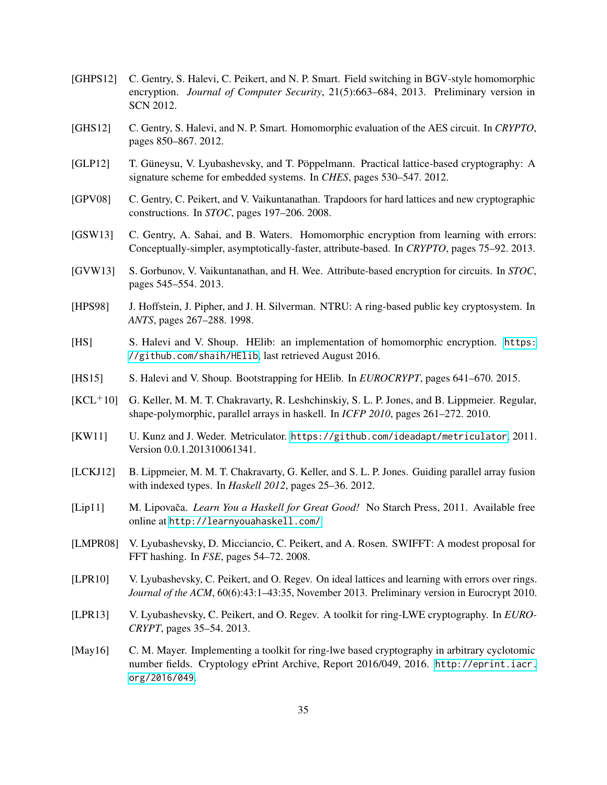- <span id="page-34-9"></span>[GHPS12] C. Gentry, S. Halevi, C. Peikert, and N. P. Smart. Field switching in BGV-style homomorphic encryption. *Journal of Computer Security*, 21(5):663–684, 2013. Preliminary version in SCN 2012.
- <span id="page-34-12"></span>[GHS12] C. Gentry, S. Halevi, and N. P. Smart. Homomorphic evaluation of the AES circuit. In *CRYPTO*, pages 850–867. 2012.
- <span id="page-34-6"></span>[GLP12] T. Güneysu, V. Lyubashevsky, and T. Pöppelmann. Practical lattice-based cryptography: A signature scheme for embedded systems. In *CHES*, pages 530–547. 2012.
- <span id="page-34-2"></span>[GPV08] C. Gentry, C. Peikert, and V. Vaikuntanathan. Trapdoors for hard lattices and new cryptographic constructions. In *STOC*, pages 197–206. 2008.
- <span id="page-34-3"></span>[GSW13] C. Gentry, A. Sahai, and B. Waters. Homomorphic encryption from learning with errors: Conceptually-simpler, asymptotically-faster, attribute-based. In *CRYPTO*, pages 75–92. 2013.
- <span id="page-34-4"></span>[GVW13] S. Gorbunov, V. Vaikuntanathan, and H. Wee. Attribute-based encryption for circuits. In *STOC*, pages 545–554. 2013.
- <span id="page-34-0"></span>[HPS98] J. Hoffstein, J. Pipher, and J. H. Silverman. NTRU: A ring-based public key cryptosystem. In *ANTS*, pages 267–288. 1998.
- <span id="page-34-7"></span>[HS] S. Halevi and V. Shoup. HElib: an implementation of homomorphic encryption. [https:](https://github.com/shaih/HElib) [//github.com/shaih/HElib](https://github.com/shaih/HElib), last retrieved August 2016.
- <span id="page-34-14"></span>[HS15] S. Halevi and V. Shoup. Bootstrapping for HElib. In *EUROCRYPT*, pages 641–670. 2015.
- <span id="page-34-10"></span> $[KCL<sup>+</sup>10]$  G. Keller, M. M. T. Chakravarty, R. Leshchinskiy, S. L. P. Jones, and B. Lippmeier. Regular, shape-polymorphic, parallel arrays in haskell. In *ICFP 2010*, pages 261–272. 2010.
- <span id="page-34-15"></span>[KW11] U. Kunz and J. Weder. Metriculator. <https://github.com/ideadapt/metriculator>, 2011. Version 0.0.1.201310061341.
- <span id="page-34-11"></span>[LCKJ12] B. Lippmeier, M. M. T. Chakravarty, G. Keller, and S. L. P. Jones. Guiding parallel array fusion with indexed types. In *Haskell 2012*, pages 25–36. 2012.
- <span id="page-34-16"></span>[Lip11] M. Lipovača. *Learn You a Haskell for Great Good!* No Starch Press, 2011. Available free online at <http://learnyouahaskell.com/>.
- <span id="page-34-5"></span>[LMPR08] V. Lyubashevsky, D. Micciancio, C. Peikert, and A. Rosen. SWIFFT: A modest proposal for FFT hashing. In *FSE*, pages 54–72. 2008.
- <span id="page-34-1"></span>[LPR10] V. Lyubashevsky, C. Peikert, and O. Regev. On ideal lattices and learning with errors over rings. *Journal of the ACM*, 60(6):43:1–43:35, November 2013. Preliminary version in Eurocrypt 2010.
- <span id="page-34-8"></span>[LPR13] V. Lyubashevsky, C. Peikert, and O. Regev. A toolkit for ring-LWE cryptography. In *EURO-CRYPT*, pages 35–54. 2013.
- <span id="page-34-13"></span>[May16] C. M. Mayer. Implementing a toolkit for ring-lwe based cryptography in arbitrary cyclotomic number fields. Cryptology ePrint Archive, Report 2016/049, 2016. [http://eprint.iacr.](http://eprint.iacr.org/2016/049) [org/2016/049](http://eprint.iacr.org/2016/049).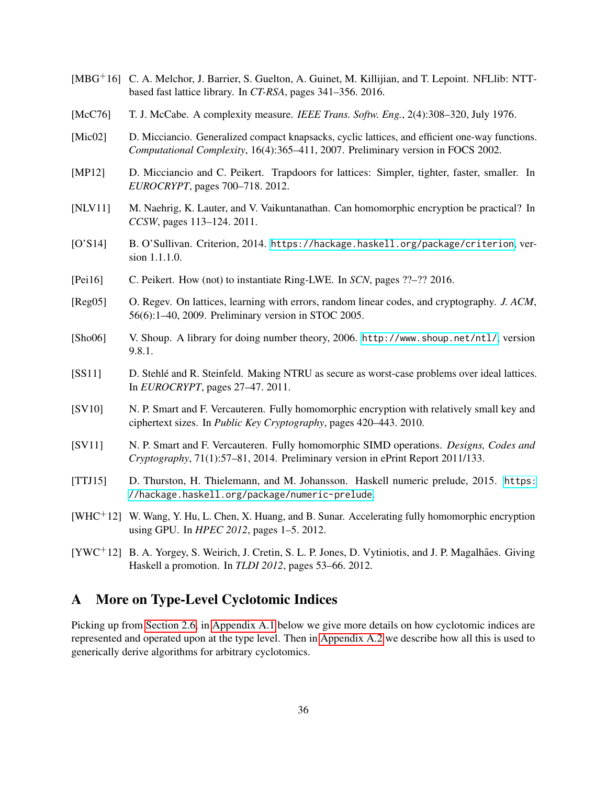- <span id="page-35-10"></span>[MBG+16] C. A. Melchor, J. Barrier, S. Guelton, A. Guinet, M. Killijian, and T. Lepoint. NFLlib: NTTbased fast lattice library. In *CT-RSA*, pages 341–356. 2016.
- <span id="page-35-12"></span>[McC76] T. J. McCabe. A complexity measure. *IEEE Trans. Softw. Eng.*, 2(4):308–320, July 1976.
- <span id="page-35-2"></span>[Mic02] D. Micciancio. Generalized compact knapsacks, cyclic lattices, and efficient one-way functions. *Computational Complexity*, 16(4):365–411, 2007. Preliminary version in FOCS 2002.
- <span id="page-35-9"></span>[MP12] D. Micciancio and C. Peikert. Trapdoors for lattices: Simpler, tighter, faster, smaller. In *EUROCRYPT*, pages 700–718. 2012.
- <span id="page-35-3"></span>[NLV11] M. Naehrig, K. Lauter, and V. Vaikuntanathan. Can homomorphic encryption be practical? In *CCSW*, pages 113–124. 2011.
- <span id="page-35-14"></span>[O'S14] B. O'Sullivan. Criterion, 2014. <https://hackage.haskell.org/package/criterion>, version 1.1.1.0.
- <span id="page-35-7"></span>[Pei16] C. Peikert. How (not) to instantiate Ring-LWE. In *SCN*, pages ??–?? 2016.
- <span id="page-35-1"></span>[Reg05] O. Regev. On lattices, learning with errors, random linear codes, and cryptography. *J. ACM*, 56(6):1–40, 2009. Preliminary version in STOC 2005.
- <span id="page-35-13"></span>[Sho06] V. Shoup. A library for doing number theory, 2006. <http://www.shoup.net/ntl/>, version 9.8.1.
- <span id="page-35-8"></span>[SS11] D. Stehle and R. Steinfeld. Making NTRU as secure as worst-case problems over ideal lattices. ´ In *EUROCRYPT*, pages 27–47. 2011.
- <span id="page-35-5"></span>[SV10] N. P. Smart and F. Vercauteren. Fully homomorphic encryption with relatively small key and ciphertext sizes. In *Public Key Cryptography*, pages 420–443. 2010.
- <span id="page-35-6"></span>[SV11] N. P. Smart and F. Vercauteren. Fully homomorphic SIMD operations. *Designs, Codes and Cryptography*, 71(1):57–81, 2014. Preliminary version in ePrint Report 2011/133.
- <span id="page-35-15"></span>[TTJ15] D. Thurston, H. Thielemann, and M. Johansson. Haskell numeric prelude, 2015. [https:](https://hackage.haskell.org/package/numeric-prelude) [//hackage.haskell.org/package/numeric-prelude](https://hackage.haskell.org/package/numeric-prelude).
- <span id="page-35-4"></span>[WHC+12] W. Wang, Y. Hu, L. Chen, X. Huang, and B. Sunar. Accelerating fully homomorphic encryption using GPU. In *HPEC 2012*, pages 1–5. 2012.
- <span id="page-35-11"></span>[YWC+12] B. A. Yorgey, S. Weirich, J. Cretin, S. L. P. Jones, D. Vytiniotis, and J. P. Magalhães. Giving Haskell a promotion. In *TLDI 2012*, pages 53–66. 2012.

# <span id="page-35-0"></span>A More on Type-Level Cyclotomic Indices

Picking up from [Section 2.6,](#page-14-1) in [Appendix A.1](#page-36-0) below we give more details on how cyclotomic indices are represented and operated upon at the type level. Then in [Appendix A.2](#page-36-1) we describe how all this is used to generically derive algorithms for arbitrary cyclotomics.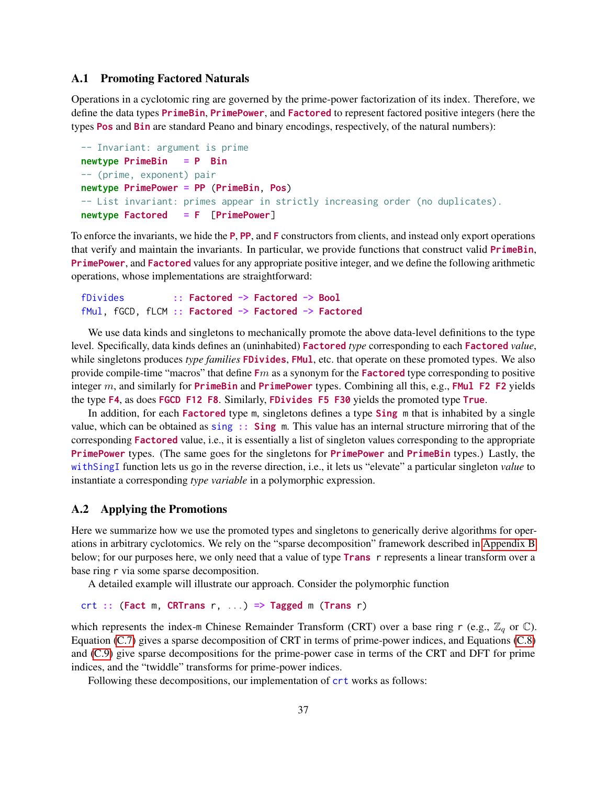# <span id="page-36-0"></span>A.1 Promoting Factored Naturals

Operations in a cyclotomic ring are governed by the prime-power factorization of its index. Therefore, we define the data types PrimeBin, PrimePower, and Factored to represent factored positive integers (here the types Pos and Bin are standard Peano and binary encodings, respectively, of the natural numbers):

```
-- Invariant: argument is prime
newtype PrimeBin = P Bin
-- (prime, exponent) pair
newtype PrimePower = PP (PrimeBin, Pos)
-- List invariant: primes appear in strictly increasing order (no duplicates).
newtype Factored = F [PrimePower]
```
To enforce the invariants, we hide the **P, PP**, and **F** constructors from clients, and instead only export operations that verify and maintain the invariants. In particular, we provide functions that construct valid PrimeBin, PrimePower, and Factored values for any appropriate positive integer, and we define the following arithmetic operations, whose implementations are straightforward:

```
fDivides :: Factored -> Factored -> Bool
fMul, fGCD, fLCM :: Factored -> Factored -> Factored
```
We use data kinds and singletons to mechanically promote the above data-level definitions to the type level. Specifically, data kinds defines an (uninhabited) Factored *type* corresponding to each Factored *value*, while singletons produces *type families* FDivides, FMul, etc. that operate on these promoted types. We also provide compile-time "macros" that define  $Fm$  as a synonym for the **Factored** type corresponding to positive integer  $m$ , and similarly for **PrimeBin** and **PrimePower** types. Combining all this, e.g., **FMul F2 F2** yields the type F4, as does FGCD F12 F8. Similarly, FDivides F5 F30 yields the promoted type True.

In addition, for each **Factored** type m, singletons defines a type **Sing** m that is inhabited by a single value, which can be obtained as  $sing$ : Sing m. This value has an internal structure mirroring that of the corresponding Factored value, i.e., it is essentially a list of singleton values corresponding to the appropriate PrimePower types. (The same goes for the singletons for PrimePower and PrimeBin types.) Lastly, the withSingI function lets us go in the reverse direction, i.e., it lets us "elevate" a particular singleton *value* to instantiate a corresponding *type variable* in a polymorphic expression.

# <span id="page-36-1"></span>A.2 Applying the Promotions

Here we summarize how we use the promoted types and singletons to generically derive algorithms for operations in arbitrary cyclotomics. We rely on the "sparse decomposition" framework described in [Appendix B](#page-37-0) below; for our purposes here, we only need that a value of type **Trans** r represents a linear transform over a base ring r via some sparse decomposition.

A detailed example will illustrate our approach. Consider the polymorphic function

```
crt :: (Fact m, CRTrans r, ...) \Rightarrow Tagged m (Trans r)
```
which represents the index-m Chinese Remainder Transform (CRT) over a base ring r (e.g.,  $\mathbb{Z}_q$  or  $\mathbb{C}$ ). Equation [\(C.7\)](#page-45-4) gives a sparse decomposition of CRT in terms of prime-power indices, and Equations [\(C.8\)](#page-47-1) and [\(C.9\)](#page-47-2) give sparse decompositions for the prime-power case in terms of the CRT and DFT for prime indices, and the "twiddle" transforms for prime-power indices.

Following these decompositions, our implementation of  $\text{crt}$  works as follows: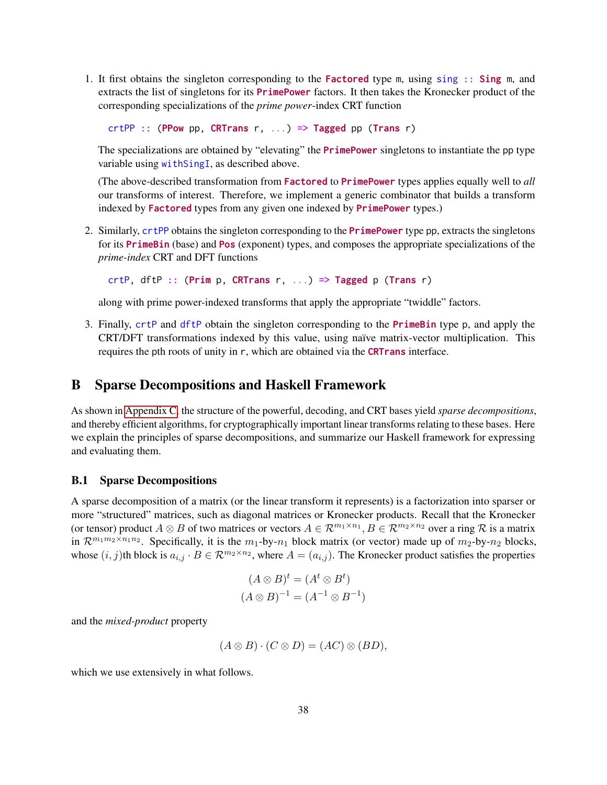1. It first obtains the singleton corresponding to the Factored type m, using sing :: Sing m, and extracts the list of singletons for its PrimePower factors. It then takes the Kronecker product of the corresponding specializations of the *prime power*-index CRT function

 $crtPP :: (PPow pp, CRTrans r, ...) \Rightarrow Tagged pp (Trans r)$ 

The specializations are obtained by "elevating" the **PrimePower** singletons to instantiate the pp type variable using withSingI, as described above.

(The above-described transformation from Factored to PrimePower types applies equally well to *all* our transforms of interest. Therefore, we implement a generic combinator that builds a transform indexed by Factored types from any given one indexed by PrimePower types.)

2. Similarly, crtPP obtains the singleton corresponding to the **PrimePower** type pp, extracts the singletons for its PrimeBin (base) and Pos (exponent) types, and composes the appropriate specializations of the *prime-index* CRT and DFT functions

 $crtP$ , dftP :: (Prim p, CRTrans r, ...) => Tagged p (Trans r)

along with prime power-indexed transforms that apply the appropriate "twiddle" factors.

3. Finally, crtP and dftP obtain the singleton corresponding to the **PrimeBin** type p, and apply the CRT/DFT transformations indexed by this value, using naïve matrix-vector multiplication. This requires the pth roots of unity in r, which are obtained via the CRTrans interface.

# <span id="page-37-0"></span>B Sparse Decompositions and Haskell Framework

As shown in [Appendix C,](#page-40-0) the structure of the powerful, decoding, and CRT bases yield *sparse decompositions*, and thereby efficient algorithms, for cryptographically important linear transforms relating to these bases. Here we explain the principles of sparse decompositions, and summarize our Haskell framework for expressing and evaluating them.

# <span id="page-37-1"></span>B.1 Sparse Decompositions

A sparse decomposition of a matrix (or the linear transform it represents) is a factorization into sparser or more "structured" matrices, such as diagonal matrices or Kronecker products. Recall that the Kronecker (or tensor) product  $A \otimes B$  of two matrices or vectors  $A \in \mathcal{R}^{m_1 \times n_1}, B \in \mathcal{R}^{m_2 \times n_2}$  over a ring  $\mathcal R$  is a matrix in  $\mathcal{R}^{m_1m_2 \times n_1n_2}$ . Specifically, it is the  $m_1$ -by- $n_1$  block matrix (or vector) made up of  $m_2$ -by- $n_2$  blocks, whose  $(i, j)$ th block is  $a_{i,j} \cdot B \in \mathbb{R}^{m_2 \times n_2}$ , where  $A = (a_{i,j})$ . The Kronecker product satisfies the properties

$$
(A \otimes B)^t = (A^t \otimes B^t)
$$

$$
(A \otimes B)^{-1} = (A^{-1} \otimes B^{-1})
$$

and the *mixed-product* property

$$
(A \otimes B) \cdot (C \otimes D) = (AC) \otimes (BD),
$$

which we use extensively in what follows.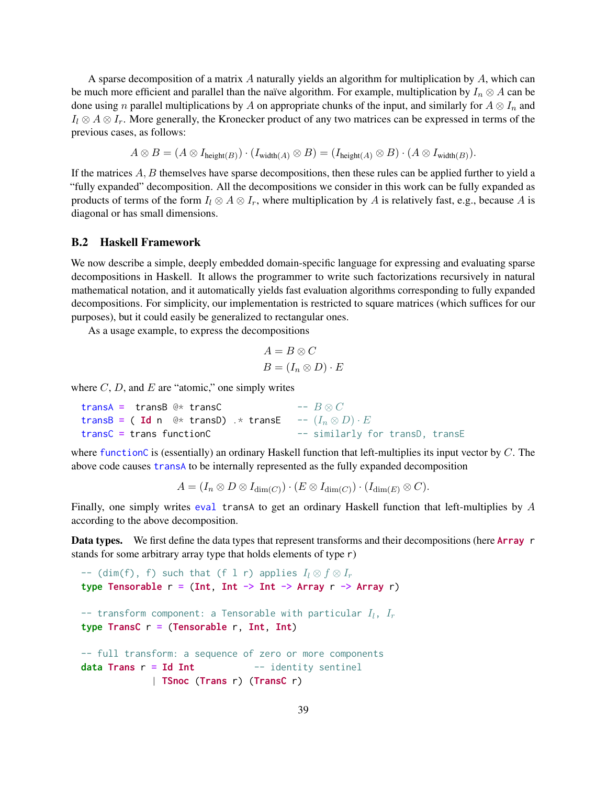A sparse decomposition of a matrix A naturally yields an algorithm for multiplication by A, which can be much more efficient and parallel than the naïve algorithm. For example, multiplication by  $I_n \otimes A$  can be done using n parallel multiplications by A on appropriate chunks of the input, and similarly for  $A \otimes I_n$  and  $I_l \otimes A \otimes I_r$ . More generally, the Kronecker product of any two matrices can be expressed in terms of the previous cases, as follows:

$$
A \otimes B = (A \otimes I_{\text{height}(B)}) \cdot (I_{\text{width}(A)} \otimes B) = (I_{\text{height}(A)} \otimes B) \cdot (A \otimes I_{\text{width}(B)}).
$$

If the matrices A, B themselves have sparse decompositions, then these rules can be applied further to yield a "fully expanded" decomposition. All the decompositions we consider in this work can be fully expanded as products of terms of the form  $I_l \otimes A \otimes I_r$ , where multiplication by A is relatively fast, e.g., because A is diagonal or has small dimensions.

# <span id="page-38-0"></span>B.2 Haskell Framework

We now describe a simple, deeply embedded domain-specific language for expressing and evaluating sparse decompositions in Haskell. It allows the programmer to write such factorizations recursively in natural mathematical notation, and it automatically yields fast evaluation algorithms corresponding to fully expanded decompositions. For simplicity, our implementation is restricted to square matrices (which suffices for our purposes), but it could easily be generalized to rectangular ones.

As a usage example, to express the decompositions

$$
A = B \otimes C
$$

$$
B = (I_n \otimes D) \cdot E
$$

where  $C, D$ , and  $E$  are "atomic," one simply writes

transA = transB @\* transC  $- B \otimes C$ transB = ( Id n @\* transD) .\* transE --  $(I_n \otimes D) \cdot E$ transC = trans functionC -- similarly for transD, transE

where functionC is (essentially) an ordinary Haskell function that left-multiplies its input vector by  $C$ . The above code causes transA to be internally represented as the fully expanded decomposition

 $A = (I_n \otimes D \otimes I_{\dim(C)}) \cdot (E \otimes I_{\dim(C)}) \cdot (I_{\dim(E)} \otimes C).$ 

Finally, one simply writes eval transA to get an ordinary Haskell function that left-multiplies by A according to the above decomposition.

Data types. We first define the data types that represent transforms and their decompositions (here Array r stands for some arbitrary array type that holds elements of type r)

```
-- (dim(f), f) such that (f l r) applies I_l \otimes f \otimes I_rtype Tensorable r = (Int, Int -> Int -> Array r -> Array r)-- transform component: a Tensorable with particular I_l, I_rtype TransC r = (Tensorable r, Int, Int)-- full transform: a sequence of zero or more components
data Trans r = Id Int - identity sentinel
             | TSnoc (Trans r) (TransC r)
```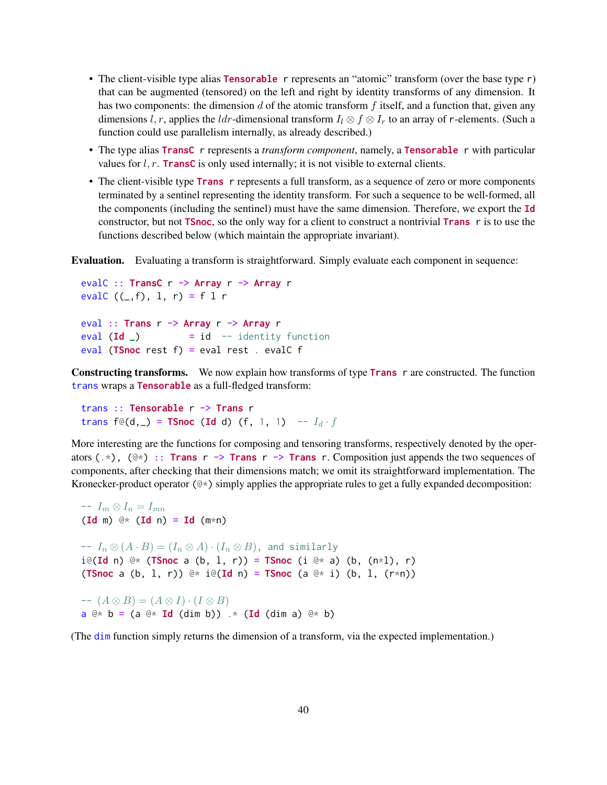- The client-visible type alias Tensorable r represents an "atomic" transform (over the base type r) that can be augmented (tensored) on the left and right by identity transforms of any dimension. It has two components: the dimension d of the atomic transform  $f$  itself, and a function that, given any dimensions l, r, applies the ldr-dimensional transform  $I_l \otimes f \otimes I_r$  to an array of r-elements. (Such a function could use parallelism internally, as already described.)
- The type alias **TransC** r represents a *transform component*, namely, a **Tensorable** r with particular values for  $l, r$ . TransC is only used internally; it is not visible to external clients.
- The client-visible type **Trans** r represents a full transform, as a sequence of zero or more components terminated by a sentinel representing the identity transform. For such a sequence to be well-formed, all the components (including the sentinel) must have the same dimension. Therefore, we export the Id constructor, but not **TSnoc**, so the only way for a client to construct a nontrivial **Trans** r is to use the functions described below (which maintain the appropriate invariant).

Evaluation. Evaluating a transform is straightforward. Simply evaluate each component in sequence:

```
evalC :: TransC r -> Array r -> Array r
evalC ((_f), 1, r) = f 1 reval :: Trans r -> Array r -> Array r
eval (\text{Id} ) = id -- identity function
eval (TSnoc rest f) = eval rest . evalC f
```
Constructing transforms. We now explain how transforms of type Trans r are constructed. The function trans wraps a Tensorable as a full-fledged transform:

trans :: Tensorable r -> Trans r trans  $f \circ (d, ) = T$ Snoc (Id d)  $(f, 1, 1)$  --  $I_d \cdot f$ 

More interesting are the functions for composing and tensoring transforms, respectively denoted by the operators  $(\cdot^*)$ ,  $(\circ^*)$  :: Trans r -> Trans r -> Trans r. Composition just appends the two sequences of components, after checking that their dimensions match; we omit its straightforward implementation. The Kronecker-product operator  $(\&\ast)$  simply applies the appropriate rules to get a fully expanded decomposition:

 $-I_m \otimes I_n = I_{mn}$  $(\text{Id } \mathfrak{m}) \cong \ast (\text{Id } \mathfrak{n}) = \text{Id } (\mathfrak{m} \ast \mathfrak{n})$  $-I_n \otimes (A \cdot B) = (I_n \otimes A) \cdot (I_n \otimes B)$ , and similarly  $i \in (\text{Id } n) \text{ } \text{ } \oplus \text{ } \left( \text{TSnoc } a \text{ } (b, 1, r) \right)$  = TSnoc (i  $\text{ } \oplus \text{ } \times$  a) (b,  $(n \times 1)$ , r) (TSnoc a  $(b, 1, r)$ ) @\* i@(Id n) = TSnoc  $(a \otimes^* i)$   $(b, 1, (r*n))$ 

 $-A \otimes B = (A \otimes I) \cdot (I \otimes B)$  $a \& b = (a \& \mathbf{Id} (dim b)) \times (Id (dim a) \& b)$ 

(The dim function simply returns the dimension of a transform, via the expected implementation.)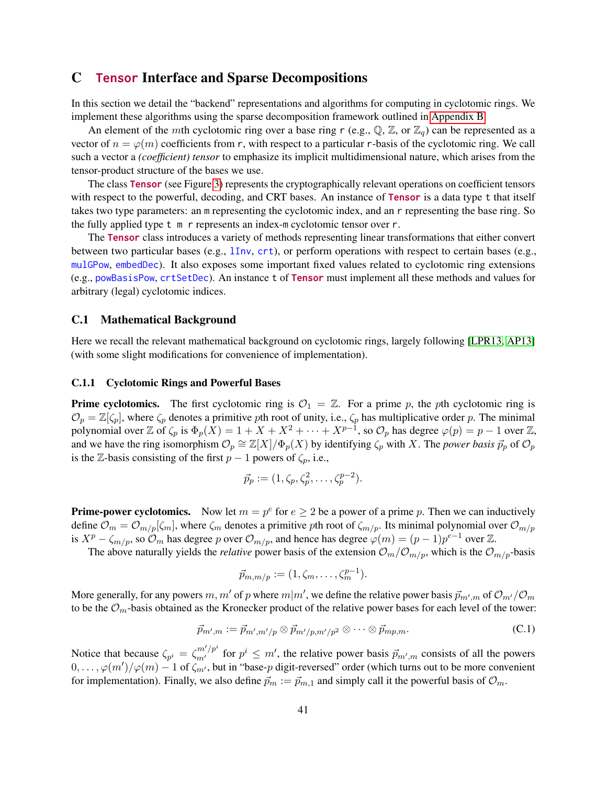# <span id="page-40-0"></span>C Tensor Interface and Sparse Decompositions

In this section we detail the "backend" representations and algorithms for computing in cyclotomic rings. We implement these algorithms using the sparse decomposition framework outlined in [Appendix B.](#page-37-0)

An element of the mth cyclotomic ring over a base ring r (e.g.,  $\mathbb{Q}$ ,  $\mathbb{Z}$ , or  $\mathbb{Z}_q$ ) can be represented as a vector of  $n = \varphi(m)$  coefficients from r, with respect to a particular r-basis of the cyclotomic ring. We call such a vector a *(coefficient) tensor* to emphasize its implicit multidimensional nature, which arises from the tensor-product structure of the bases we use.

The class Tensor (see Figure [3\)](#page-41-0) represents the cryptographically relevant operations on coefficient tensors with respect to the powerful, decoding, and CRT bases. An instance of **Tensor** is a data type t that itself takes two type parameters: an m representing the cyclotomic index, and an r representing the base ring. So the fully applied type t m r represents an index-m cyclotomic tensor over r.

The Tensor class introduces a variety of methods representing linear transformations that either convert between two particular bases (e.g., lInv, crt), or perform operations with respect to certain bases (e.g., mulGPow, embedDec). It also exposes some important fixed values related to cyclotomic ring extensions (e.g., powBasisPow, crtSetDec). An instance t of Tensor must implement all these methods and values for arbitrary (legal) cyclotomic indices.

### <span id="page-40-1"></span>C.1 Mathematical Background

Here we recall the relevant mathematical background on cyclotomic rings, largely following [\[LPR13,](#page-34-8) [AP13\]](#page-32-5) (with some slight modifications for convenience of implementation).

## <span id="page-40-2"></span>C.1.1 Cyclotomic Rings and Powerful Bases

**Prime cyclotomics.** The first cyclotomic ring is  $\mathcal{O}_1 = \mathbb{Z}$ . For a prime p, the pth cyclotomic ring is  $\mathcal{O}_p = \mathbb{Z}[\zeta_p]$ , where  $\zeta_p$  denotes a primitive pth root of unity, i.e.,  $\zeta_p$  has multiplicative order p. The minimal polynomial over Z of  $\zeta_p$  is  $\Phi_p(X) = 1 + X + X^2 + \cdots + X^{p-1}$ , so  $\mathcal{O}_p$  has degree  $\varphi(p) = p - 1$  over Z, and we have the ring isomorphism  $\mathcal{O}_p \cong \mathbb{Z}[X]/\Phi_p(X)$  by identifying  $\zeta_p$  with X. The *power basis*  $\vec{p}_p$  of  $\mathcal{O}_p$ is the Z-basis consisting of the first  $p - 1$  powers of  $\zeta_p$ , i.e.,

$$
\vec{p}_p := (1, \zeta_p, \zeta_p^2, \dots, \zeta_p^{p-2}).
$$

**Prime-power cyclotomics.** Now let  $m = p^e$  for  $e \ge 2$  be a power of a prime p. Then we can inductively define  $\mathcal{O}_m = \mathcal{O}_{m/p}[\zeta_m]$ , where  $\zeta_m$  denotes a primitive pth root of  $\zeta_{m/p}$ . Its minimal polynomial over  $\mathcal{O}_{m/p}$ is  $X^p - \zeta_{m/p}$ , so  $\mathcal{O}_m$  has degree p over  $\mathcal{O}_{m/p}$ , and hence has degree  $\varphi(m) = (p-1)p^{e-1}$  over  $\mathbb{Z}$ .

The above naturally yields the *relative* power basis of the extension  $\mathcal{O}_m/\mathcal{O}_{m/n}$ , which is the  $\mathcal{O}_{m/n}$ -basis

<span id="page-40-3"></span>
$$
\vec{p}_{m,m/p} := (1, \zeta_m, \ldots, \zeta_m^{p-1}).
$$

More generally, for any powers  $m,m'$  of  $p$  where  $m|m'$ , we define the relative power basis  $\vec{p}_{m',m}$  of  $\mathcal{O}_{m'}/\mathcal{O}_m$ to be the  $\mathcal{O}_m$ -basis obtained as the Kronecker product of the relative power bases for each level of the tower:

$$
\vec{p}_{m',m} := \vec{p}_{m',m'/p} \otimes \vec{p}_{m'/p,m'/p^2} \otimes \cdots \otimes \vec{p}_{mp,m}.
$$
 (C.1)

Notice that because  $\zeta_{p^i} = \zeta_{m'}^{m'/p^i}$  for  $p^i \leq m'$ , the relative power basis  $\vec{p}_{m',m}$  consists of all the powers  $0, \ldots, \varphi(m')/\varphi(m) - 1$  of  $\zeta_{m'}$ , but in "base-p digit-reversed" order (which turns out to be more convenient for implementation). Finally, we also define  $\vec{p}_m := \vec{p}_{m,1}$  and simply call it the powerful basis of  $\mathcal{O}_m$ .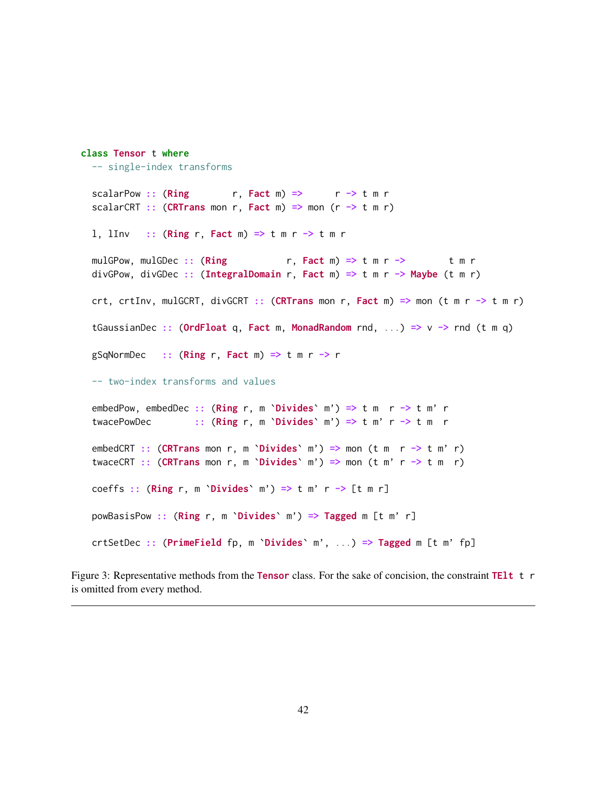```
class Tensor t where
  -- single-index transforms
 scalarPow :: (Ring r, Fact m) => r \rightarrow t m r
 scalarCRT :: (CRTrans mon r, Fact m) => mon (r \rightarrow t m r)
 1, lInv :: (Ring r, Fact m) => t m r -> t m r
 mulGPow, mulGDec :: (Ring r, Fact m) => t m r -> t m r
 divGPow, divGDec :: (IntegralDomain r, Fact m) => t m r -> Maybe (t m r)
 crt, crtInv, mulGCRT, divGCRT :: (CRTrans mon r, Fact m) => mon (t m r -> t m r)
 tGaussianDec :: (OrdFloat q, Fact m, MonadRandom rnd, ...) => v \rightarrow rnd (t m q)
 gSqNormDec :: (Ring r, Fact m) => t m r -> r
 -- two-index transforms and values
 embedPow, embedDec :: (Ring r, m `Divides` m') => t m r -> t m' r
  twacePowDec :: (Ring r, m'Divides' m') \implies t m' r \implies t m rembedCRT :: (CRTrans mon r, m `Divides` m') => mon (t m r -> t m'r)
 twaceCRT :: (CRTrans mon r, m `Divides` m') => mon (t m' r -> t m r)
 coeffs :: (Ring r, m `Divides` m') => t m' r -> [t m r]
 powBasisPow :: (Ring r, m `Divides` m') => Tagged m [t m' r]
 crtSetDec :: (PrimeField fp, m `Divides` m', ...) => Tagged m [t m' fp]
```
Figure 3: Representative methods from the Tensor class. For the sake of concision, the constraint TElt t r is omitted from every method.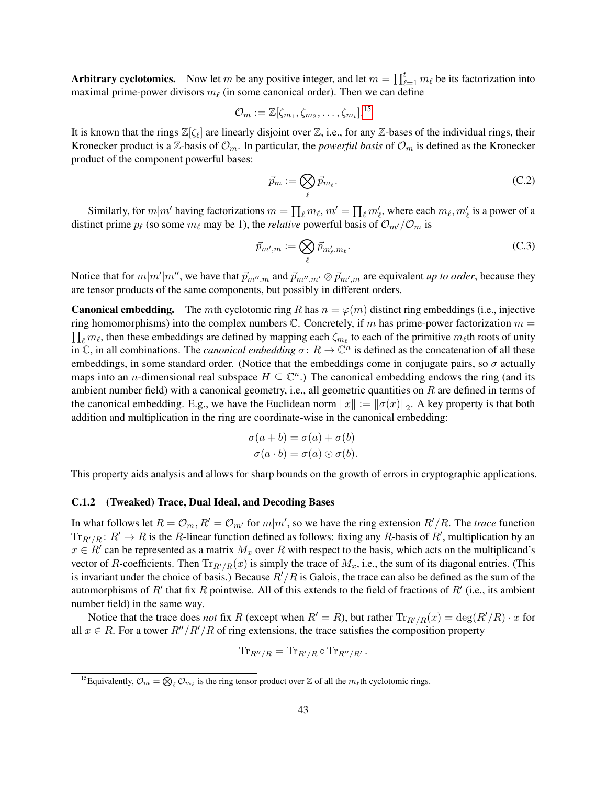Arbitrary cyclotomics. Now let m be any positive integer, and let  $m = \prod_{\ell=1}^t m_\ell$  be its factorization into maximal prime-power divisors  $m_\ell$  (in some canonical order). Then we can define

$$
\mathcal{O}_m := \mathbb{Z}[\zeta_{m_1}, \zeta_{m_2}, \dots, \zeta_{m_t}].^{15}
$$

It is known that the rings  $\mathbb{Z}[\zeta_\ell]$  are linearly disjoint over  $\mathbb{Z}$ , i.e., for any  $\mathbb{Z}$ -bases of the individual rings, their Kronecker product is a Z-basis of  $\mathcal{O}_m$ . In particular, the *powerful basis* of  $\mathcal{O}_m$  is defined as the Kronecker product of the component powerful bases:

<span id="page-42-3"></span><span id="page-42-2"></span>
$$
\vec{p}_m := \bigotimes_{\ell} \vec{p}_{m_{\ell}}.\tag{C.2}
$$

Similarly, for  $m|m'$  having factorizations  $m = \prod_{\ell} m_{\ell}$ ,  $m' = \prod_{\ell} m'_{\ell}$ , where each  $m_{\ell}, m'_{\ell}$  is a power of a distinct prime  $p_\ell$  (so some  $m_\ell$  may be 1), the *relative* powerful basis of  $\mathcal{O}_{m'}/\mathcal{O}_m$  is

$$
\vec{p}_{m',m} := \bigotimes_{\ell} \vec{p}_{m'_{\ell},m_{\ell}}.
$$
\n(C.3)

Notice that for  $m|m'|m''$ , we have that  $\vec{p}_{m'',m}$  and  $\vec{p}_{m'',m'} \otimes \vec{p}_{m',m}$  are equivalent *up to order*, because they are tensor products of the same components, but possibly in different orders.

**Canonical embedding.** The mth cyclotomic ring R has  $n = \varphi(m)$  distinct ring embeddings (i.e., injective ring homomorphisms) into the complex numbers  $\mathbb C$ . Concretely, if m has prime-power factorization  $m =$  $\prod_{\ell} m_{\ell}$ , then these embeddings are defined by mapping each  $\zeta_{m_{\ell}}$  to each of the primitive  $m_{\ell}$ th roots of unity in  $\mathbb C$ , in all combinations. The *canonical embedding*  $\sigma: R \to \mathbb C^n$  is defined as the concatenation of all these embeddings, in some standard order. (Notice that the embeddings come in conjugate pairs, so  $\sigma$  actually maps into an *n*-dimensional real subspace  $H \subseteq \mathbb{C}^n$ .) The canonical embedding endows the ring (and its ambient number field) with a canonical geometry, i.e., all geometric quantities on R are defined in terms of the canonical embedding. E.g., we have the Euclidean norm  $||x|| := ||\sigma(x)||_2$ . A key property is that both addition and multiplication in the ring are coordinate-wise in the canonical embedding:

$$
\sigma(a+b) = \sigma(a) + \sigma(b)
$$
  

$$
\sigma(a \cdot b) = \sigma(a) \odot \sigma(b).
$$

This property aids analysis and allows for sharp bounds on the growth of errors in cryptographic applications.

#### <span id="page-42-0"></span>C.1.2 (Tweaked) Trace, Dual Ideal, and Decoding Bases

In what follows let  $R = \mathcal{O}_m$ ,  $R' = \mathcal{O}_{m'}$  for  $m|m'$ , so we have the ring extension  $R'/R$ . The *trace* function  $\text{Tr}_{R'/R}$ :  $R' \to R$  is the R-linear function defined as follows: fixing any R-basis of R', multiplication by an  $x \in R'$  can be represented as a matrix  $M_x$  over R with respect to the basis, which acts on the multiplicand's vector of R-coefficients. Then  $\text{Tr}_{R'/R}(x)$  is simply the trace of  $M_x$ , i.e., the sum of its diagonal entries. (This is invariant under the choice of basis.) Because  $R'/R$  is Galois, the trace can also be defined as the sum of the automorphisms of  $R'$  that fix R pointwise. All of this extends to the field of fractions of  $R'$  (i.e., its ambient number field) in the same way.

Notice that the trace does *not* fix R (except when  $R' = R$ ), but rather  $\text{Tr}_{R'/R}(x) = \text{deg}(R'/R) \cdot x$  for all  $x \in R$ . For a tower  $R''/R'/R$  of ring extensions, the trace satisfies the composition property

$$
\operatorname{Tr}_{R''/R} = \operatorname{Tr}_{R'/R} \circ \operatorname{Tr}_{R''/R'}.
$$

<span id="page-42-1"></span><sup>&</sup>lt;sup>15</sup>Equivalently,  $\mathcal{O}_m = \bigotimes_{\ell} \mathcal{O}_{m_{\ell}}$  is the ring tensor product over  $\mathbb Z$  of all the  $m_{\ell}$ th cyclotomic rings.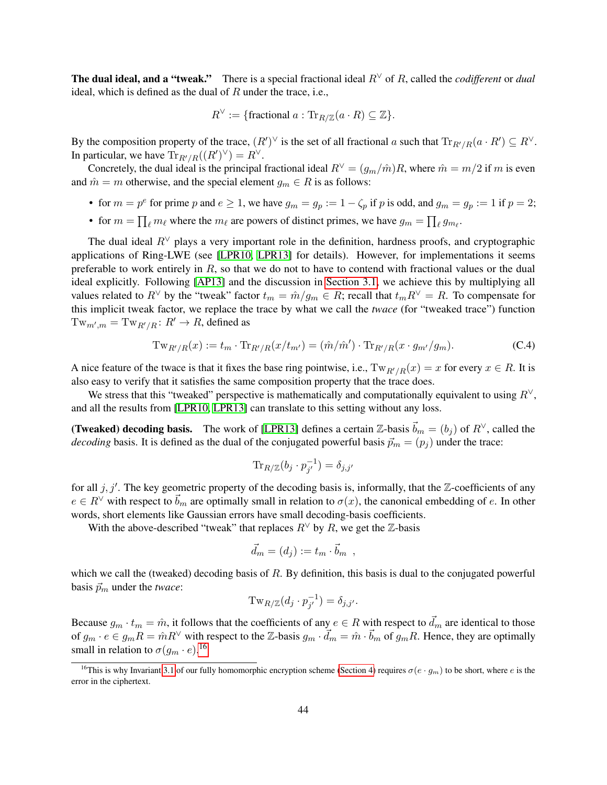The dual ideal, and a "tweak." There is a special fractional ideal R<sup>∨</sup> of R, called the *codifferent* or *dual* ideal, which is defined as the dual of  $R$  under the trace, i.e.,

$$
R^{\vee} := \{ \text{fractional } a : \text{Tr}_{R/\mathbb{Z}}(a \cdot R) \subseteq \mathbb{Z} \}.
$$

By the composition property of the trace,  $(R')^\vee$  is the set of all fractional a such that  $\text{Tr}_{R'/R}(a \cdot R') \subseteq R^\vee$ . In particular, we have  $\text{Tr}_{R'/R}((R')^{\vee}) = R^{\vee}$ .

Concretely, the dual ideal is the principal fractional ideal  $R<sup>√</sup> = (g<sub>m</sub>/m)R$ , where  $m = m/2$  if m is even and  $\hat{m} = m$  otherwise, and the special element  $g_m \in R$  is as follows:

- for  $m = p^e$  for prime p and  $e \ge 1$ , we have  $g_m = g_p := 1 \zeta_p$  if p is odd, and  $g_m = g_p := 1$  if  $p = 2$ ;
- for  $m = \prod_{\ell} m_{\ell}$  where the  $m_{\ell}$  are powers of distinct primes, we have  $g_m = \prod_{\ell} g_{m_{\ell}}$ .

The dual ideal  $R<sup>√</sup>$  plays a very important role in the definition, hardness proofs, and cryptographic applications of Ring-LWE (see [\[LPR10,](#page-34-1) [LPR13\]](#page-34-8) for details). However, for implementations it seems preferable to work entirely in  $R$ , so that we do not to have to contend with fractional values or the dual ideal explicitly. Following [\[AP13\]](#page-32-5) and the discussion in [Section 3.1,](#page-16-0) we achieve this by multiplying all values related to  $R^\vee$  by the "tweak" factor  $t_m = \hat{m}/g_m \in R$ ; recall that  $t_m R^\vee = R$ . To compensate for this implicit tweak factor, we replace the trace by what we call the *twace* (for "tweaked trace") function  $Tw_{m',m} = Tw_{R'/R} : R' \to R$ , defined as

$$
Tw_{R'/R}(x) := t_m \cdot \text{Tr}_{R'/R}(x/t_{m'}) = (\hat{m}/\hat{m}') \cdot \text{Tr}_{R'/R}(x \cdot g_{m'}/g_m). \tag{C.4}
$$

A nice feature of the twace is that it fixes the base ring pointwise, i.e.,  $Tw_{R'/R}(x) = x$  for every  $x \in R$ . It is also easy to verify that it satisfies the same composition property that the trace does.

We stress that this "tweaked" perspective is mathematically and computationally equivalent to using  $R^{\vee}$ , and all the results from [\[LPR10,](#page-34-1) [LPR13\]](#page-34-8) can translate to this setting without any loss.

(Tweaked) decoding basis. The work of [\[LPR13\]](#page-34-8) defines a certain  $\mathbb{Z}$ -basis  $\vec{b}_m = (b_j)$  of  $R^{\vee}$ , called the *decoding* basis. It is defined as the dual of the conjugated powerful basis  $\vec{p}_m = (p_i)$  under the trace:

<span id="page-43-1"></span>
$$
\text{Tr}_{R/\mathbb{Z}}(b_j \cdot p_{j'}^{-1}) = \delta_{j,j'}
$$

for all  $j, j'$ . The key geometric property of the decoding basis is, informally, that the  $\mathbb{Z}$ -coefficients of any  $e \in R^{\vee}$  with respect to  $\vec{b}_m$  are optimally small in relation to  $\sigma(x)$ , the canonical embedding of e. In other words, short elements like Gaussian errors have small decoding-basis coefficients.

With the above-described "tweak" that replaces  $R<sup>\vee</sup>$  by R, we get the Z-basis

$$
\vec{d}_m = (d_j) := t_m \cdot \vec{b}_m ,
$$

which we call the (tweaked) decoding basis of R. By definition, this basis is dual to the conjugated powerful basis  $\vec{p}_m$  under the *twace*:

$$
\mathrm{Tw}_{R/\mathbb{Z}}(d_j \cdot p_{j'}^{-1}) = \delta_{j,j'}.
$$

Because  $g_m \cdot t_m = \hat{m}$ , it follows that the coefficients of any  $e \in R$  with respect to  $\vec{d}_m$  are identical to those of  $g_m \cdot e \in g_m R = \hat{m} R^{\vee}$  with respect to the Z-basis  $g_m \cdot \vec{d}_m = \hat{m} \cdot \vec{b}_m$  of  $g_m R$ . Hence, they are optimally small in relation to  $\sigma(g_m \cdot e)$ .<sup>[16](#page-43-0)</sup>

<span id="page-43-0"></span><sup>&</sup>lt;sup>16</sup>This is why Invariant [3.1](#page-17-2) of our fully homomorphic encryption scheme [\(Section 4\)](#page-23-0) requires  $\sigma(e \cdot g_m)$  to be short, where e is the error in the ciphertext.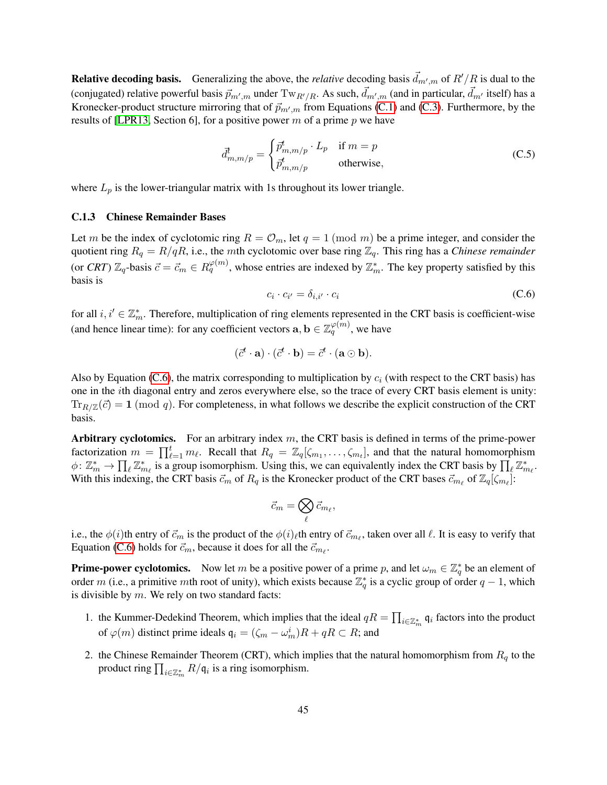**Relative decoding basis.** Generalizing the above, the *relative* decoding basis  $\vec{d}_{m',m}$  of  $R'/R$  is dual to the (conjugated) relative powerful basis  $\vec{p}_{m',m}$  under  $Tw_{R'/R}$ . As such,  $\vec{d}_{m',m}$  (and in particular,  $\vec{d}_{m'}$  itself) has a Kronecker-product structure mirroring that of  $\vec{p}_{m',m}$  from Equations [\(C.1\)](#page-40-3) and [\(C.3\)](#page-42-2). Furthermore, by the results of [\[LPR13,](#page-34-8) Section 6], for a positive power m of a prime p we have

$$
\vec{d}_{m,m/p}^{\dagger} = \begin{cases} \vec{p}_{m,m/p}^{\dagger} \cdot L_p & \text{if } m = p \\ \vec{p}_{m,m/p}^{\dagger} & \text{otherwise,} \end{cases}
$$
 (C.5)

where  $L_p$  is the lower-triangular matrix with 1s throughout its lower triangle.

### <span id="page-44-0"></span>C.1.3 Chinese Remainder Bases

Let m be the index of cyclotomic ring  $R = \mathcal{O}_m$ , let  $q = 1 \pmod{m}$  be a prime integer, and consider the quotient ring  $R_q = R/qR$ , i.e., the mth cyclotomic over base ring  $\mathbb{Z}_q$ . This ring has a *Chinese remainder* (or *CRT*)  $\mathbb{Z}_q$ -basis  $\vec{c} = \vec{c}_m \in R_q^{\varphi(m)}$ , whose entries are indexed by  $\mathbb{Z}_m^*$ . The key property satisfied by this basis is

<span id="page-44-2"></span><span id="page-44-1"></span>
$$
c_i \cdot c_{i'} = \delta_{i,i'} \cdot c_i \tag{C.6}
$$

for all  $i, i' \in \mathbb{Z}_m^*$ . Therefore, multiplication of ring elements represented in the CRT basis is coefficient-wise (and hence linear time): for any coefficient vectors  $\mathbf{a}, \mathbf{b} \in \mathbb{Z}_q^{\varphi(m)}$ , we have

$$
(\vec{c}^t \cdot \mathbf{a}) \cdot (\vec{c}^t \cdot \mathbf{b}) = \vec{c}^t \cdot (\mathbf{a} \odot \mathbf{b}).
$$

Also by Equation [\(C.6\)](#page-44-1), the matrix corresponding to multiplication by  $c_i$  (with respect to the CRT basis) has one in the ith diagonal entry and zeros everywhere else, so the trace of every CRT basis element is unity:  $\text{Tr}_{R/\mathbb{Z}}(\vec{c}) = 1 \pmod{q}$ . For completeness, in what follows we describe the explicit construction of the CRT basis.

Arbitrary cyclotomics. For an arbitrary index  $m$ , the CRT basis is defined in terms of the prime-power factorization  $m = \prod_{\ell=1}^t m_\ell$ . Recall that  $R_q = \mathbb{Z}_q[\zeta_{m_1}, \ldots, \zeta_{m_t}]$ , and that the natural homomorphism  $\phi \colon \mathbb{Z}_m^* \to \prod_{\ell} \mathbb{Z}_{m_{\ell}}^*$  is a group isomorphism. Using this, we can equivalently index the CRT basis by  $\prod_{\ell} \mathbb{Z}_{m_{\ell}}^*$ . With this indexing, the CRT basis  $\vec{c}_m$  of  $R_q$  is the Kronecker product of the CRT bases  $\vec{c}_{m_\ell}$  of  $\mathbb{Z}_q[\zeta_{m_\ell}]$ :

$$
\vec{c}_m = \bigotimes_\ell \vec{c}_{m_\ell},
$$

i.e., the  $\phi(i)$ th entry of  $\vec{c}_m$  is the product of the  $\phi(i)_\ell$ th entry of  $\vec{c}_{m_\ell}$ , taken over all  $\ell$ . It is easy to verify that Equation [\(C.6\)](#page-44-1) holds for  $\vec{c}_m$ , because it does for all the  $\vec{c}_{m_\ell}$ .

**Prime-power cyclotomics.** Now let m be a positive power of a prime p, and let  $\omega_m \in \mathbb{Z}_q^*$  be an element of order m (i.e., a primitive mth root of unity), which exists because  $\mathbb{Z}_q^*$  is a cyclic group of order  $q-1$ , which is divisible by  $m$ . We rely on two standard facts:

- 1. the Kummer-Dedekind Theorem, which implies that the ideal  $qR = \prod_{i \in \mathbb{Z}_m^*} q_i$  factors into the product of  $\varphi(m)$  distinct prime ideals  $\mathfrak{q}_i = (\zeta_m - \omega_m^i)R + qR \subset R$ ; and
- 2. the Chinese Remainder Theorem (CRT), which implies that the natural homomorphism from  $R_q$  to the product ring  $\prod_{i\in\mathbb{Z}_m^*}R/\mathfrak{q}_i$  is a ring isomorphism.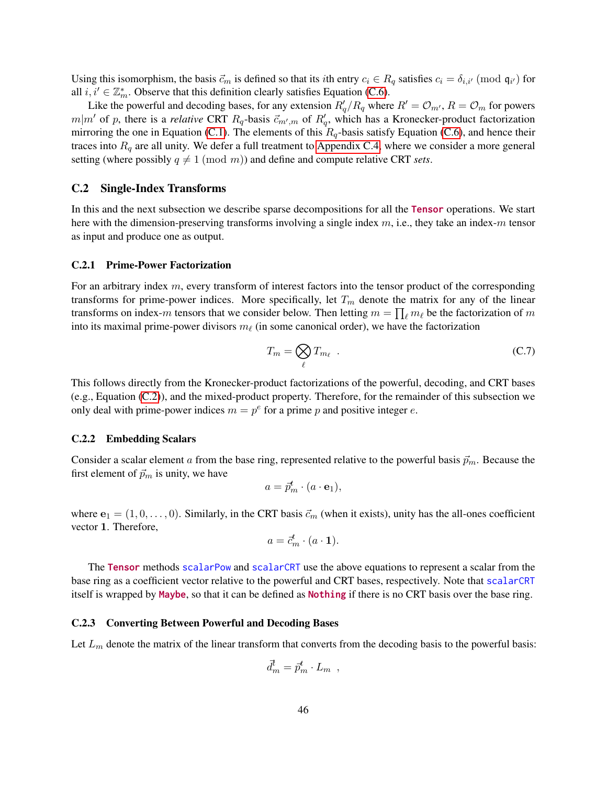Using this isomorphism, the basis  $\vec{c}_m$  is defined so that its *i*th entry  $c_i \in R_q$  satisfies  $c_i = \delta_{i,i'} \pmod{\mathfrak{q}_{i'}}$  for all  $i, i' \in \mathbb{Z}_m^*$ . Observe that this definition clearly satisfies Equation [\(C.6\)](#page-44-1).

Like the powerful and decoding bases, for any extension  $R'_q/R_q$  where  $R' = \mathcal{O}_{m'}$ ,  $R = \mathcal{O}_m$  for powers  $m|m'$  of p, there is a *relative* CRT  $R_q$ -basis  $\vec{c}_{m',m}$  of  $R'_q$ , which has a Kronecker-product factorization mirroring the one in Equation [\(C.1\)](#page-40-3). The elements of this  $R_q$ -basis satisfy Equation [\(C.6\)](#page-44-1), and hence their traces into  $R_q$  are all unity. We defer a full treatment to [Appendix C.4,](#page-52-0) where we consider a more general setting (where possibly  $q \neq 1 \pmod{m}$ ) and define and compute relative CRT *sets*.

# <span id="page-45-0"></span>C.2 Single-Index Transforms

In this and the next subsection we describe sparse decompositions for all the Tensor operations. We start here with the dimension-preserving transforms involving a single index  $m$ , i.e., they take an index-m tensor as input and produce one as output.

#### <span id="page-45-1"></span>C.2.1 Prime-Power Factorization

For an arbitrary index  $m$ , every transform of interest factors into the tensor product of the corresponding transforms for prime-power indices. More specifically, let  $T_m$  denote the matrix for any of the linear transforms on index-m tensors that we consider below. Then letting  $m = \prod_{\ell} m_{\ell}$  be the factorization of m into its maximal prime-power divisors  $m_\ell$  (in some canonical order), we have the factorization

<span id="page-45-4"></span>
$$
T_m = \bigotimes_{\ell} T_{m_{\ell}} \tag{C.7}
$$

This follows directly from the Kronecker-product factorizations of the powerful, decoding, and CRT bases (e.g., Equation [\(C.2\)](#page-42-3)), and the mixed-product property. Therefore, for the remainder of this subsection we only deal with prime-power indices  $m = p^e$  for a prime p and positive integer e.

#### <span id="page-45-2"></span>C.2.2 Embedding Scalars

Consider a scalar element a from the base ring, represented relative to the powerful basis  $\vec{p}_m$ . Because the first element of  $\vec{p}_m$  is unity, we have

$$
a = \vec{p}_m^t \cdot (a \cdot \mathbf{e}_1),
$$

where  $e_1 = (1, 0, \ldots, 0)$ . Similarly, in the CRT basis  $\vec{c}_m$  (when it exists), unity has the all-ones coefficient vector 1. Therefore,

$$
a=\vec{c}_m^t\cdot (a\cdot \mathbf{1}).
$$

The Tensor methods scalarPow and scalarCRT use the above equations to represent a scalar from the base ring as a coefficient vector relative to the powerful and CRT bases, respectively. Note that scalarCRT itself is wrapped by Maybe, so that it can be defined as Nothing if there is no CRT basis over the base ring.

#### <span id="page-45-3"></span>C.2.3 Converting Between Powerful and Decoding Bases

Let  $L_m$  denote the matrix of the linear transform that converts from the decoding basis to the powerful basis:

$$
\vec{d}_m^t = \vec{p}_m^t \cdot L_m ,
$$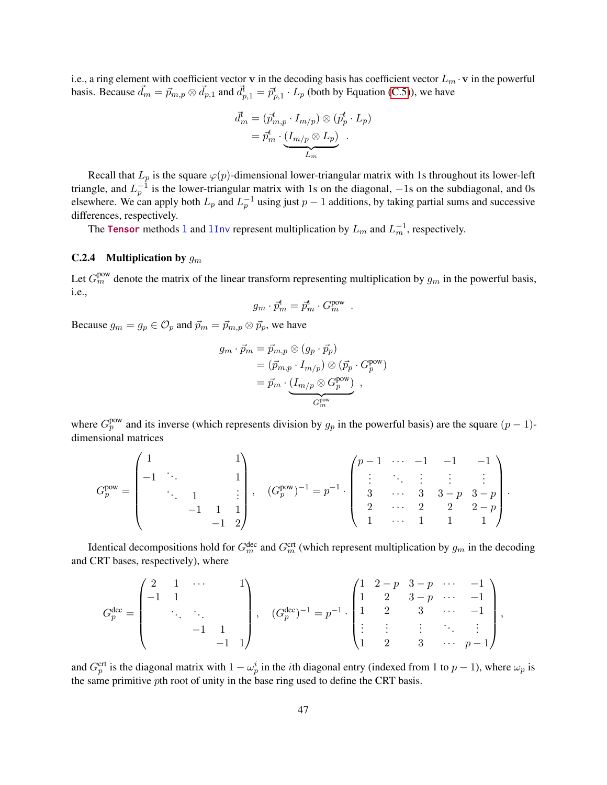i.e., a ring element with coefficient vector v in the decoding basis has coefficient vector  $L_m \cdot v$  in the powerful basis. Because  $\vec{d}_m = \vec{p}_{m,p} \otimes \vec{d}_{p,1}$  and  $\vec{d}_{p,1}^t = \vec{p}_{p,1}^t \cdot L_p$  (both by Equation [\(C.5\)](#page-44-2)), we have

$$
\begin{aligned} \vec{d}_m^t &= (\vec{p}_{m,p}^t \cdot I_{m/p}) \otimes (\vec{p}_p^t \cdot L_p) \\ &= \vec{p}_m^t \cdot \underbrace{(I_{m/p} \otimes L_p)}_{L_m} \end{aligned}
$$

Recall that  $L_p$  is the square  $\varphi(p)$ -dimensional lower-triangular matrix with 1s throughout its lower-left triangle, and  $L_p^{-1}$  is the lower-triangular matrix with 1s on the diagonal,  $-1$ s on the subdiagonal, and 0s elsewhere. We can apply both  $L_p$  and  $L_p^{-1}$  using just  $p-1$  additions, by taking partial sums and successive differences, respectively.

The Tensor methods 1 and  $1$ Inv represent multiplication by  $L_m$  and  $L_m^{-1}$ , respectively.

# <span id="page-46-0"></span>C.2.4 Multiplication by  $g_m$

Let  $G_m^{\text{pow}}$  denote the matrix of the linear transform representing multiplication by  $g_m$  in the powerful basis, i.e.,

$$
g_m \cdot \vec{p}_m^t = \vec{p}_m^t \cdot G_m^{\text{pow}}.
$$

Because  $g_m = g_p \in \mathcal{O}_p$  and  $\vec{p}_m = \vec{p}_{m,p} \otimes \vec{p}_p$ , we have

$$
g_m \cdot \vec{p}_m = \vec{p}_{m,p} \otimes (g_p \cdot \vec{p}_p)
$$
  
=  $(\vec{p}_{m,p} \cdot I_{m/p}) \otimes (\vec{p}_p \cdot G_p^{\text{pow}})$   
=  $\vec{p}_m \cdot \underbrace{(I_{m/p} \otimes G_p^{\text{pow}})}_{G_m^{\text{pow}}},$ 

where  $G_p^{\text{pow}}$  and its inverse (which represents division by  $g_p$  in the powerful basis) are the square  $(p-1)$ dimensional matrices

$$
G_p^{\text{pow}} = \begin{pmatrix} 1 & & & & 1 \\ -1 & \ddots & & & 1 \\ & \ddots & 1 & & \vdots \\ & & -1 & 1 & 1 \\ & & & -1 & 2 \end{pmatrix}, \quad (G_p^{\text{pow}})^{-1} = p^{-1} \cdot \begin{pmatrix} p-1 & \cdots & -1 & -1 & -1 \\ \vdots & \ddots & \vdots & \vdots & \vdots \\ 3 & \cdots & 3 & 3-p & 3-p \\ 2 & \cdots & 2 & 2 & 2-p \\ 1 & \cdots & 1 & 1 & 1 \end{pmatrix}.
$$

Identical decompositions hold for  $G_m^{\text{dec}}$  and  $G_m^{\text{crt}}$  (which represent multiplication by  $g_m$  in the decoding and CRT bases, respectively), where

$$
G_p^{\text{dec}} = \begin{pmatrix} 2 & 1 & \cdots & & 1 \\ -1 & 1 & & & \\ & \ddots & \ddots & & \\ & & -1 & 1 & \\ & & & -1 & 1 \end{pmatrix}, \quad (G_p^{\text{dec}})^{-1} = p^{-1} \cdot \begin{pmatrix} 1 & 2-p & 3-p & \cdots & -1 \\ 1 & 2 & 3-p & \cdots & -1 \\ 1 & 2 & 3 & \cdots & -1 \\ \vdots & \vdots & \vdots & \ddots & \vdots \\ 1 & 2 & 3 & \cdots & p-1 \end{pmatrix},
$$

and  $G_p^{\text{crt}}$  is the diagonal matrix with  $1 - \omega_p^i$  in the *i*th diagonal entry (indexed from 1 to  $p - 1$ ), where  $\omega_p$  is the same primitive pth root of unity in the base ring used to define the CRT basis.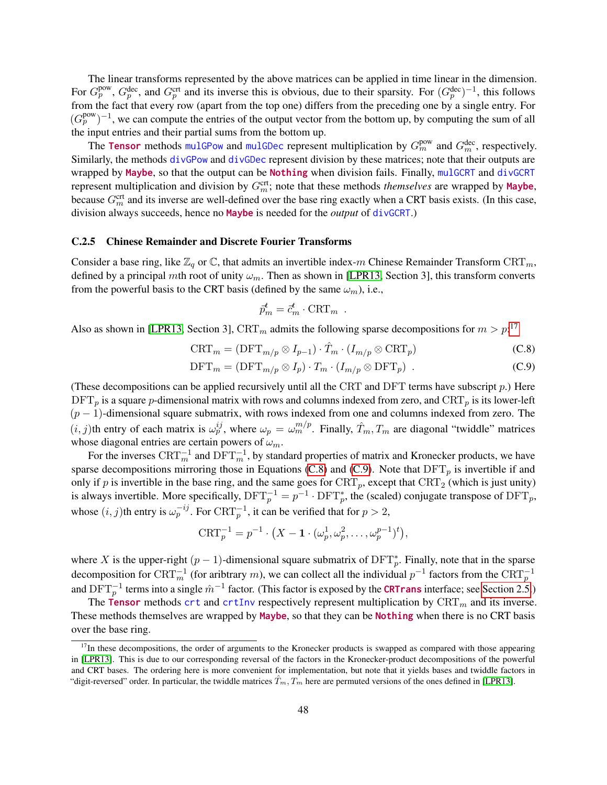The linear transforms represented by the above matrices can be applied in time linear in the dimension. For  $G_p^{\text{pow}}, G_p^{\text{dec}},$  and  $G_p^{\text{crt}}$  and its inverse this is obvious, due to their sparsity. For  $(G_p^{\text{dec}})^{-1}$ , this follows from the fact that every row (apart from the top one) differs from the preceding one by a single entry. For  $(G_p^{\text{pow}})^{-1}$ , we can compute the entries of the output vector from the bottom up, by computing the sum of all the input entries and their partial sums from the bottom up.

The Tensor methods mulGPow and mulGDec represent multiplication by  $G_m^{\text{pow}}$  and  $G_m^{\text{dec}}$ , respectively. Similarly, the methods divGPow and divGDec represent division by these matrices; note that their outputs are wrapped by Maybe, so that the output can be Nothing when division fails. Finally, mulGCRT and divGCRT represent multiplication and division by  $G<sub>m</sub><sup>crit</sup>$ ; note that these methods *themselves* are wrapped by **Maybe**, because  $G_m^{\text{crt}}$  and its inverse are well-defined over the base ring exactly when a CRT basis exists. (In this case, division always succeeds, hence no Maybe is needed for the *output* of divGCRT.)

#### <span id="page-47-0"></span>C.2.5 Chinese Remainder and Discrete Fourier Transforms

Consider a base ring, like  $\mathbb{Z}_q$  or  $\mathbb{C}$ , that admits an invertible index-m Chinese Remainder Transform CRT<sub>m</sub>, defined by a principal mth root of unity  $\omega_m$ . Then as shown in [\[LPR13,](#page-34-8) Section 3], this transform converts from the powerful basis to the CRT basis (defined by the same  $\omega_m$ ), i.e.,

<span id="page-47-2"></span><span id="page-47-1"></span>
$$
\vec{p}_m^t = \vec{c}_m^t \cdot \text{CRT}_m \ .
$$

Also as shown in [\[LPR13,](#page-34-8) Section 3], CRT<sub>m</sub> admits the following sparse decompositions for  $m > p$ <sup>[17](#page-47-3)</sup>

$$
\text{CRT}_m = (\text{DFT}_{m/p} \otimes I_{p-1}) \cdot \hat{T}_m \cdot (I_{m/p} \otimes \text{CRT}_p) \tag{C.8}
$$

$$
\text{DFT}_m = (\text{DFT}_{m/p} \otimes I_p) \cdot T_m \cdot (I_{m/p} \otimes \text{DFT}_p) \tag{C.9}
$$

(These decompositions can be applied recursively until all the CRT and DFT terms have subscript  $p$ .) Here  $\text{DFT}_p$  is a square p-dimensional matrix with rows and columns indexed from zero, and  $\text{CRT}_p$  is its lower-left  $(p-1)$ -dimensional square submatrix, with rows indexed from one and columns indexed from zero. The  $(i, j)$ th entry of each matrix is  $\omega_p^{ij}$ , where  $\omega_p = \omega_m^{m/p}$ . Finally,  $\hat{T}_m, T_m$  are diagonal "twiddle" matrices whose diagonal entries are certain powers of  $\omega_m$ .

For the inverses  $\text{CRT}^{-1}_{m}$  and  $\text{DFT}^{-1}_{m}$ , by standard properties of matrix and Kronecker products, we have sparse decompositions mirroring those in Equations [\(C.8\)](#page-47-1) and [\(C.9\)](#page-47-2). Note that  $\text{DFT}_p$  is invertible if and only if p is invertible in the base ring, and the same goes for  $CRT_p$ , except that  $CRT_2$  (which is just unity) is always invertible. More specifically,  $\text{DFT}_p^{-1} = p^{-1} \cdot \text{DFT}_p^*$ , the (scaled) conjugate transpose of  $\text{DFT}_p$ , whose  $(i, j)$ th entry is  $\omega_p^{-ij}$ . For  $\text{CRT}_p^{-1}$ , it can be verified that for  $p > 2$ ,

$$
\mathrm{CRT}_p^{-1} = p^{-1} \cdot \left( X - \mathbf{1} \cdot (\omega_p^1, \omega_p^2, \dots, \omega_p^{p-1})^t \right),
$$

where X is the upper-right  $(p-1)$ -dimensional square submatrix of DFT<sup>\*</sup><sub>p</sub>. Finally, note that in the sparse decomposition for  $\text{CRT}^{-1}_m$  (for aribtrary m), we can collect all the individual  $p^{-1}$  factors from the  $\text{CRT}^{-1}_p$ and  $DFT_p^{-1}$  terms into a single  $\hat{m}^{-1}$  factor. (This factor is exposed by the **CRTrans** interface; see [Section 2.5.](#page-14-0))

The Tensor methods crt and crtInv respectively represent multiplication by  $CRT_m$  and its inverse. These methods themselves are wrapped by Maybe, so that they can be Nothing when there is no CRT basis over the base ring.

<span id="page-47-3"></span> $17$ In these decompositions, the order of arguments to the Kronecker products is swapped as compared with those appearing in [\[LPR13\]](#page-34-8). This is due to our corresponding reversal of the factors in the Kronecker-product decompositions of the powerful and CRT bases. The ordering here is more convenient for implementation, but note that it yields bases and twiddle factors in "digit-reversed" order. In particular, the twiddle matrices  $\hat{T}_m$ ,  $T_m$  here are permuted versions of the ones defined in [\[LPR13\]](#page-34-8).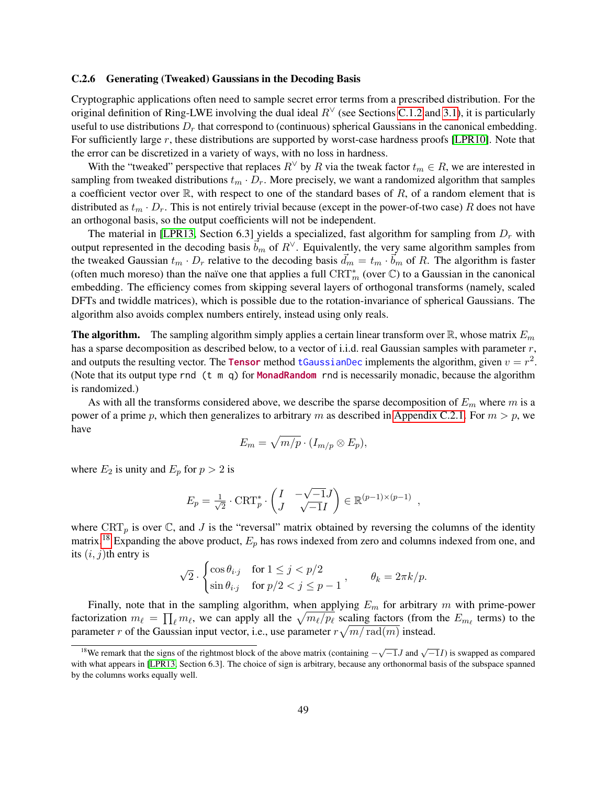#### <span id="page-48-0"></span>C.2.6 Generating (Tweaked) Gaussians in the Decoding Basis

Cryptographic applications often need to sample secret error terms from a prescribed distribution. For the original definition of Ring-LWE involving the dual ideal  $R<sup>√</sup>$  (see Sections [C.1.2](#page-42-0) and [3.1\)](#page-16-0), it is particularly useful to use distributions  $D_r$  that correspond to (continuous) spherical Gaussians in the canonical embedding. For sufficiently large r, these distributions are supported by worst-case hardness proofs [\[LPR10\]](#page-34-1). Note that the error can be discretized in a variety of ways, with no loss in hardness.

With the "tweaked" perspective that replaces  $R^{\vee}$  by R via the tweak factor  $t_m \in R$ , we are interested in sampling from tweaked distributions  $t_m \cdot D_r$ . More precisely, we want a randomized algorithm that samples a coefficient vector over  $\mathbb{R}$ , with respect to one of the standard bases of  $R$ , of a random element that is distributed as  $t_m \cdot D_r$ . This is not entirely trivial because (except in the power-of-two case) R does not have an orthogonal basis, so the output coefficients will not be independent.

The material in [\[LPR13,](#page-34-8) Section 6.3] yields a specialized, fast algorithm for sampling from  $D<sub>r</sub>$  with output represented in the decoding basis  $b_m$  of  $R^\vee$ . Equivalently, the very same algorithm samples from the tweaked Gaussian  $t_m \cdot D_r$  relative to the decoding basis  $\vec{d}_m = t_m \cdot \vec{b}_m$  of R. The algorithm is faster (often much moreso) than the naïve one that applies a full  $\mathrm{CRT}^*_m$  (over  $\mathbb C$ ) to a Gaussian in the canonical embedding. The efficiency comes from skipping several layers of orthogonal transforms (namely, scaled DFTs and twiddle matrices), which is possible due to the rotation-invariance of spherical Gaussians. The algorithm also avoids complex numbers entirely, instead using only reals.

**The algorithm.** The sampling algorithm simply applies a certain linear transform over  $\mathbb{R}$ , whose matrix  $E_m$ has a sparse decomposition as described below, to a vector of i.i.d. real Gaussian samples with parameter r, and outputs the resulting vector. The **Tensor** method tGaussianDec implements the algorithm, given  $v = r^2$ . (Note that its output type rnd (t m q) for MonadRandom rnd is necessarily monadic, because the algorithm is randomized.)

As with all the transforms considered above, we describe the sparse decomposition of  $E_m$  where m is a power of a prime p, which then generalizes to arbitrary m as described in [Appendix C.2.1.](#page-45-1) For  $m > p$ , we have

$$
E_m = \sqrt{m/p} \cdot (I_{m/p} \otimes E_p),
$$

where  $E_2$  is unity and  $E_p$  for  $p > 2$  is

$$
E_p = \frac{1}{\sqrt{2}} \cdot \text{CRT}_{p}^* \cdot \begin{pmatrix} I & -\sqrt{-1}J \\ J & \sqrt{-1}I \end{pmatrix} \in \mathbb{R}^{(p-1)\times(p-1)}
$$

,

where  $CRT_p$  is over  $\mathbb C$ , and  $J$  is the "reversal" matrix obtained by reversing the columns of the identity matrix.<sup>[18](#page-48-1)</sup> Expanding the above product,  $E_p$  has rows indexed from zero and columns indexed from one, and its  $(i, j)$ th entry is

$$
\sqrt{2} \cdot \begin{cases} \cos \theta_{i \cdot j} & \text{for } 1 \le j < p/2 \\ \sin \theta_{i \cdot j} & \text{for } p/2 < j \le p-1 \end{cases}, \qquad \theta_k = 2\pi k/p.
$$

Finally, note that in the sampling algorithm, when applying  $E_m$  for arbitrary m with prime-power factorization  $m_\ell = \prod_\ell m_\ell$ , we can apply all the  $\sqrt{m_\ell/p_\ell}$  scaling factors (from the  $E_{m_\ell}$  terms) to the parameter r of the Gaussian input vector, i.e., use parameter  $r\sqrt{m/\operatorname{rad}(m)}$  instead.

<span id="page-48-1"></span><sup>&</sup>lt;sup>18</sup>We remark that the signs of the rightmost block of the above matrix (containing  $-\sqrt{-1}J$  and  $\sqrt{-1}I$ ) is swapped as compared with what appears in [\[LPR13,](#page-34-8) Section 6.3]. The choice of sign is arbitrary, because any orthonormal basis of the subspace spanned by the columns works equally well.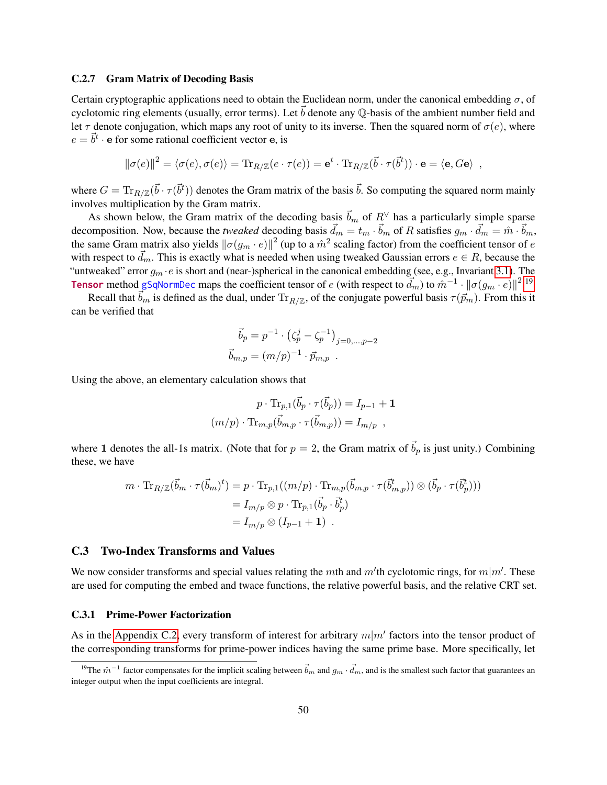#### <span id="page-49-0"></span>C.2.7 Gram Matrix of Decoding Basis

Certain cryptographic applications need to obtain the Euclidean norm, under the canonical embedding  $\sigma$ , of cyclotomic ring elements (usually, error terms). Let  $\vec{b}$  denote any Q-basis of the ambient number field and let  $\tau$  denote conjugation, which maps any root of unity to its inverse. Then the squared norm of  $\sigma(e)$ , where  $e = \vec{b}^t \cdot \mathbf{e}$  for some rational coefficient vector e, is

$$
\|\sigma(e)\|^2 = \langle \sigma(e), \sigma(e) \rangle = \text{Tr}_{R/\mathbb{Z}}(e \cdot \tau(e)) = \mathbf{e}^t \cdot \text{Tr}_{R/\mathbb{Z}}(\vec{b} \cdot \tau(\vec{b}^t)) \cdot \mathbf{e} = \langle \mathbf{e}, G\mathbf{e} \rangle ,
$$

where  $G = \text{Tr}_{R/\mathbb{Z}}(\vec{b} \cdot \tau(\vec{b}^t))$  denotes the Gram matrix of the basis  $\vec{b}$ . So computing the squared norm mainly involves multiplication by the Gram matrix.

As shown below, the Gram matrix of the decoding basis  $\vec{b}_m$  of  $R^\vee$  has a particularly simple sparse decomposition. Now, because the *tweaked* decoding basis  $\vec{d}_m = t_m \cdot \vec{b}_m$  of R satisfies  $g_m \cdot \vec{d}_m = \hat{m} \cdot \vec{b}_m$ , the same Gram matrix also yields  $\|\sigma(g_m \cdot e)\|^2$  (up to a  $\hat{m}^2$  scaling factor) from the coefficient tensor of  $e$ with respect to  $\vec{d}_m$ . This is exactly what is needed when using tweaked Gaussian errors  $e \in R$ , because the "untweaked" error  $q_m \cdot e$  is short and (near-)spherical in the canonical embedding (see, e.g., Invariant [3.1\)](#page-17-2). The **Tensor** method gSqNormDec maps the coefficient tensor of e (with respect to  $\vec{d}_m$ ) to  $\hat{m}^{-1} \cdot ||\sigma(g_m \cdot e)||^{2}$ .<sup>[19](#page-49-3)</sup>

Recall that  $\vec{b}_m$  is defined as the dual, under  $\text{Tr}_{R/\mathbb{Z}}$ , of the conjugate powerful basis  $\tau(\vec{p}_m)$ . From this it can be verified that

$$
\vec{b}_p = p^{-1} \cdot (\zeta_p^j - \zeta_p^{-1})_{j=0,\dots,p-2}
$$
  

$$
\vec{b}_{m,p} = (m/p)^{-1} \cdot \vec{p}_{m,p}.
$$

Using the above, an elementary calculation shows that

$$
p \cdot \text{Tr}_{p,1}(\vec{b}_p \cdot \tau(\vec{b}_p)) = I_{p-1} + \mathbf{1}
$$

$$
(m/p) \cdot \text{Tr}_{m,p}(\vec{b}_{m,p} \cdot \tau(\vec{b}_{m,p})) = I_{m/p} ,
$$

where 1 denotes the all-1s matrix. (Note that for  $p = 2$ , the Gram matrix of  $\vec{b}_p$  is just unity.) Combining these, we have

$$
m \cdot \text{Tr}_{R/\mathbb{Z}}(\vec{b}_m \cdot \tau(\vec{b}_m)^t) = p \cdot \text{Tr}_{p,1}((m/p) \cdot \text{Tr}_{m,p}(\vec{b}_{m,p} \cdot \tau(\vec{b}_{m,p}^t)) \otimes (\vec{b}_p \cdot \tau(\vec{b}_p^t)))
$$
  
=  $I_{m/p} \otimes p \cdot \text{Tr}_{p,1}(\vec{b}_p \cdot \vec{b}_p^t)$   
=  $I_{m/p} \otimes (I_{p-1} + 1)$ .

# <span id="page-49-1"></span>C.3 Two-Index Transforms and Values

We now consider transforms and special values relating the mth and  $m'$ th cyclotomic rings, for  $m|m'$ . These are used for computing the embed and twace functions, the relative powerful basis, and the relative CRT set.

### <span id="page-49-2"></span>C.3.1 Prime-Power Factorization

As in the [Appendix C.2,](#page-45-0) every transform of interest for arbitrary  $m|m'$  factors into the tensor product of the corresponding transforms for prime-power indices having the same prime base. More specifically, let

<span id="page-49-3"></span><sup>&</sup>lt;sup>19</sup>The  $\hat{m}^{-1}$  factor compensates for the implicit scaling between  $\vec{b}_m$  and  $g_m \cdot \vec{d}_m$ , and is the smallest such factor that guarantees an integer output when the input coefficients are integral.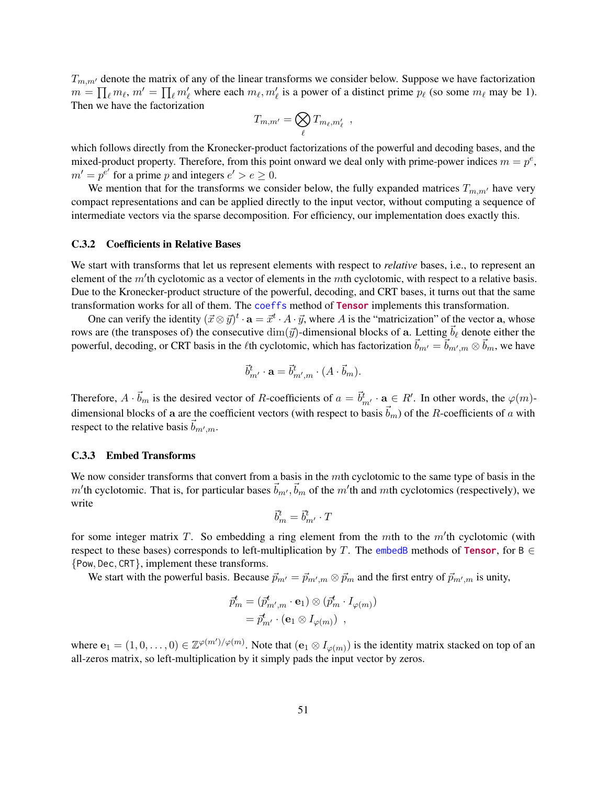$T_{m,m'}$  denote the matrix of any of the linear transforms we consider below. Suppose we have factorization  $m = \prod_{\ell} m_{\ell}, m' = \prod_{\ell} m'_{\ell}$  where each  $m_{\ell}, m'_{\ell}$  is a power of a distinct prime  $p_{\ell}$  (so some  $m_{\ell}$  may be 1). Then we have the factorization

$$
T_{m,m'} = \bigotimes_{\ell} T_{m_{\ell},m'_{\ell}} \enspace ,
$$

which follows directly from the Kronecker-product factorizations of the powerful and decoding bases, and the mixed-product property. Therefore, from this point onward we deal only with prime-power indices  $m = p^e$ ,  $m' = p^{e'}$  for a prime p and integers  $e' > e \geq 0$ .

We mention that for the transforms we consider below, the fully expanded matrices  $T_{m,m'}$  have very compact representations and can be applied directly to the input vector, without computing a sequence of intermediate vectors via the sparse decomposition. For efficiency, our implementation does exactly this.

### <span id="page-50-0"></span>C.3.2 Coefficients in Relative Bases

We start with transforms that let us represent elements with respect to *relative* bases, i.e., to represent an element of the  $m$ 'th cyclotomic as a vector of elements in the  $m$ th cyclotomic, with respect to a relative basis. Due to the Kronecker-product structure of the powerful, decoding, and CRT bases, it turns out that the same transformation works for all of them. The coeffs method of Tensor implements this transformation.

One can verify the identity  $(\vec{x} \otimes \vec{y})^t \cdot \mathbf{a} = \vec{x}^t \cdot A \cdot \vec{y}$ , where A is the "matricization" of the vector a, whose rows are (the transposes of) the consecutive  $\dim(\vec{y})$ -dimensional blocks of a. Letting  $\vec{b}_\ell$  denote either the powerful, decoding, or CRT basis in the  $\ell$ th cyclotomic, which has factorization  $\vec{b}_{m'} = \vec{b}_{m',m} \otimes \vec{b}_m$ , we have

$$
\vec{b}_{m'}^t \cdot \mathbf{a} = \vec{b}_{m',m}^t \cdot (A \cdot \vec{b}_m).
$$

Therefore,  $A \cdot \vec{b}_m$  is the desired vector of R-coefficients of  $a = \vec{b}_{m'}^t \cdot a \in R'$ . In other words, the  $\varphi(m)$ dimensional blocks of a are the coefficient vectors (with respect to basis  $\vec{b}_m$ ) of the R-coefficients of a with respect to the relative basis  $\vec{b}_{m',m}$ .

## <span id="page-50-1"></span>C.3.3 Embed Transforms

We now consider transforms that convert from a basis in the mth cyclotomic to the same type of basis in the m'th cyclotomic. That is, for particular bases  $\vec{b}_{m'}$ ,  $\vec{b}_m$  of the m'th and mth cyclotomics (respectively), we write

$$
\vec{b}^t_m = \vec{b}^t_{m'} \cdot T
$$

for some integer matrix T. So embedding a ring element from the mth to the  $m<sup>1</sup>$ th cyclotomic (with respect to these bases) corresponds to left-multiplication by T. The embedB methods of Tensor, for B  $\in$ {Pow, Dec, CRT}, implement these transforms.

We start with the powerful basis. Because  $\vec{p}_{m'} = \vec{p}_{m',m} \otimes \vec{p}_m$  and the first entry of  $\vec{p}_{m',m}$  is unity,

$$
\begin{aligned} \vec{p}_m^t &= (\vec{p}_{m',m}^t \cdot \mathbf{e}_1) \otimes (\vec{p}_m^t \cdot I_{\varphi(m)}) \\ &= \vec{p}_{m'}^t \cdot (\mathbf{e}_1 \otimes I_{\varphi(m)}) \end{aligned}
$$

where  $e_1 = (1,0,\ldots,0) \in \mathbb{Z}^{\varphi(m')/\varphi(m)}$ . Note that  $(e_1 \otimes I_{\varphi(m)})$  is the identity matrix stacked on top of an all-zeros matrix, so left-multiplication by it simply pads the input vector by zeros.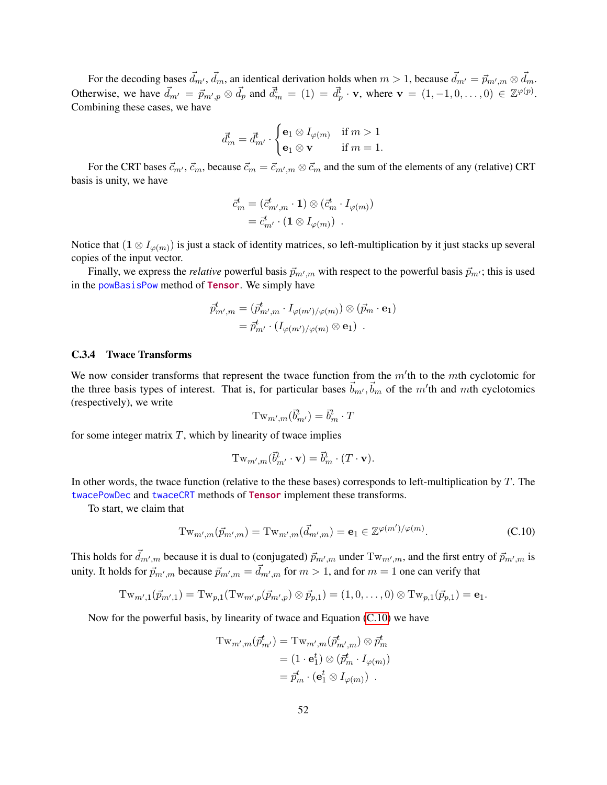For the decoding bases  $\vec{d}_{m'}, \vec{d}_m$ , an identical derivation holds when  $m > 1$ , because  $\vec{d}_{m'} = \vec{p}_{m',m} \otimes \vec{d}_m$ . Otherwise, we have  $\vec{d}_{m'} = \vec{p}_{m',p} \otimes \vec{d}_p$  and  $\vec{d}_m^t = (1) = \vec{d}_p^t \cdot \mathbf{v}$ , where  $\mathbf{v} = (1, -1, 0, \dots, 0) \in \mathbb{Z}^{\varphi(p)}$ . Combining these cases, we have

$$
\overrightarrow{d}^t_m = \overrightarrow{d}^t_{m'} \cdot \begin{cases} \mathbf{e}_1 \otimes I_{\varphi(m)} & \text{if } m > 1 \\ \mathbf{e}_1 \otimes \mathbf{v} & \text{if } m = 1. \end{cases}
$$

For the CRT bases  $\vec{c}_m$ ,  $\vec{c}_m$ , because  $\vec{c}_m = \vec{c}_{m',m} \otimes \vec{c}_m$  and the sum of the elements of any (relative) CRT basis is unity, we have

$$
\begin{aligned} \vec{c}^t_m &= (\vec{c}^t_{m',m} \cdot \mathbf{1}) \otimes (\vec{c}^t_m \cdot I_{\varphi(m)}) \\ &= \vec{c}^t_{m'} \cdot (\mathbf{1} \otimes I_{\varphi(m)}) \end{aligned}
$$

Notice that  $(1 \otimes I_{\varphi(m)})$  is just a stack of identity matrices, so left-multiplication by it just stacks up several copies of the input vector.

Finally, we express the *relative* powerful basis  $\vec{p}_{m',m}$  with respect to the powerful basis  $\vec{p}_{m'}$ ; this is used in the powBasisPow method of Tensor. We simply have

$$
\begin{split} \vec{p}^t_{m',m} &= (\vec{p}^t_{m',m} \cdot I_{\varphi(m')/\varphi(m)}) \otimes (\vec{p}_m \cdot \mathbf{e}_1) \\ &= \vec{p}^t_{m'} \cdot (I_{\varphi(m')/\varphi(m)} \otimes \mathbf{e}_1) \enspace .\end{split}
$$

### <span id="page-51-0"></span>C.3.4 Twace Transforms

We now consider transforms that represent the twace function from the  $m$ <sup>th</sup> to the mth cyclotomic for the three basis types of interest. That is, for particular bases  $\vec{b}_{m'}, \vec{b}_{m}$  of the m'th and mth cyclotomics (respectively), we write

<span id="page-51-1"></span>
$$
\mathrm{Tw}_{m',m}(\vec{b}^t_{m'}) = \vec{b}^t_{m} \cdot T
$$

for some integer matrix  $T$ , which by linearity of twace implies

$$
\mathrm{Tw}_{m',m}(\vec{b}^t_{m'}\cdot\mathbf{v})=\vec{b}^t_{m}\cdot(T\cdot\mathbf{v}).
$$

In other words, the twace function (relative to the these bases) corresponds to left-multiplication by  $T$ . The twacePowDec and twaceCRT methods of Tensor implement these transforms.

To start, we claim that

$$
Tw_{m',m}(\vec{p}_{m',m}) = Tw_{m',m}(\vec{d}_{m',m}) = \mathbf{e}_1 \in \mathbb{Z}^{\varphi(m')/\varphi(m)}.
$$
 (C.10)

This holds for  $\vec{d}_{m',m}$  because it is dual to (conjugated)  $\vec{p}_{m',m}$  under  $Tw_{m',m}$ , and the first entry of  $\vec{p}_{m',m}$  is unity. It holds for  $\vec{p}_{m',m}$  because  $\vec{p}_{m',m} = \vec{d}_{m',m}$  for  $m > 1$ , and for  $m = 1$  one can verify that

$$
\mathrm{Tw}_{m',1}(\vec{p}_{m',1}) = \mathrm{Tw}_{p,1}(\mathrm{Tw}_{m',p}(\vec{p}_{m',p}) \otimes \vec{p}_{p,1}) = (1,0,\ldots,0) \otimes \mathrm{Tw}_{p,1}(\vec{p}_{p,1}) = \mathbf{e}_1.
$$

Now for the powerful basis, by linearity of twace and Equation [\(C.10\)](#page-51-1) we have

$$
\begin{aligned} \mathrm{Tw}_{m',m}(\vec{p}^t_{m'}) &= \mathrm{Tw}_{m',m}(\vec{p}^t_{m',m}) \otimes \vec{p}^t_m \\ &= (1 \cdot \mathbf{e}^t_1) \otimes (\vec{p}^t_m \cdot I_{\varphi(m)}) \\ &= \vec{p}^t_m \cdot (\mathbf{e}^t_1 \otimes I_{\varphi(m)}) \end{aligned}
$$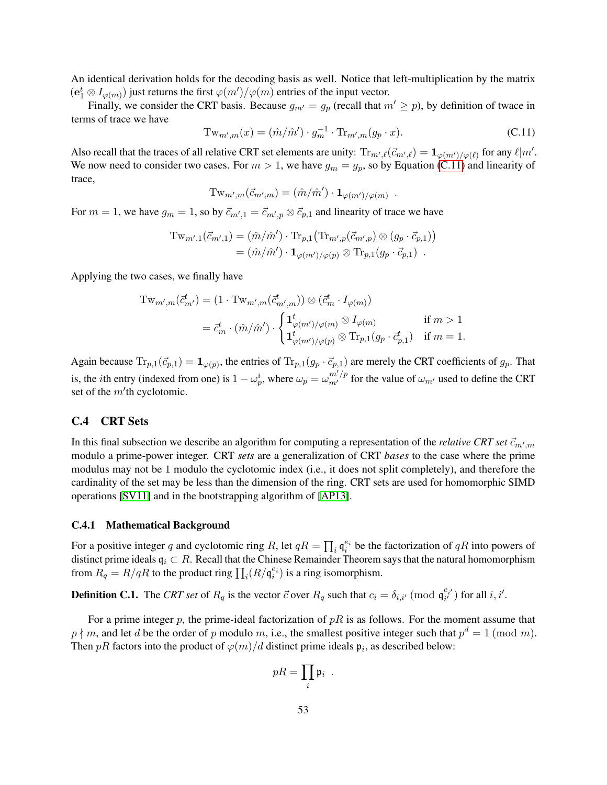An identical derivation holds for the decoding basis as well. Notice that left-multiplication by the matrix  $(e_1^t \otimes I_{\varphi(m)})$  just returns the first  $\varphi(m')/\varphi(m)$  entries of the input vector.

Finally, we consider the CRT basis. Because  $g_{m'} = g_p$  (recall that  $m' \geq p$ ), by definition of twace in terms of trace we have

$$
\operatorname{Tw}_{m',m}(x) = (\hat{m}/\hat{m}') \cdot g_m^{-1} \cdot \operatorname{Tr}_{m',m}(g_p \cdot x). \tag{C.11}
$$

<span id="page-52-2"></span>.

Also recall that the traces of all relative CRT set elements are unity:  $\text{Tr}_{m',\ell}(\vec{c}_{m',\ell}) = \mathbf{1}_{\varphi(m')/\varphi(\ell)}$  for any  $\ell | m'$ . We now need to consider two cases. For  $m > 1$ , we have  $g_m = g_p$ , so by Equation [\(C.11\)](#page-52-2) and linearity of trace,

$$
\mathrm{Tw}_{m',m}(\vec{c}_{m',m}) = (\hat{m}/\hat{m}') \cdot \mathbf{1}_{\varphi(m')/\varphi(m)}
$$

For  $m = 1$ , we have  $g_m = 1$ , so by  $\vec{c}_{m',1} = \vec{c}_{m',p} \otimes \vec{c}_{p,1}$  and linearity of trace we have

$$
\mathrm{Tw}_{m',1}(\vec{c}_{m',1}) = (\hat{m}/\hat{m}') \cdot \mathrm{Tr}_{p,1}(\mathrm{Tr}_{m',p}(\vec{c}_{m',p}) \otimes (g_p \cdot \vec{c}_{p,1}))
$$
  
= 
$$
(\hat{m}/\hat{m}') \cdot \mathbf{1}_{\varphi(m')/\varphi(p)} \otimes \mathrm{Tr}_{p,1}(g_p \cdot \vec{c}_{p,1}) .
$$

Applying the two cases, we finally have

$$
\mathrm{Tw}_{m',m}(\vec{c}_{m'}^t) = (1 \cdot \mathrm{Tw}_{m',m}(\vec{c}_{m',m}^t)) \otimes (\vec{c}_{m}^t \cdot I_{\varphi(m)})
$$
  

$$
= \vec{c}_{m}^t \cdot (\hat{m}/\hat{m}') \cdot \begin{cases} \mathbf{1}_{\varphi(m')/\varphi(m)}^t \otimes I_{\varphi(m)} & \text{if } m > 1 \\ \mathbf{1}_{\varphi(m')/\varphi(p)}^t \otimes \mathrm{Tr}_{p,1}(g_p \cdot \vec{c}_{p,1}^t) & \text{if } m = 1. \end{cases}
$$

Again because  $\text{Tr}_{p,1}(\vec{c}_{p,1}) = \mathbf{1}_{\varphi(p)}$ , the entries of  $\text{Tr}_{p,1}(g_p \cdot \vec{c}_{p,1})$  are merely the CRT coefficients of  $g_p$ . That is, the *i*th entry (indexed from one) is  $1 - \omega_p^i$ , where  $\omega_p = \omega_{m'}^{m'/p}$  for the value of  $\omega_{m'}$  used to define the CRT set of the  $m$ 'th cyclotomic.

### <span id="page-52-0"></span>C.4 CRT Sets

In this final subsection we describe an algorithm for computing a representation of the *relative CRT set*  $\vec{c}_{m',m}$ modulo a prime-power integer. CRT *sets* are a generalization of CRT *bases* to the case where the prime modulus may not be 1 modulo the cyclotomic index (i.e., it does not split completely), and therefore the cardinality of the set may be less than the dimension of the ring. CRT sets are used for homomorphic SIMD operations [\[SV11\]](#page-35-6) and in the bootstrapping algorithm of [\[AP13\]](#page-32-5).

#### <span id="page-52-1"></span>C.4.1 Mathematical Background

For a positive integer q and cyclotomic ring R, let  $qR = \prod_i \mathfrak{q}_i^{e_i}$  be the factorization of  $qR$  into powers of distinct prime ideals  $q_i \,\subset R$ . Recall that the Chinese Remainder Theorem says that the natural homomorphism from  $R_q = R/qR$  to the product ring  $\prod_i (R/\mathfrak{q}_i^{e_i})$  is a ring isomorphism.

**Definition C.1.** The *CRT set* of  $R_q$  is the vector  $\vec{c}$  over  $R_q$  such that  $c_i = \delta_{i,i'} \pmod{\mathfrak{q}_{i'}^{e_{i'}}}$  for all  $i, i'.$ 

For a prime integer p, the prime-ideal factorization of  $pR$  is as follows. For the moment assume that  $p \nmid m$ , and let d be the order of p modulo m, i.e., the smallest positive integer such that  $p^d = 1 \pmod{m}$ . Then pR factors into the product of  $\varphi(m)/d$  distinct prime ideals  $\mathfrak{p}_i$ , as described below:

$$
pR = \prod_i \mathfrak{p}_i \enspace.
$$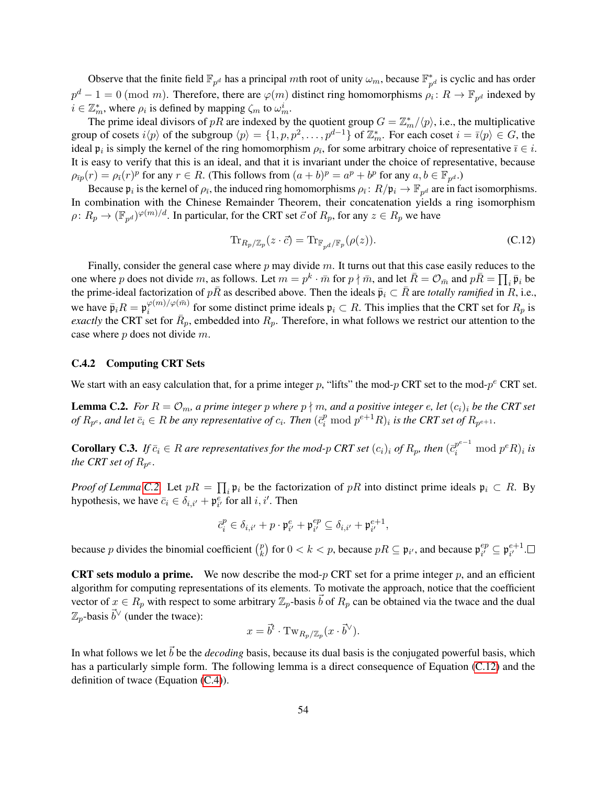Observe that the finite field  $\mathbb{F}_{p^d}$  has a principal mth root of unity  $\omega_m$ , because  $\mathbb{F}_p^*$  $_{p^{d}}^{*}$  is cyclic and has order  $p^d - 1 = 0 \pmod{m}$ . Therefore, there are  $\varphi(m)$  distinct ring homomorphisms  $\rho_i \colon R \to \mathbb{F}_{p^d}$  indexed by  $i \in \mathbb{Z}_m^*$ , where  $\rho_i$  is defined by mapping  $\zeta_m$  to  $\omega_m^i$ .

The prime ideal divisors of pR are indexed by the quotient group  $G = \mathbb{Z}_m^*/\langle p \rangle$ , i.e., the multiplicative group of cosets  $i\langle p \rangle$  of the subgroup  $\langle p \rangle = \{1, p, p^2, \dots, p^{d-1}\}$  of  $\mathbb{Z}_m^*$ . For each coset  $i = \overline{i} \langle p \rangle \in G$ , the ideal  $\mathfrak{p}_i$  is simply the kernel of the ring homomorphism  $\rho_{\bar{\imath}}$ , for some arbitrary choice of representative  $\bar{\imath} \in i$ . It is easy to verify that this is an ideal, and that it is invariant under the choice of representative, because  $\rho_{\bar{p}p}(r) = \rho_{\bar{p}}(r)^p$  for any  $r \in R$ . (This follows from  $(a+b)^p = a^p + b^p$  for any  $a, b \in \mathbb{F}_{p^d}$ .)

Because  $\mathfrak{p}_i$  is the kernel of  $\rho_{\bar{i}}$ , the induced ring homomorphisms  $\rho_{\bar{i}}\colon R/\mathfrak{p}_i\to\mathbb{F}_{p^d}$  are in fact isomorphisms. In combination with the Chinese Remainder Theorem, their concatenation yields a ring isomorphism  $\rho: R_p \to (\mathbb{F}_{p^d})^{\varphi(m)/d}$ . In particular, for the CRT set  $\vec{c}$  of  $R_p$ , for any  $z \in R_p$  we have

<span id="page-53-2"></span>
$$
\operatorname{Tr}_{R_p/\mathbb{Z}_p}(z \cdot \vec{c}) = \operatorname{Tr}_{\mathbb{F}_{p^d}/\mathbb{F}_p}(\rho(z)).\tag{C.12}
$$

Finally, consider the general case where  $p$  may divide  $m$ . It turns out that this case easily reduces to the one where p does not divide m, as follows. Let  $m = p^k \cdot \bar{m}$  for  $p \nmid \bar{m}$ , and let  $\bar{R} = \mathcal{O}_{\bar{m}}$  and  $p\bar{R} = \prod_i \bar{\mathfrak{p}}_i$  be the prime-ideal factorization of  $p\bar{R}$  as described above. Then the ideals  $\bar{p}_i \subset \bar{R}$  are *totally ramified* in R, i.e., we have  $\bar{\mathfrak{p}}_i R = \mathfrak{p}_i^{\varphi(m)/\varphi(\bar{m})}$  $\varphi^{(m)/\varphi(m)}$  for some distinct prime ideals  $\mathfrak{p}_i \subset R$ . This implies that the CRT set for  $R_p$  is *exactly* the CRT set for  $\bar{R}_p$ , embedded into  $R_p$ . Therefore, in what follows we restrict our attention to the case where p does not divide m.

# <span id="page-53-0"></span>C.4.2 Computing CRT Sets

<span id="page-53-1"></span>We start with an easy calculation that, for a prime integer p, "lifts" the mod-p CRT set to the mod- $p^e$  CRT set.

**Lemma C.2.** *For*  $R = \mathcal{O}_m$ , *a prime integer p where*  $p \nmid m$ , *and a positive integer e*, *let*  $(c_i)_i$  *be the CRT set* of  $R_{p^e}$ , and let  $\bar{c}_i \in R$  be any representative of  $c_i$ . Then  $(\bar{c}_i^p \bmod p^{e+1}R)_i$  is the CRT set of  $R_{p^{e+1}}$ .

**Corollary C.3.** If  $\bar{c}_i \in R$  are representatives for the mod-p CRT set  $(c_i)_i$  of  $R_p$ , then  $(\bar{c}_i^{p^{e-1}} \mod p^e R)_i$  is the CRT set of  $R_{p^e}$ .

*Proof of Lemma* [C.2.](#page-53-1) Let  $pR = \prod_i \mathfrak{p}_i$  be the factorization of pR into distinct prime ideals  $\mathfrak{p}_i \subset R$ . By hypothesis, we have  $\bar{c}_i \in \delta_{i,i'} + \mathfrak{p}_{i'}^e$  for all  $i, i'$ . Then

$$
\bar{c}^p_i \in \delta_{i,i'} + p \cdot \mathfrak{p}^e_{i'} + \mathfrak{p}^{ep}_{i'} \subseteq \delta_{i,i'} + \mathfrak{p}^{e+1}_{i'},
$$

because p divides the binomial coefficient  $\binom{p}{k}$  $\binom{p}{k}$  for  $0 < k < p$ , because  $pR \subseteq \mathfrak{p}_{i'}$ , and because  $\mathfrak{p}_{i'}^{ep}$  $_{i^{\prime }}^{ep}\subseteq \mathfrak{p}_{i^{\prime }}^{e+1}$  $\frac{e+1}{i'}$ .

**CRT sets modulo a prime.** We now describe the mod- $p$  CRT set for a prime integer  $p$ , and an efficient algorithm for computing representations of its elements. To motivate the approach, notice that the coefficient vector of  $x \in R_p$  with respect to some arbitrary  $\mathbb{Z}_p$ -basis  $\vec{b}$  of  $R_p$  can be obtained via the twace and the dual  $\mathbb{Z}_p$ -basis  $\vec{b}^\vee$  (under the twace):

$$
x = \vec{b}^t \cdot \mathrm{Tw}_{R_p/\mathbb{Z}_p}(x \cdot \vec{b}^{\vee}).
$$

In what follows we let  $\vec{b}$  be the *decoding* basis, because its dual basis is the conjugated powerful basis, which has a particularly simple form. The following lemma is a direct consequence of Equation [\(C.12\)](#page-53-2) and the definition of twace (Equation [\(C.4\)](#page-43-1)).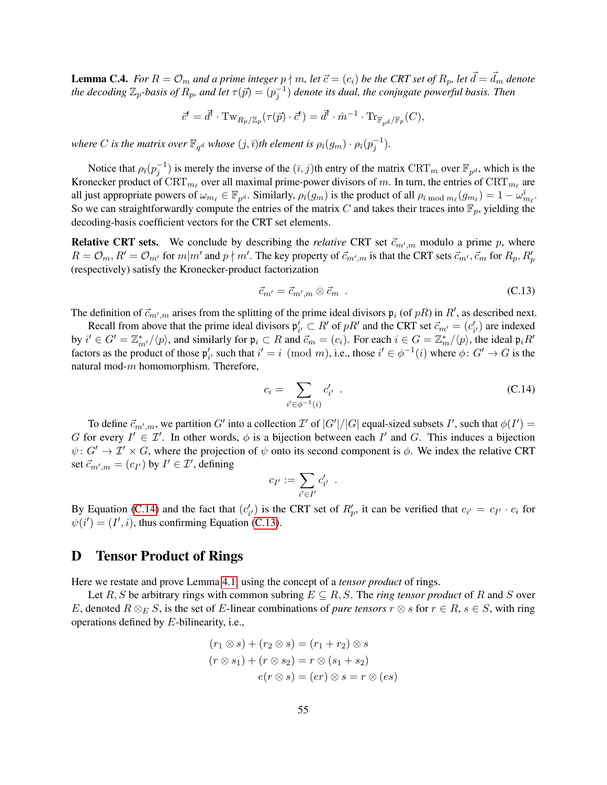**Lemma C.4.** For  $R = \mathcal{O}_m$  and a prime integer  $p \nmid m$ , let  $\vec{c} = (c_i)$  be the CRT set of  $R_p$ , let  $\vec{d} = \vec{d}_m$  denote *the decoding*  $\mathbb{Z}_p$ -basis of  $R_p$ , and let  $\tau(\vec{p}) = (p_j^{-1})$  denote its dual, the conjugate powerful basis. Then

$$
\vec{c}^t = \vec{d}^t \cdot \mathrm{Tw}_{R_p/\mathbb{Z}_p}(\tau(\vec{p}) \cdot \vec{c}^t) = \vec{d}^t \cdot \hat{m}^{-1} \cdot \mathrm{Tr}_{\mathbb{F}_{p^d}/\mathbb{F}_p}(C),
$$

where  $C$  is the matrix over  $\mathbb{F}_{q^d}$  whose  $(j, \bar{\imath})$ th element is  $\rho_{\bar{\imath}}(g_m) \cdot \rho_{\bar{\imath}}(p_j^{-1}).$ 

Notice that  $\rho_{\bar{i}}(p_j^{-1})$  is merely the inverse of the  $(\bar{i}, j)$ th entry of the matrix  $\mathrm{CRT}_m$  over  $\mathbb{F}_{p^d}$ , which is the Kronecker product of  $\mathrm{CRT}_{m_\ell}$  over all maximal prime-power divisors of m. In turn, the entries of  $\mathrm{CRT}_{m_\ell}$  are all just appropriate powers of  $\omega_{m_\ell} \in \mathbb{F}_{p^d}$ . Similarly,  $\rho_{\bar{\imath}}(g_m)$  is the product of all  $\rho_{\bar{\imath} \bmod m_\ell}(g_{m_\ell}) = 1 - \omega_{m_\ell}^{\bar{\imath}}$ . So we can straightforwardly compute the entries of the matrix C and takes their traces into  $\mathbb{F}_p$ , yielding the decoding-basis coefficient vectors for the CRT set elements.

**Relative CRT sets.** We conclude by describing the *relative* CRT set  $\vec{c}_{m',m}$  modulo a prime p, where  $R = \mathcal{O}_m$ ,  $R' = \mathcal{O}_{m'}$  for  $m|m'$  and  $p \nmid m'$ . The key property of  $\vec{c}_{m',m}$  is that the CRT sets  $\vec{c}_{m'}, \vec{c}_m$  for  $R_p$ ,  $R'_p$ (respectively) satisfy the Kronecker-product factorization

<span id="page-54-2"></span>
$$
\vec{c}_{m'} = \vec{c}_{m',m} \otimes \vec{c}_m \tag{C.13}
$$

The definition of  $\vec{c}_{m',m}$  arises from the splitting of the prime ideal divisors  $\mathfrak{p}_i$  (of  $pR$ ) in  $R'$ , as described next.

Recall from above that the prime ideal divisors  $\mathfrak{p}'_{i'} \subset R'$  of  $pR'$  and the CRT set  $\vec{c}_{m'} = (c'_{i'})$  are indexed by  $i' \in G' = \mathbb{Z}_{m'}^*/\langle p \rangle$ , and similarly for  $\mathfrak{p}_i \subset R$  and  $\vec{c}_m = (c_i)$ . For each  $i \in G = \mathbb{Z}_m^*/\langle p \rangle$ , the ideal  $\mathfrak{p}_i R'$ factors as the product of those  $\mathfrak{p}'_{i'}$  such that  $i' = i \pmod{m}$ , i.e., those  $i' \in \phi^{-1}(i)$  where  $\phi: G' \to G$  is the natural mod-m homomorphism. Therefore,

<span id="page-54-1"></span>
$$
c_i = \sum_{i' \in \phi^{-1}(i)} c'_{i'} \quad . \tag{C.14}
$$

To define  $\vec{c}_{m',m}$ , we partition  $G'$  into a collection  $\mathcal{I}'$  of  $|G'|/|G|$  equal-sized subsets  $I'$ , such that  $\phi(I') =$ G for every  $I' \in \mathcal{I}'$ . In other words,  $\phi$  is a bijection between each  $I'$  and G. This induces a bijection  $\psi: G' \to \mathcal{I}' \times G$ , where the projection of  $\psi$  onto its second component is  $\phi$ . We index the relative CRT set  $\vec{c}_{m',m} = (c_{I'})$  by  $I' \in \mathcal{I}'$ , defining

$$
c_{I'} := \sum_{i' \in I'} c'_{i'}.
$$

By Equation [\(C.14\)](#page-54-1) and the fact that  $(c'_{i'})$  is the CRT set of  $R'_{p}$ , it can be verified that  $c_{i'} = c_{I'} \cdot c_i$  for  $\psi(i') = (I', i)$ , thus confirming Equation [\(C.13\)](#page-54-2).

# <span id="page-54-0"></span>D Tensor Product of Rings

Here we restate and prove Lemma [4.1,](#page-30-0) using the concept of a *tensor product* of rings.

Let R, S be arbitrary rings with common subring  $E \subseteq R$ , S. The *ring tensor product* of R and S over E, denoted  $R \otimes_E S$ , is the set of E-linear combinations of *pure tensors*  $r \otimes s$  for  $r \in R$ ,  $s \in S$ , with ring operations defined by E-bilinearity, i.e.,

$$
(r_1 \otimes s) + (r_2 \otimes s) = (r_1 + r_2) \otimes s
$$

$$
(r \otimes s_1) + (r \otimes s_2) = r \otimes (s_1 + s_2)
$$

$$
e(r \otimes s) = (er) \otimes s = r \otimes (es)
$$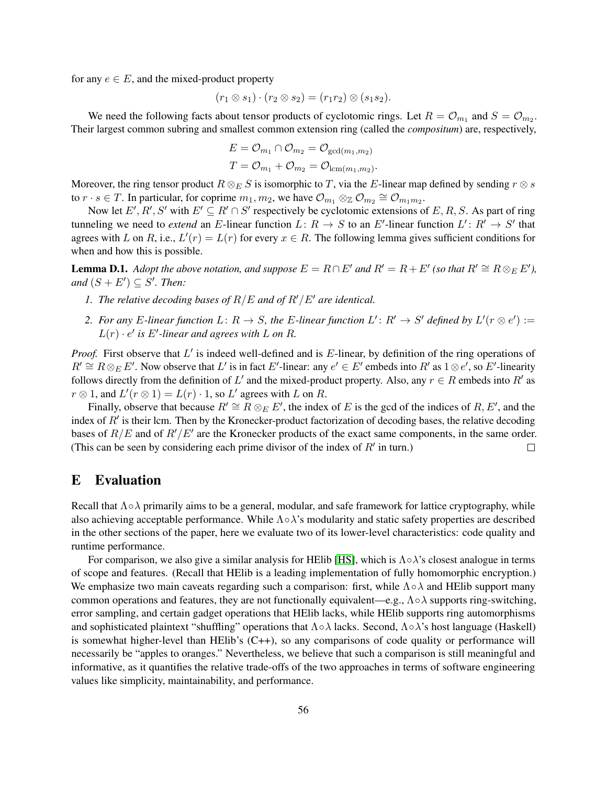for any  $e \in E$ , and the mixed-product property

$$
(r_1 \otimes s_1) \cdot (r_2 \otimes s_2) = (r_1r_2) \otimes (s_1s_2).
$$

We need the following facts about tensor products of cyclotomic rings. Let  $R = \mathcal{O}_{m_1}$  and  $S = \mathcal{O}_{m_2}$ . Their largest common subring and smallest common extension ring (called the *compositum*) are, respectively,

$$
E = \mathcal{O}_{m_1} \cap \mathcal{O}_{m_2} = \mathcal{O}_{\gcd(m_1, m_2)}
$$
  

$$
T = \mathcal{O}_{m_1} + \mathcal{O}_{m_2} = \mathcal{O}_{\text{lcm}(m_1, m_2)}.
$$

Moreover, the ring tensor product  $R \otimes_E S$  is isomorphic to T, via the E-linear map defined by sending  $r \otimes s$ to  $r \cdot s \in T$ . In particular, for coprime  $m_1, m_2$ , we have  $\mathcal{O}_{m_1} \otimes_{\mathbb{Z}} \mathcal{O}_{m_2} \cong \mathcal{O}_{m_1 m_2}$ .

Now let  $E', R', S'$  with  $E' \subseteq R' \cap S'$  respectively be cyclotomic extensions of E, R, S. As part of ring tunneling we need to *extend* an E-linear function  $L: R \to S$  to an E'-linear function  $L': R' \to S'$  that agrees with L on R, i.e.,  $L'(r) = L(r)$  for every  $x \in R$ . The following lemma gives sufficient conditions for when and how this is possible.

<span id="page-55-1"></span>**Lemma D.1.** *Adopt the above notation, and suppose*  $E = R \cap E'$  *and*  $R' = R + E'$  (so that  $R' \cong R \otimes_E E'$ ), *and*  $(S + E') \subseteq S'$ *. Then:* 

- *1. The relative decoding bases of*  $R/E$  *and of*  $R'/E'$  *are identical.*
- 2. For any E-linear function  $L: R \to S$ , the E-linear function  $L': R' \to S'$  defined by  $L'(r \otimes e') :=$  $L(r) \cdot e'$  is  $E'$ -linear and agrees with  $L$  on  $R$ .

Proof. First observe that L' is indeed well-defined and is E-linear, by definition of the ring operations of  $R' \cong R \otimes_E E'$ . Now observe that L' is in fact E'-linear: any  $e' \in E'$  embeds into  $R'$  as  $1 \otimes e'$ , so E'-linearity follows directly from the definition of L' and the mixed-product property. Also, any  $r \in R$  embeds into R' as  $r \otimes 1$ , and  $L'(r \otimes 1) = L(r) \cdot 1$ , so  $L'$  agrees with L on R.

Finally, observe that because  $R' \cong R \otimes_E E'$ , the index of E is the gcd of the indices of R, E', and the index of  $R'$  is their lcm. Then by the Kronecker-product factorization of decoding bases, the relative decoding bases of  $R/E$  and of  $R'/E'$  are the Kronecker products of the exact same components, in the same order. (This can be seen by considering each prime divisor of the index of  $R'$  in turn.)  $\Box$ 

# <span id="page-55-0"></span>E Evaluation

Recall that  $\Lambda \circ \lambda$  primarily aims to be a general, modular, and safe framework for lattice cryptography, while also achieving acceptable performance. While  $\Lambda \circ \lambda$ 's modularity and static safety properties are described in the other sections of the paper, here we evaluate two of its lower-level characteristics: code quality and runtime performance.

For comparison, we also give a similar analysis for HElib [\[HS\]](#page-34-7), which is  $\Lambda \circ \lambda$ 's closest analogue in terms of scope and features. (Recall that HElib is a leading implementation of fully homomorphic encryption.) We emphasize two main caveats regarding such a comparison: first, while  $\Lambda \circ \lambda$  and HElib support many common operations and features, they are not functionally equivalent—e.g.,  $\Lambda \circ \lambda$  supports ring-switching, error sampling, and certain gadget operations that HElib lacks, while HElib supports ring automorphisms and sophisticated plaintext "shuffling" operations that  $\Lambda \circ \lambda$  lacks. Second,  $\Lambda \circ \lambda$ 's host language (Haskell) is somewhat higher-level than HElib's  $(C++)$ , so any comparisons of code quality or performance will necessarily be "apples to oranges." Nevertheless, we believe that such a comparison is still meaningful and informative, as it quantifies the relative trade-offs of the two approaches in terms of software engineering values like simplicity, maintainability, and performance.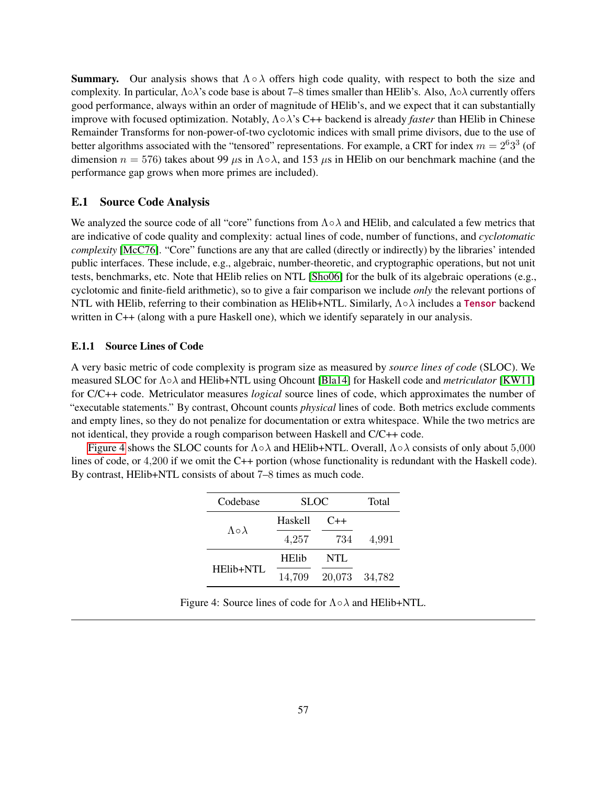**Summary.** Our analysis shows that  $\Lambda \circ \lambda$  offers high code quality, with respect to both the size and complexity. In particular, Λ◦λ's code base is about 7–8 times smaller than HElib's. Also, Λ◦λ currently offers good performance, always within an order of magnitude of HElib's, and we expect that it can substantially improve with focused optimization. Notably, Λ◦λ's C++ backend is already *faster* than HElib in Chinese Remainder Transforms for non-power-of-two cyclotomic indices with small prime divisors, due to the use of better algorithms associated with the "tensored" representations. For example, a CRT for index  $m = 2^6 3^3$  (of dimension  $n = 576$ ) takes about 99  $\mu$ s in  $\Lambda \circ \lambda$ , and 153  $\mu$ s in HElib on our benchmark machine (and the performance gap grows when more primes are included).

# <span id="page-56-0"></span>E.1 Source Code Analysis

We analyzed the source code of all "core" functions from  $\Lambda \circ \lambda$  and HElib, and calculated a few metrics that are indicative of code quality and complexity: actual lines of code, number of functions, and *cyclotomatic complexity* [\[McC76\]](#page-35-12). "Core" functions are any that are called (directly or indirectly) by the libraries' intended public interfaces. These include, e.g., algebraic, number-theoretic, and cryptographic operations, but not unit tests, benchmarks, etc. Note that HElib relies on NTL [\[Sho06\]](#page-35-13) for the bulk of its algebraic operations (e.g., cyclotomic and finite-field arithmetic), so to give a fair comparison we include *only* the relevant portions of NTL with HElib, referring to their combination as HElib+NTL. Similarly,  $\Lambda \circ \lambda$  includes a Tensor backend written in C++ (along with a pure Haskell one), which we identify separately in our analysis.

## <span id="page-56-1"></span>E.1.1 Source Lines of Code

A very basic metric of code complexity is program size as measured by *source lines of code* (SLOC). We measured SLOC for Λ◦λ and HElib+NTL using Ohcount [\[Bla14\]](#page-32-9) for Haskell code and *metriculator* [\[KW11\]](#page-34-15) for C/C++ code. Metriculator measures *logical* source lines of code, which approximates the number of "executable statements." By contrast, Ohcount counts *physical* lines of code. Both metrics exclude comments and empty lines, so they do not penalize for documentation or extra whitespace. While the two metrics are not identical, they provide a rough comparison between Haskell and C/C++ code.

<span id="page-56-2"></span>[Figure 4](#page-56-2) shows the SLOC counts for  $\Lambda \circ \lambda$  and HElib+NTL. Overall,  $\Lambda \circ \lambda$  consists of only about 5,000 lines of code, or 4,200 if we omit the C++ portion (whose functionality is redundant with the Haskell code). By contrast, HElib+NTL consists of about 7–8 times as much code.

| Codebase                | <b>SLOC</b>  |        | Total  |
|-------------------------|--------------|--------|--------|
|                         | Haskell      | $C++$  |        |
| $\Lambda \circ \lambda$ | 4,257        | 734    | 4,991  |
|                         | <b>HElib</b> | NTL    |        |
| HElib+NTL               | 14,709       | 20,073 | 34,782 |

Figure 4: Source lines of code for  $\Lambda \circ \lambda$  and HElib+NTL.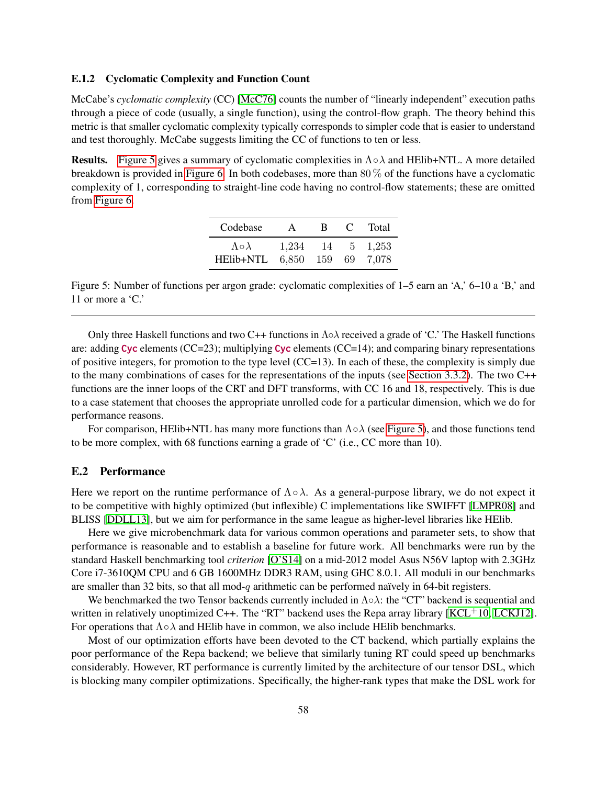# <span id="page-57-0"></span>E.1.2 Cyclomatic Complexity and Function Count

McCabe's *cyclomatic complexity* (CC) [\[McC76\]](#page-35-12) counts the number of "linearly independent" execution paths through a piece of code (usually, a single function), using the control-flow graph. The theory behind this metric is that smaller cyclomatic complexity typically corresponds to simpler code that is easier to understand and test thoroughly. McCabe suggests limiting the CC of functions to ten or less.

<span id="page-57-2"></span>**Results.** [Figure 5](#page-57-2) gives a summary of cyclomatic complexities in  $\Lambda \circ \lambda$  and HElib+NTL. A more detailed breakdown is provided in [Figure 6.](#page-58-1) In both codebases, more than 80 % of the functions have a cyclomatic complexity of 1, corresponding to straight-line code having no control-flow statements; these are omitted from [Figure 6.](#page-58-1)

| Codebase                | A     | R | $\mathbf{C}$ | Total |
|-------------------------|-------|---|--------------|-------|
| $\Lambda \circ \lambda$ | 1,234 |   | 14 5         | 1.253 |
| HElib+NTL 6,850 159 69  |       |   |              | 7.078 |

Figure 5: Number of functions per argon grade: cyclomatic complexities of 1–5 earn an 'A,' 6–10 a 'B,' and 11 or more a 'C.'

Only three Haskell functions and two C++ functions in  $\Lambda \circ \lambda$  received a grade of 'C.' The Haskell functions are: adding Cyc elements (CC=23); multiplying Cyc elements (CC=14); and comparing binary representations of positive integers, for promotion to the type level (CC=13). In each of these, the complexity is simply due to the many combinations of cases for the representations of the inputs (see [Section 3.3.2\)](#page-21-2). The two C++ functions are the inner loops of the CRT and DFT transforms, with CC 16 and 18, respectively. This is due to a case statement that chooses the appropriate unrolled code for a particular dimension, which we do for performance reasons.

For comparison, HElib+NTL has many more functions than  $\Lambda \circ \lambda$  (see [Figure 5\)](#page-57-2), and those functions tend to be more complex, with 68 functions earning a grade of 'C' (i.e., CC more than 10).

# <span id="page-57-1"></span>E.2 Performance

Here we report on the runtime performance of  $\Lambda \circ \lambda$ . As a general-purpose library, we do not expect it to be competitive with highly optimized (but inflexible) C implementations like SWIFFT [\[LMPR08\]](#page-34-5) and BLISS [\[DDLL13\]](#page-33-1), but we aim for performance in the same league as higher-level libraries like HElib.

Here we give microbenchmark data for various common operations and parameter sets, to show that performance is reasonable and to establish a baseline for future work. All benchmarks were run by the standard Haskell benchmarking tool *criterion* [\[O'S14\]](#page-35-14) on a mid-2012 model Asus N56V laptop with 2.3GHz Core i7-3610QM CPU and 6 GB 1600MHz DDR3 RAM, using GHC 8.0.1. All moduli in our benchmarks are smaller than 32 bits, so that all mod-q arithmetic can be performed naïvely in 64-bit registers.

We benchmarked the two Tensor backends currently included in  $\Lambda \circ \lambda$ : the "CT" backend is sequential and written in relatively unoptimized  $C_{++}$ . The "RT" backend uses the Repa array library [\[KCL](#page-34-10)<sup>+</sup>10, [LCKJ12\]](#page-34-11). For operations that  $\Lambda \circ \lambda$  and HElib have in common, we also include HElib benchmarks.

Most of our optimization efforts have been devoted to the CT backend, which partially explains the poor performance of the Repa backend; we believe that similarly tuning RT could speed up benchmarks considerably. However, RT performance is currently limited by the architecture of our tensor DSL, which is blocking many compiler optimizations. Specifically, the higher-rank types that make the DSL work for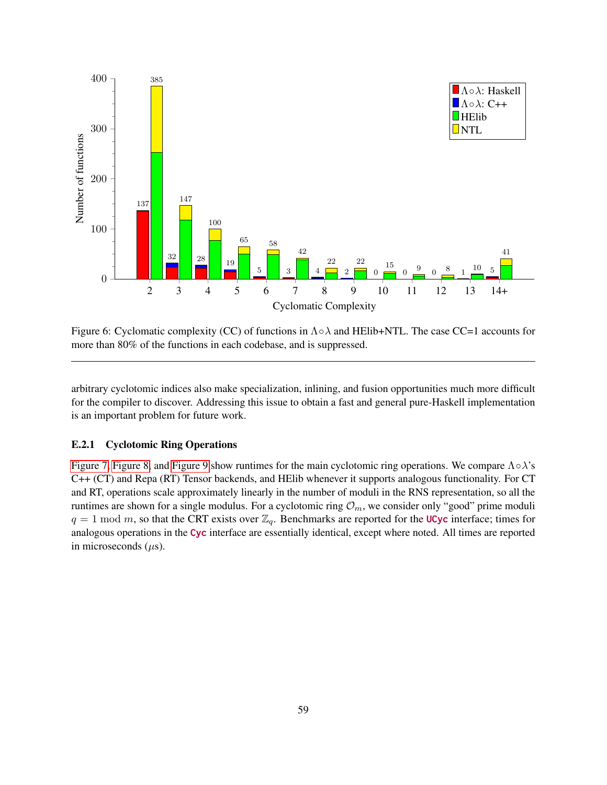<span id="page-58-1"></span>

Figure 6: Cyclomatic complexity (CC) of functions in  $\Lambda \circ \lambda$  and HElib+NTL. The case CC=1 accounts for more than 80% of the functions in each codebase, and is suppressed.

arbitrary cyclotomic indices also make specialization, inlining, and fusion opportunities much more difficult for the compiler to discover. Addressing this issue to obtain a fast and general pure-Haskell implementation is an important problem for future work.

# <span id="page-58-0"></span>E.2.1 Cyclotomic Ring Operations

[Figure 7,](#page-59-0) [Figure 8,](#page-59-1) and [Figure 9](#page-60-1) show runtimes for the main cyclotomic ring operations. We compare  $\Lambda \circ \lambda$ 's C++ (CT) and Repa (RT) Tensor backends, and HElib whenever it supports analogous functionality. For CT and RT, operations scale approximately linearly in the number of moduli in the RNS representation, so all the runtimes are shown for a single modulus. For a cyclotomic ring  $\mathcal{O}_m$ , we consider only "good" prime moduli  $q = 1 \text{ mod } m$ , so that the CRT exists over  $\mathbb{Z}_q$ . Benchmarks are reported for the UCyc interface; times for analogous operations in the Cyc interface are essentially identical, except where noted. All times are reported in microseconds  $(\mu s)$ .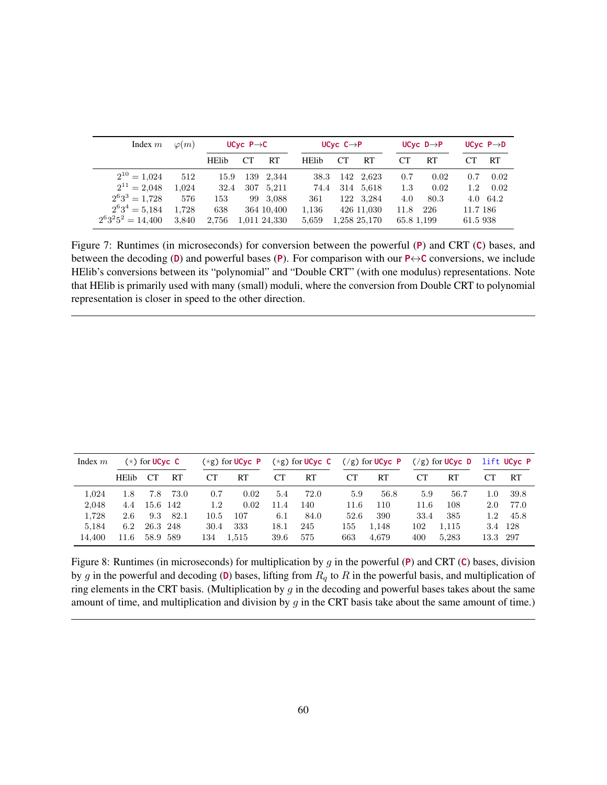<span id="page-59-0"></span>

| Index $m$                  | $\varphi(m)$ |              | UCyc $P \rightarrow C$ |              |              | UCyc $C \rightarrow P$ |              |            | UCyc $D \rightarrow P$ |          | UCyc $P \rightarrow D$ |
|----------------------------|--------------|--------------|------------------------|--------------|--------------|------------------------|--------------|------------|------------------------|----------|------------------------|
|                            |              | <b>HElib</b> |                        | RT           | <b>HElib</b> | CT.                    | RT           | CТ         | RT                     |          | RT                     |
| $2^{10} = 1,024$           | 512          | 15.9         |                        | 139 2,344    | 38.3         |                        | 142 2.623    | 0.7        | 0.02                   | 0.7      | 0.02                   |
| $2^{11} = 2,048$           | 1.024        | 32.4         |                        | 307 5,211    | 74.4         |                        | 314 5.618    | 1.3        | 0.02                   | 1.2      | 0.02                   |
| $2^{6}3^{3} = 1,728$       | 576          | 153          | 99                     | 3,088        | 361          |                        | 122 3,284    | 4.0        | 80.3                   |          | 4.0 64.2               |
| $2^{6}3^{4} = 5,184$       | 1.728        | 638          |                        | 364 10,400   | 1,136        |                        | 426 11,030   | 11.8       | -226                   | 11.7 186 |                        |
| $2^{6}3^{2}5^{2} = 14,400$ | 3.840        | 2,756        |                        | 1.011 24.330 | 5,659        |                        | 1,258 25,170 | 65.8 1,199 |                        | 61.5 938 |                        |

Figure 7: Runtimes (in microseconds) for conversion between the powerful (P) and CRT (C) bases, and between the decoding (D) and powerful bases (P). For comparison with our  $P \leftrightarrow C$  conversions, we include HElib's conversions between its "polynomial" and "Double CRT" (with one modulus) representations. Note that HElib is primarily used with many (small) moduli, where the conversion from Double CRT to polynomial representation is closer in speed to the other direction.

<span id="page-59-1"></span>

| Index $m$ |              | $(*)$ for UCyc C |        |      | $(*g)$ for UCvc P |      | $(*g)$ for UCyc C |      | $(\frac{1}{g})$ for UCyc P |      | $(\frac{1}{g})$ for UCyc D |          | lift UCvc P |
|-----------|--------------|------------------|--------|------|-------------------|------|-------------------|------|----------------------------|------|----------------------------|----------|-------------|
|           | <b>HElib</b> | CT.              | RT     | CТ   | RT                | CТ   | RT                | CТ   | RT                         | CТ   | <b>RT</b>                  |          | <b>RT</b>   |
| 1.024     | 1.8          | 7.8              | 73.0   | 0.7  | 0.02              | 5.4  | 72.0              | 5.9  | 56.8                       | 5.9  | 56.7                       | 1.0      | 39.8        |
| 2.048     | 4.4          | 15.6 142         |        | 1.2  | 0.02              | 11.4 | 140               | 11.6 | 110                        | 11.6 | 108                        | 2.0      | 77.0        |
| 1.728     | 2.6          | 9.3              | - 82.1 | 10.5 | 107               | 6.1  | 84.0              | 52.6 | 390                        | 33.4 | 385                        | 1.2      | 45.8        |
| 5.184     | 6.2          | 26.3 248         |        | 30.4 | 333               | 18.1 | 245               | 155  | 1.148                      | 102  | 1.115                      | 3.4      | - 128       |
| 14.400    | 11.6         | 58.9 589         |        | 134  | 1,515             | 39.6 | 575               | 663  | 4,679                      | 400  | 5,283                      | 13.3 297 |             |

Figure 8: Runtimes (in microseconds) for multiplication by g in the powerful (P) and CRT (C) bases, division by g in the powerful and decoding (D) bases, lifting from  $R_q$  to R in the powerful basis, and multiplication of ring elements in the CRT basis. (Multiplication by  $g$  in the decoding and powerful bases takes about the same amount of time, and multiplication and division by  $g$  in the CRT basis take about the same amount of time.)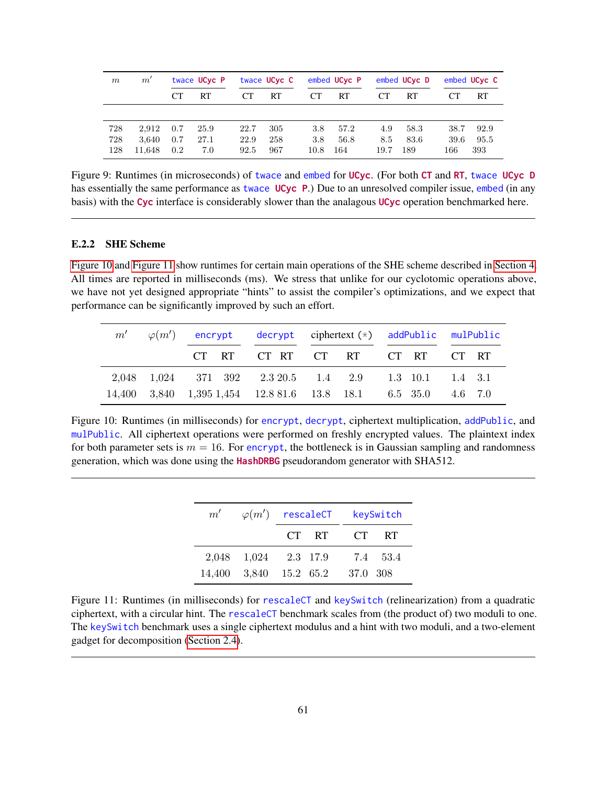<span id="page-60-1"></span>

| m   | $m^{\cdot}$ |     | twace UCyc P |           | twace UCyc C |      | embed UCyc P |      | embed UCyc D |           | embed UCyc C |
|-----|-------------|-----|--------------|-----------|--------------|------|--------------|------|--------------|-----------|--------------|
|     |             | CT. | RT           | <b>CT</b> | RT           | CТ   | <b>RT</b>    | CТ   | RT           | <b>CT</b> | RT           |
|     |             |     |              |           |              |      |              |      |              |           |              |
| 728 | 2.912       | 0.7 | 25.9         | 22.7      | 305          | 3.8  | 57.2         | 4.9  | 58.3         | 38.7      | 92.9         |
| 728 | 3.640       | 0.7 | 27.1         | 22.9      | 258          | 3.8  | 56.8         | 8.5  | 83.6         | 39.6      | 95.5         |
| 128 | 11.648      | 0.2 | 7.0          | 92.5      | 967          | 10.8 | 164          | 19.7 | 189          | 166       | 393          |

Figure 9: Runtimes (in microseconds) of twace and embed for UCyc. (For both CT and RT, twace UCyc D has essentially the same performance as twace UCyc P.) Due to an unresolved compiler issue, embed (in any basis) with the Cyc interface is considerably slower than the analagous UCyc operation benchmarked here.

# <span id="page-60-0"></span>E.2.2 SHE Scheme

[Figure 10](#page-60-2) and [Figure 11](#page-60-3) show runtimes for certain main operations of the SHE scheme described in [Section 4.](#page-23-0) All times are reported in milliseconds (ms). We stress that unlike for our cyclotomic operations above, we have not yet designed appropriate "hints" to assist the compiler's optimizations, and we expect that performance can be significantly improved by such an effort.

<span id="page-60-2"></span>

|  |  | $m'$ $\varphi(m')$ encrypt decrypt ciphertext (*) addPublic mulPublic |  |
|--|--|-----------------------------------------------------------------------|--|
|  |  | CT RT CT RT CT RT CT RT CT RT                                         |  |
|  |  | 2,048 1,024 371 392 2.3 20.5 1.4 2.9 1.3 10.1 1.4 3.1                 |  |
|  |  | 14,400 3,840 1,395 1,454 12.8 81.6 13.8 18.1 6.5 35.0 4.6 7.0         |  |

<span id="page-60-3"></span>Figure 10: Runtimes (in milliseconds) for encrypt, decrypt, ciphertext multiplication, addPublic, and mulPublic. All ciphertext operations were performed on freshly encrypted values. The plaintext index for both parameter sets is  $m = 16$ . For encrypt, the bottleneck is in Gaussian sampling and randomness generation, which was done using the HashDRBG pseudorandom generator with SHA512.

| m' | $\varphi(m')$ rescaleCT         |       |    | keySwitch |
|----|---------------------------------|-------|----|-----------|
|    |                                 | CT RT | CT | <b>RT</b> |
|    | 2,048 1,024 2.3 17.9 7.4 53.4   |       |    |           |
|    | 14,400 3,840 15.2 65.2 37.0 308 |       |    |           |

Figure 11: Runtimes (in milliseconds) for rescaleCT and keySwitch (relinearization) from a quadratic ciphertext, with a circular hint. The rescaleCT benchmark scales from (the product of) two moduli to one. The keySwitch benchmark uses a single ciphertext modulus and a hint with two moduli, and a two-element gadget for decomposition [\(Section 2.4\)](#page-12-1).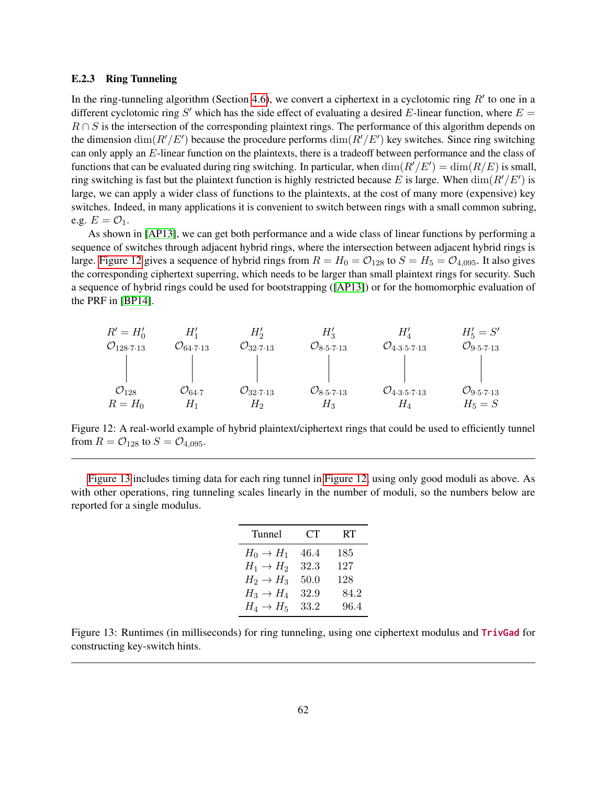## <span id="page-61-0"></span>E.2.3 Ring Tunneling

In the ring-tunneling algorithm (Section [4.6\)](#page-29-0), we convert a ciphertext in a cyclotomic ring  $R'$  to one in a different cyclotomic ring S' which has the side effect of evaluating a desired E-linear function, where  $E =$  $R \cap S$  is the intersection of the corresponding plaintext rings. The performance of this algorithm depends on the dimension  $\dim(R'/E')$  because the procedure performs  $\dim(R'/E')$  key switches. Since ring switching can only apply an E-linear function on the plaintexts, there is a tradeoff between performance and the class of functions that can be evaluated during ring switching. In particular, when  $\dim(R'/E') = \dim(R/E)$  is small, ring switching is fast but the plaintext function is highly restricted because E is large. When  $\dim(R'/E')$  is large, we can apply a wider class of functions to the plaintexts, at the cost of many more (expensive) key switches. Indeed, in many applications it is convenient to switch between rings with a small common subring, e.g.  $E = \mathcal{O}_1$ .

As shown in [\[AP13\]](#page-32-5), we can get both performance and a wide class of linear functions by performing a sequence of switches through adjacent hybrid rings, where the intersection between adjacent hybrid rings is large. [Figure 12](#page-61-1) gives a sequence of hybrid rings from  $R = H_0 = O_{128}$  to  $S = H_5 = O_{4,095}$ . It also gives the corresponding ciphertext superring, which needs to be larger than small plaintext rings for security. Such a sequence of hybrid rings could be used for bootstrapping ([\[AP13\]](#page-32-5)) or for the homomorphic evaluation of the PRF in [\[BP14\]](#page-32-7).

<span id="page-61-1"></span>

| $R' = H'_0$                          | $H'_1$                              | $H'_2$                              | $H'_3$                                     | $H'_4$                                             | $H'_5 = S'$                                |
|--------------------------------------|-------------------------------------|-------------------------------------|--------------------------------------------|----------------------------------------------------|--------------------------------------------|
| $\mathcal{O}_{128 \cdot 7 \cdot 13}$ | $\mathcal{O}_{64 \cdot 7 \cdot 13}$ | $\mathcal{O}_{32 \cdot 7 \cdot 13}$ | $\mathcal{O}_{8 \cdot 5 \cdot 7 \cdot 13}$ | $\mathcal{O}_{4 \cdot 3 \cdot 5 \cdot 7 \cdot 13}$ | $\mathcal{O}_{9 \cdot 5 \cdot 7 \cdot 13}$ |
| $\mathcal{O}_{128}$                  | $\mathcal{O}_{64 \cdot 7}$          | $\mathcal{O}_{32 \cdot 7 \cdot 13}$ | $\mathcal{O}_{8 \cdot 5 \cdot 7 \cdot 13}$ | $\mathcal{O}_{4 \cdot 3 \cdot 5 \cdot 7 \cdot 13}$ | $\mathcal{O}_{9 \cdot 5 \cdot 7 \cdot 13}$ |
| $R = H_0$                            | $H_1$                               | $H_2$                               | $H_3$                                      | $\mathcal{O}_{4 \cdot 3 \cdot 5 \cdot 7 \cdot 13}$ | $\mathcal{O}_{9 \cdot 5 \cdot 7 \cdot 13}$ |
| $R = H_0$                            | $H_1$                               | $H_2$                               | $H_3$                                      | $H_4$                                              | $H_5 = S$                                  |

Figure 12: A real-world example of hybrid plaintext/ciphertext rings that could be used to efficiently tunnel from  $R = O_{128}$  to  $S = O_{4.095}$ .

<span id="page-61-2"></span>[Figure 13](#page-61-2) includes timing data for each ring tunnel in [Figure 12,](#page-61-1) using only good moduli as above. As with other operations, ring tunneling scales linearly in the number of moduli, so the numbers below are reported for a single modulus.

| Tunnel                | CT <sup>-</sup> | RT   |
|-----------------------|-----------------|------|
| $H_0 \rightarrow H_1$ | 46.4            | 185  |
| $H_1 \rightarrow H_2$ | $32.3\,$        | 127  |
| $H_2 \rightarrow H_3$ | 50.0            | 128  |
| $H_3 \rightarrow H_4$ | 32.9            | 84.2 |
| $H_4 \rightarrow H_5$ | 33.2            | 96.4 |

Figure 13: Runtimes (in milliseconds) for ring tunneling, using one ciphertext modulus and TrivGad for constructing key-switch hints.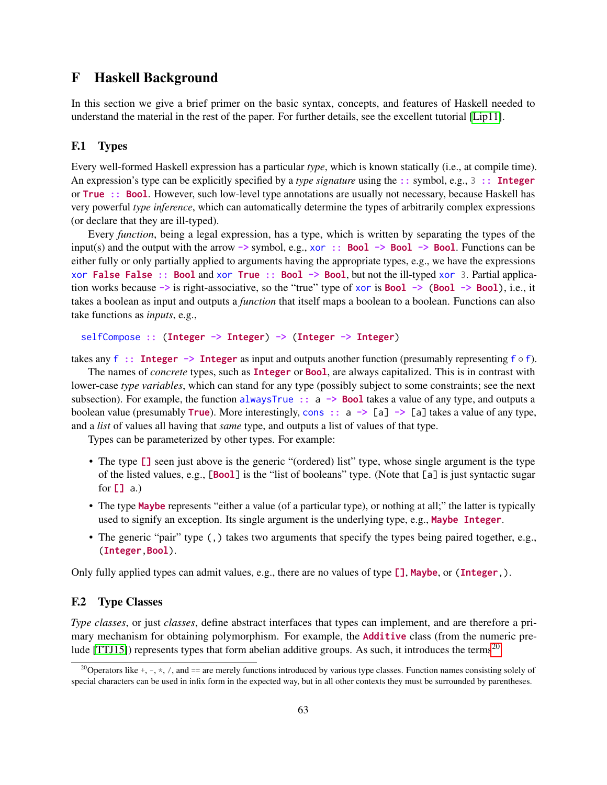# <span id="page-62-0"></span>F Haskell Background

In this section we give a brief primer on the basic syntax, concepts, and features of Haskell needed to understand the material in the rest of the paper. For further details, see the excellent tutorial [\[Lip11\]](#page-34-16).

# <span id="page-62-1"></span>F.1 Types

Every well-formed Haskell expression has a particular *type*, which is known statically (i.e., at compile time). An expression's type can be explicitly specified by a *type signature* using the :: symbol, e.g., 3 :: Integer or True :: Bool. However, such low-level type annotations are usually not necessary, because Haskell has very powerful *type inference*, which can automatically determine the types of arbitrarily complex expressions (or declare that they are ill-typed).

Every *function*, being a legal expression, has a type, which is written by separating the types of the input(s) and the output with the arrow  $\rightarrow$  symbol, e.g., xor :: **Bool**  $\rightarrow$  **Bool**  $\rightarrow$  **Bool**. Functions can be either fully or only partially applied to arguments having the appropriate types, e.g., we have the expressions xor False False :: Bool and xor True :: Bool  $\rightarrow$  Bool, but not the ill-typed xor 3. Partial application works because -> is right-associative, so the "true" type of xor is Bool -> (Bool -> Bool), i.e., it takes a boolean as input and outputs a *function* that itself maps a boolean to a boolean. Functions can also take functions as *inputs*, e.g.,

```
selfCompose :: (Integer -> Integer) -> (Integer -> Integer)
```
takes any f :: Integer  $\rightarrow$  Integer as input and outputs another function (presumably representing  $f \circ f$ ).

The names of *concrete* types, such as Integer or Bool, are always capitalized. This is in contrast with lower-case *type variables*, which can stand for any type (possibly subject to some constraints; see the next subsection). For example, the function alwaysTrue  $\therefore$  a  $\rightarrow$  Bool takes a value of any type, and outputs a boolean value (presumably **True**). More interestingly, cons  $\therefore$  a  $\rightarrow$  [a]  $\rightarrow$  [a] takes a value of any type, and a *list* of values all having that *same* type, and outputs a list of values of that type.

Types can be parameterized by other types. For example:

- The type  $\Box$  seen just above is the generic "(ordered) list" type, whose single argument is the type of the listed values, e.g., [Bool] is the "list of booleans" type. (Note that [a] is just syntactic sugar for  $[1]$  a.)
- The type Maybe represents "either a value (of a particular type), or nothing at all;" the latter is typically used to signify an exception. Its single argument is the underlying type, e.g., Maybe Integer.
- The generic "pair" type (,) takes two arguments that specify the types being paired together, e.g., (Integer,Bool).

Only fully applied types can admit values, e.g., there are no values of type [], Maybe, or (Integer,).

# <span id="page-62-2"></span>F.2 Type Classes

*Type classes*, or just *classes*, define abstract interfaces that types can implement, and are therefore a primary mechanism for obtaining polymorphism. For example, the Additive class (from the numeric pre-lude [\[TTJ15\]](#page-35-15)) represents types that form abelian additive groups. As such, it introduces the terms<sup>[20](#page-62-3)</sup>

<span id="page-62-3"></span><sup>&</sup>lt;sup>20</sup> Operators like  $+$ ,  $-$ ,  $\star$ ,  $/$ , and  $==$  are merely functions introduced by various type classes. Function names consisting solely of special characters can be used in infix form in the expected way, but in all other contexts they must be surrounded by parentheses.